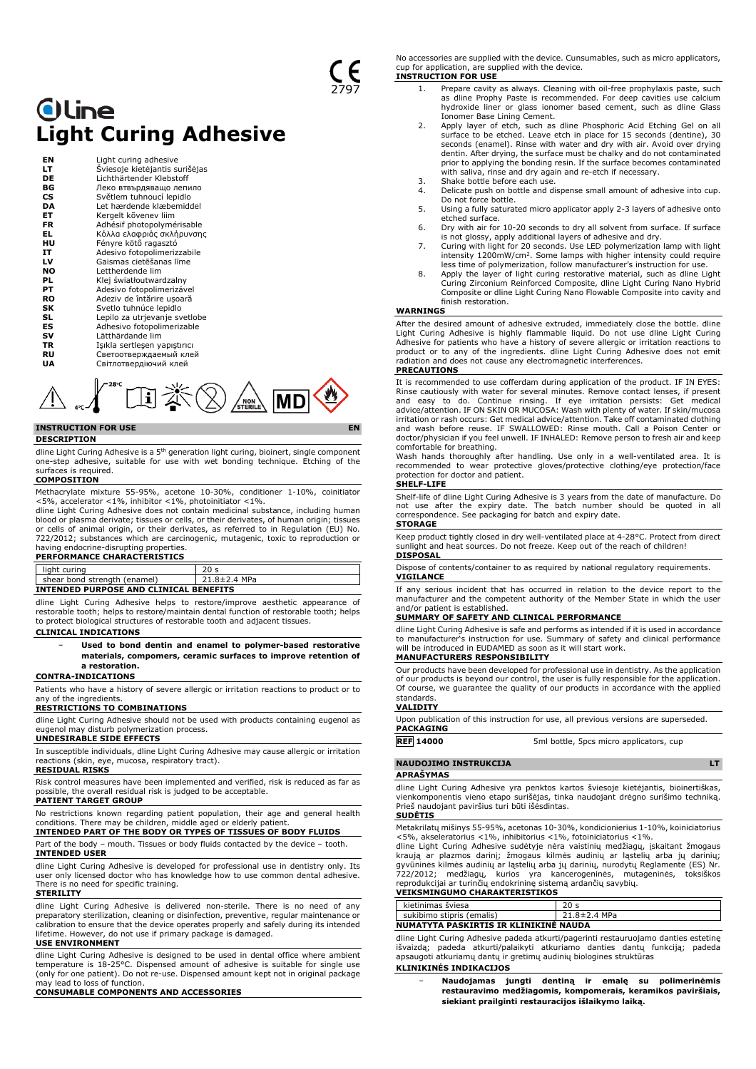# **Oline Light Curing Adhesive**

| ΕN  | Light curing adhesive          |
|-----|--------------------------------|
| LT. | Šviesoje kietėjantis surišėjas |
| DE  | Lichthärtender Klebstoff       |
| ВG  | Леко втвърдяващо лепило        |
| CS  | Světlem tuhnoucí lepidlo       |
| DA  | Let hærdende klæbemiddel       |
| ET  | Kergelt kõvenev liim           |
| FR  | Adhésif photopolymérisable     |
| EL. | Κόλλα ελαφριάς σκλήρυνσης      |
| ΗU  | Fényre kötő ragasztó           |
| IT  | Adesivo fotopolimerizzabile    |
| LV  | Gaismas cietēšanas līme        |
| NO  | Lettherdende lim               |
| PL  | Klej światłoutwardzalny        |
| PТ  | Adesivo fotopolimerizável      |
| RO  | Adeziv de întărire usoară      |
| SK. | Svetlo tuhnúce lepidlo         |
| SL  | Lepilo za utrjevanje svetlobe  |
| ES  | Adhesivo fotopolimerizable     |
| sv  | Lätthärdande lim               |
| TR  | Işıkla sertleşen yapıştırıcı   |
| RU  | Светоотверждаемый клей         |
| UA  | Світлотвердіючий клей          |

# $\mathbb{E} \ddot{\lll} \bigotimes_{\mathsf{sim}} \bigotimes$

# **INSTRUCTION FOR USE**

#### **DESCRIPTION**

dline Light Curing Adhesive is a 5<sup>th</sup> generation light curing, bioinert, single component one-step adhesive, suitable for use with wet bonding technique. Etching of the surfaces is required. **COMPOSITION**

Methacrylate mixture 55-95%, acetone 10-30%, conditioner 1-10%, coinitiator <5%, accelerator <1%, inhibitor <1%, photoinitiator <1%.

dline Light Curing Adhesive does not contain medicinal substance, including human blood or plasma derivate; tissues or cells, or their derivates, of human origin; tissues or cells of animal origin, or their derivates, as referred to in Regulation (EU) No. 722/2012; substances which are carcinogenic, mutagenic, toxic to reproduction or having endocrine-disrupting properties.

# **PERFORMANCE CHARACTERISTICS**

| shear bond strength (enamel)           | 21.8±2.4 MPa |
|----------------------------------------|--------------|
| INTENDED PURPOSE AND CLINICAL BENEFITS |              |

dline Light Curing Adhesive helps to restore/improve aesthetic appearance of restorable tooth; helps to restore/maintain dental function of restorable tooth; helps to protect biological structures of restorable tooth and adjacent tissues.

#### **CLINICAL INDICATIONS**

− **Used to bond dentin and enamel to polymer-based restorative materials, compomers, ceramic surfaces to improve retention of a restoration.**

#### **CONTRA-INDICATIONS**

Patients who have a history of severe allergic or irritation reactions to product or to any of the ingredients.

### **RESTRICTIONS TO COMBINATIONS**

dline Light Curing Adhesive should not be used with products containing eugenol as

# eugenol may disturb polymerization process. **UNDESIRABLE SIDE EFFECTS**

In susceptible individuals, dline Light Curing Adhesive may cause allergic or irritation reactions (skin, eye, mucosa, respiratory tract).

# **RESIDUAL RISKS**

Risk control measures have been implemented and verified, risk is reduced as far as possible, the overall residual risk is judged to be acceptable. **PATIENT TARGET GROUP**

No restrictions known regarding patient population, their age and general health conditions. There may be children, middle aged or elderly patien

# **INTENDED PART OF THE BODY OR TYPES OF TISSUES OF BODY FLUIDS**

Part of the body – mouth. Tissues or body fluids contacted by the device – tooth. **INTENDED USER**

dline Light Curing Adhesive is developed for professional use in dentistry only. Its user only licensed doctor who has knowledge how to use common dental adhesive. There is no need for specific training.

#### **STERILITY**

dline Light Curing Adhesive is delivered non-sterile. There is no need of any preparatory sterilization, cleaning or disinfection, preventive, regular maintenance or calibration to ensure that the device operates properly and safely during its intended lifetime. However, do not use if primary package is damaged.

#### **USE ENVIRONMENT**

dline Light Curing Adhesive is designed to be used in dental office where ambient temperature is 18-25°C. Dispensed amount of adhesive is suitable for single use (only for one patient). Do not re-use. Dispensed amount kept not in original package may lead to loss of function.

**CONSUMABLE COMPONENTS AND ACCESSORIES**

No accessories are supplied with the device. Cunsumables, such as micro applicators, cup for application, are supplied with the device. **INSTRUCTION FOR USE**

- 1. Prepare cavity as always. Cleaning with oil-free prophylaxis paste, such as dline Prophy Paste is recommended. For deep cavities use calcium hydroxide liner or glass ionomer based cement, such as dline Glass
- Ionomer Base Lining Cement. 2. Apply layer of etch, such as dline Phosphoric Acid Etching Gel on all surface to be etched. Leave etch in place for 15 seconds (dentine), 30 seconds (enamel). Rinse with water and dry with air. Avoid over drying dentin. After drying, the surface must be chalky and do not contaminated prior to applying the bonding resin. If the surface becomes contaminated with saliva, rinse and dry again and re-etch if necessary.
- 3. Shake bottle before each use.<br>4. Delicate push on bottle and di
- Delicate push on bottle and dispense small amount of adhesive into cup. Do not force bottle.
- 5. Using a fully saturated micro applicator apply 2-3 layers of adhesive onto etched surface. 6. Dry with air for 10-20 seconds to dry all solvent from surface. If surface
- is not glossy, apply additional layers of adhesive and dry. 7. Curing with light for 20 seconds. Use LED polymerization lamp with light
- intensity 1200mW/cm<sup>2</sup> . Some lamps with higher intensity could require less time of polymerization, follow manufacturer's instruction for use.
- 8. Apply the layer of light curing restorative material, such as dline Light Curing Zirconium Reinforced Composite, dline Light Curing Nano Hybrid Composite or dline Light Curing Nano Flowable Composite into cavity and finish restoration.

## **WARNINGS**

After the desired amount of adhesive extruded, immediately close the bottle. dline Light Curing Adhesive is highly flammable liquid. Do not use dline Light Curing<br>Adhesive for patients who have a history of severe allergic or irritation reactions to<br>product or to any of the ingredients. dline Light Curin radiation and does not cause any electromagnetic interferences.

## **PRECAUTIONS**

It is recommended to use cofferdam during application of the product. IF IN EYES: Rinse cautiously with water for several minutes. Remove contact lenses, if present and easy to do. Continue rinsing. If eye irritation persists: Get medical advice/attention. IF ON SKIN OR MUCOSA: Wash with plenty of water. If skin/mucosa irritation or rash occurs: Get medical advice/attention. Take off contaminated clothing and wash before reuse. IF SWALLOWED: Rinse mouth. Call a Poison Center or doctor/physician if you feel unwell. IF INHALED: Remove person to fresh air and keep

comfortable for breathing. Wash hands thoroughly after handling. Use only in a well-ventilated area. It is recommended to wear protective gloves/protective clothing/eye protection/face protection for doctor and patient.

# **SHELF-LIFE**

Shelf-life of dline Light Curing Adhesive is 3 years from the date of manufacture. Do not use after the expiry date. The batch number should be quoted in all correspondence. See packaging for batch and expiry date.

#### **STORAGE**

Keep product tightly closed in dry well-ventilated place at 4-28°C. Protect from direct sunlight and heat sources. Do not freeze. Keep out of the reach of children! **DISPOSAL**

Dispose of contents/container to as required by national regulatory requirements.

**VIGILANCE** If any serious incident that has occurred in relation to the device report to the

manufacturer and the competent authority of the Member State in which the user and/or patient is established.

# **SUMMARY OF SAFETY AND CLINICAL PERFORMANCE**

dline Light Curing Adhesive is safe and performs as intended if it is used in accordance to manufacturer's instruction for use. Summary of safety and clinical performance will be introduced in EUDAMED as soon as it will start work. **MANUFACTURERS RESPONSIBILITY**

Our products have been developed for professional use in dentistry. As the application of our products is beyond our control, the user is fully responsible for the application. Of course, we guarantee the quality of our products in accordance with the applied standards.

#### **VALIDITY**

Upon publication of this instruction for use, all previous versions are superseded. **PACKAGING**

**REF** 14000 5ml bottle, 5pcs micro applicators, cup

# **NAUDOJIMO INSTRUKCIJA LT APRAŠYMAS**

dline Light Curing Adhesive yra penktos kartos šviesoje kietėjantis, bioinertiškas, vienkomponentis vieno etapo surišėjas, tinka naudojant drėgno surišimo techniką. Prieš naudojant paviršius turi būti išėsdintas. **SUDĖTIS**

Metakrilatų mišinys 55-95%, acetonas 10-30%, kondicionierius 1-10%, koiniciatorius <5%, akseleratorius <1%, inhibitorius <1%, fotoiniciatorius <1%.

dline Light Curing Adhesive sudėtyje nėra vaistinių medžiagų, įskaitant žmogaus kraują ar plazmos darinį; žmogaus kilmės audinių ar ląstelių arba jų darinių; gyvūninės kilmės audinių ar ląstelių arba jų darinių, nurodytų Reglamente (ES) Nr. 722/2012; medžiagų, kurios yra kancerogeninės, mutageninės, toksiškos reprodukcijai ar turinčių endokrininę sistemą ardančių savybių.

# **VEIKSMINGUMO CHARAKTERISTIKOS**

| NUMATYTA PASKIRTIS IR KLINIKINĖ NAUDA |              |
|---------------------------------------|--------------|
| sukibimo stipris (emalis)             | 21.8±2.4 MPa |

dline Light Curing Adhesive padeda atkurti/pagerinti restauruojamo danties estetinę išvaizdą; padeda atkurti/palaikyti atkuriamo danties dantų funkciją; padeda apsaugoti atkuriamų dantų ir gretimų audinių biologines struktūras

#### **KLINIKINĖS INDIKACIJOS**

− **Naudojamas jungti dentiną ir emalę su polimerinėmis restauravimo medžiagomis, kompomerais, keramikos paviršiais, siekiant prailginti restauracijos išlaikymo laiką.**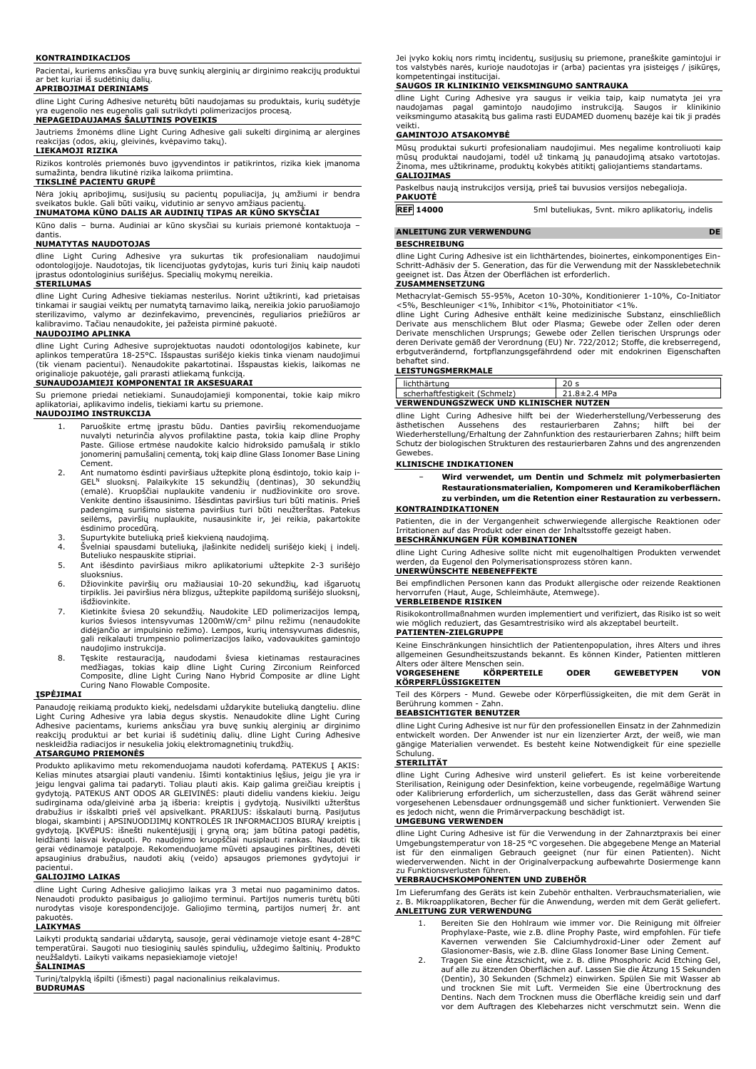#### **KONTRAINDIKACIJOS**

Pacientai, kuriems anksčiau yra buvę sunkių alerginių ar dirginimo reakcijų produktui ar bet kuriai iš sudėtinių dalių.

**APRIBOJIMAI DERINIAMS**

dline Light Curing Adhesive neturėtų būti naudojamas su produktais, kurių sudėtyje yra eugenolio nes eugenolis gali sutrikdyti polimerizacijos procesą. **NEPAGEIDAUJAMAS ŠALUTINIS POVEIKIS**

Jautriems žmonėms dline Light Curing Adhesive gali sukelti dirginimą ar alergines reakcijas (odos, akių, gleivinės, kvėpavimo takų).

#### **LIEKAMOJI RIZIKA**

Rizikos kontrolės priemonės buvo įgyvendintos ir patikrintos, rizika kiek įmanoma sumažinta, bendra likutinė rizika laikoma priimtina.

### **TIKSLINĖ PACIENTU GRUPĖ**

Nėra jokių apribojimų, susijusių su pacientų populiacija, jų amžiumi ir bendra sveikatos bukle. Gali būti vaikų, vidutinio ar senyvo amžiaus pacientų. **INUMATOMA KŪNO DALIS AR AUDINIŲ TIPAS AR KŪNO SKYSČIAI**

Kūno dalis – burna. Audiniai ar kūno skysčiai su kuriais priemonė kontaktuoja – dantis.

### **NUMATYTAS NAUDOTOJAS**

dline Light Curing Adhesive yra sukurtas tik profesionaliam naudojimui<br>odontologijoje. Naudotojas, tik licencijuotas gydytojas, kuris turi žinių kaip naudoti<br>įprastus odontologinius surišėjus. Specialių mokymų nereikia.

# **STERILUMAS**

dline Light Curing Adhesive tiekiamas nesterilus. Norint užtikrinti, kad prietaisas tinkamai ir saugiai veiktų per numatytą tarnavimo laiką, nereikia jokio paruošiamojo sterilizavimo, valymo ar dezinfekavimo, prevencinės, reguliarios priežiūros ar kalibravimo. Tačiau nenaudokite, jei pažeista pirminė pakuotė.

#### **NAUDOJIMO APLINKA**

dline Light Curing Adhesive suprojektuotas naudoti odontologijos kabinete, kur aplinkos temperatūra 18-25°C. Išspaustas surišėjo kiekis tinka vienam naudojimui (tik vienam pacientui). Nenaudokite pakartotinai. Išspaustas kiekis, laikomas ne

# originalioje pakuotėje, gali prarasti atliekamą funkciją. **SUNAUDOJAMIEJI KOMPONENTAI IR AKSESUARAI**

Su priemone priedai netiekiami. Sunaudojamieji komponentai, tokie kaip mikro aplikatoriai, aplikavimo indelis, tiekiami kartu su priemone.

- **NAUDOJIMO INSTRUKCIJA**
	- 1. Paruoškite ertmę įprastu būdu. Danties paviršių rekomenduojame nuvalyti neturinčia alyvos profilaktine pasta, tokia kaip dline Prophy Paste. Giliose ertmėse naudokite kalcio hidroksido pamušalą ir stiklo jonomerinį pamušalinį cementą, tokį kaip dline Glass Ionomer Base Lining Cement.
	- 2. Ant numatomo ėsdinti paviršiaus užtepkite ploną ėsdintojo, tokio kaip i-<br>GEL<sup>N</sup> sluoksnį. Palaikykite 15 sekundžių (dentinas), 30 sekundžių<br>(emalė). Kruopščiai nuplaukite vandeniu ir nudžiovinkite oro srove.<br>Venkite den seilėms, paviršių nuplaukite, nusausinkite ir, jei reikia, pakartokite
	-
	- ėsdinimo procedūrą. 3. Supurtykite buteliuką prieš kiekvieną naudojimą. 4. Švelniai spausdami buteliuką, įlašinkite nedidelį surišėjo kiekį į indelį. Buteliuko nespauskite stipriai.
	- 5. Ant išėsdinto paviršiaus mikro aplikatoriumi užtepkite 2-3 surišėjo sluoksnius.
	- 6. Džiovinkite paviršių oru mažiausiai 10-20 sekundžių, kad išgaruotų tirpiklis. Jei paviršius nėra blizgus, užtepkite papildomą surišėjo sluoksnį, išdžiovinkite.
	- 7. Kietinkite šviesa 20 sekundžių. Naudokite LED polimerizacijos lempą, kurios šviesos intensyvumas 1200mW/cm<sup>2</sup> pilnu režimu (nenaudokite didėjančio ar impulsinio režimo). Lempos, kurių intensyvumas didesnis, gali reikalauti trumpesnio polimerizacijos laiko, vadovaukites gamintojo naudojimo instrukcija.
	- 8. Tęskite restauraciją, naudodami šviesa kietinamas restauracines<br>medžiagas, tokias kaip dline Light Curing Zirconium Reinforced<br>Composite, dline Light Curing Nano Hybrid Composite ar dline Light<br>Curing-Nano-Flowable-Comp

#### **ĮSPĖJIMAI**

Panaudoję reikiamą produkto kiekį, nedelsdami uždarykite buteliuką dangteliu. dline Light Curing Adhesive yra labia degus skystis. Nenaudokite dline Light Curing Adhesive pacientams, kuriems anksčiau yra buvę sunkių alerginių ar dirginimo reakcijų produktui ar bet kuriai iš sudėtinių dalių. dline Light Curing Adhesive neskleidžia radiacijos ir nesukelia jokių elektromagnetinių trukdžių.

### **ATSARGUMO PRIEMONĖS**

Produkto aplikavimo metu rekomenduojama naudoti koferdamą. PATEKUS Į AKIS:<br>Kelias minutes atsargiai plauti vandeniu. Išimti kontaktinius lęšius, jeigu jie yra ir<br>jeigu lengvai galima tai padaryti. Toliau plauti akis. Kaip gydytoją. PATEKUS ANT ODOS AR GLEIVINĖS: plauti dideliu vandens kiekiu. Jeigu sudirginama oda/gleivinė arba ją išberia: kreiptis į gydytoją. Nusivilkti užterštus<br>drabužius ir išskalbti prieš vėl apsivelkant. PRARIJUS: išskalauti burną. Pasijutus<br>blogai, skambinti į APSINUODIJIMŲ KONTROLĖS IR INFORMA gerai vėdinamoje patalpoje. Rekomenduojame mūvėti apsaugines pirštines, dėvėti apsauginius drabužius, naudoti akių (veido) apsaugos priemones gydytojui ir pacientui.

#### **GALIOJIMO LAIKAS**

dline Light Curing Adhesive galiojimo laikas yra 3 metai nuo pagaminimo datos. Nenaudoti produkto pasibaigus jo galiojimo terminui. Partijos numeris turėtų būti nurodytas visoje korespondencijoje. Galiojimo terminą, partijos numerį žr. ant

# pakuotės. **LAIKYMAS**

Laikyti produktą sandariai uždarytą, sausoje, gerai vėdinamoje vietoje esant 4-28°C temperatūrai. Saugoti nuo tiesioginių saulės spindulių, uždegimo šaltinių. Produkto neužšaldyti. Laikyti vaikams nepasiekiamoje vietoje!

### **ŠALINIMAS**

Turinį/talpyklą išpilti (išmesti) pagal nacionalinius reikalavimus. **BUDRUMAS**

Jei įvyko kokių nors rimtų incidentų, susijusių su priemone, praneškite gamintojui ir tos valstybės narės, kurioje naudotojas ir (arba) pacientas yra įsisteigęs / įsikūręs, kompetentingai institucijai.

#### **SAUGOS IR KLINIKINIO VEIKSMINGUMO SANTRAUKA**

dline Light Curing Adhesive yra saugus ir veikia taip, kaip numatyta jei yra naudojamas pagal gamintojo naudojimo instrukciją. Saugos ir klinikinio veiksmingumo atasakitą bus galima rasti EUDAMED duomenų bazėje kai tik ji pradės veikti.

#### **GAMINTOJO ATSAKOMYBĖ**

Mūsų produktai sukurti profesionaliam naudojimui. Mes negalime kontroliuoti kaip mūsų produktai naudojami, todėl už tinkamą jų panaudojimą atsako vartotojas. Žinoma, mes užtikriname, produktų kokybės atitiktį galiojantiems standartams. **GALIOJIMAS**

|         | Paskelbus naują instrukcijos versiją, prieš tai buvusios versijos nebegalioja. |
|---------|--------------------------------------------------------------------------------|
| PAKUOTĖ |                                                                                |

**REF 14000** 5ml buteliukas, 5vnt. mikro aplikatorių, indelis

# **ANLEITUNG ZUR VERWENDUNG DE**

#### **BESCHREIBUNG**

dline Light Curing Adhesive ist ein lichthärtendes, bioinertes, einkomponentiges Ein-Schritt-Adhäsiv der 5. Generation, das für die Verwendung mit der Nassklebetechnik<br>geeignet ist. Das Ätzen der Oberflächen ist erforderlich.<br>**ZUSAMMENSETZUNG** 

Methacrylat-Gemisch 55-95%, Aceton 10-30%, Konditionierer 1-10%, Co-Initiator

<5%, Beschleuniger <1%, Inhibitor <1%, Photoinitiator <1%.<br>dline Light Curing Adhesive enthält keine medizinische Substanz, einschließlich<br>Derivate aus menschlichem Blut oder Plasma; Gewebe oder Zellen oder deren Derivate menschlichen Ursprungs; Gewebe oder Zellen tierischen Ursprungs oder deren Derivate gemäß der Verordnung (EU) Nr. 722/2012; Stoffe, die krebserregend, erbgutverändernd, fortpflanzungsgefährdend oder mit endokrinen Eigenschaften behaftet sind.

#### **LEISTUNGSMERKMALE**

| lichthärtung                                  | 20 <sub>s</sub> |
|-----------------------------------------------|-----------------|
| scherhaftfestigkeit (Schmelz)                 | 21.8±2.4 MPa    |
| <b>VERWENDUNGSZWECK UND KLINISCHER NUTZEN</b> |                 |

dline Light Curing Adhesive hilft bei der Wiederherstellung/Verbesserung des ästhetischen Aussehens des restaurierbaren Zahns; hilft bei der Wiederherstellung/Erhaltung der Zahnfunktion des restaurierbaren Zahns; hilft beim Schutz der biologischen Strukturen des restaurierbaren Zahns und des angrenzenden Gewebes.

### **KLINISCHE INDIKATIONEN**

− **Wird verwendet, um Dentin und Schmelz mit polymerbasierten Restaurationsmaterialien, Kompomeren und Keramikoberflächen zu verbinden, um die Retention einer Restauration zu verbessern. KONTRAINDIKATIONEN**

Patienten, die in der Vergangenheit schwerwiegende allergische Reaktionen oder Irritationen auf das Produkt oder einen der Inhaltsstoffe gezeigt haben. **BESCHRÄNKUNGEN FÜR KOMBINATIONEN**

dline Light Curing Adhesive sollte nicht mit eugenolhaltigen Produkten verwendet werden, da Eugenol den Polymerisationsprozess stören kann. **UNERWÜNSCHTE NEBENEFFEKTE**

Bei empfindlichen Personen kann das Produkt allergische oder reizende Reaktionen hervorrufen (Haut, Auge, Schleimhäute, Atemwege).

#### **VERBLEIBENDE RISIKEN**

Risikokontrollmaßnahmen wurden implementiert und verifiziert, das Risiko ist so weit wie möglich reduziert, das Gesamtrestrisiko wird als akzeptabel beurteilt.

# **PATIENTEN-ZIELGRUPPE**

Keine Einschränkungen hinsichtlich der Patientenpopulation, ihres Alters und ihres allgemeinen Gesundheitszustands bekannt. Es können Kinder, Patienten mittleren Alters oder ältere Menschen sein.

| <b>VORGESEHENE</b>         | <b>KORPERTEILE</b> | <b>ODER</b> | <b>GEWEBETYPEN</b> | VON |
|----------------------------|--------------------|-------------|--------------------|-----|
| <b>KÖRPERFLÜSSIGKEITEN</b> |                    |             |                    |     |
|                            |                    |             |                    |     |

Teil des Körpers - Mund. Gewebe oder Körperflüssigkeiten, die mit dem Gerät in Berührung kommen - Zahn. **BEABSICHTIGTER BENUTZER**

dline Light Curing Adhesive ist nur für den professionellen Einsatz in der Zahnmedizin entwickelt worden. Der Anwender ist nur ein lizenzierter Arzt, der weiß, wie man gängige Materialien verwendet. Es besteht keine Notwendigkeit für eine spezielle **Schulung** 

# **STERILITÄT**

dline Light Curing Adhesive wird unsteril geliefert. Es ist keine vorbereitende Sterilisation, Reinigung oder Desinfektion, keine vorbeugende, regelmäßige Wartung oder Kalibrierung erforderlich, um sicherzustellen, dass das Gerät während seiner vorgesehenen Lebensdauer ordnungsgemäß und sicher funktioniert. Verwenden Sie es jedoch nicht, wenn die Primärverpackung beschädigt ist.

#### **UMGEBUNG VERWENDEN**

dline Light Curing Adhesive ist für die Verwendung in der Zahnarztpraxis bei einer Umgebungstemperatur von 18-25 °C vorgesehen. Die abgegebene Menge an Material ist für den einmaligen Gebrauch geeignet (nur für einen Patienten). Nicht wiederverwenden. Nicht in der Originalverpackung aufbewahrte Dosiermenge kann zu Funktionsverlusten führen.

# **VERBRAUCHSKOMPONENTEN UND ZUBEHÖR**

Im Lieferumfang des Geräts ist kein Zubehör enthalten. Verbrauchsmaterialien, wie z. B. Mikroapplikatoren, Becher für die Anwendung, werden mit dem Gerät geliefert. **ANLEITUNG ZUR VERWENDUNG**

- 1. Bereiten Sie den Hohlraum wie immer vor. Die Reinigung mit ölfreier Prophylaxe-Paste, wie z.B. dline Prophy Paste, wird empfohlen. Für tiefe Kavernen verwenden Sie Calciumhydroxid-Liner oder Zement auf Glasionomer-Basis, wie z.B. dline Glass Ionomer Base Lining Cement.
- 2. Tragen Sie eine Ätzschicht, wie z. B. dline Phosphoric Acid Etching Gel, auf alle zu ätzenden Oberflächen auf. Lassen Sie die Ätzung 15 Sekunden (Dentin), 30 Sekunden (Schmelz) einwirken. Spülen Sie mit Wasser ab und trocknen Sie mit Luft. Vermeiden Sie eine Übertrocknung des Dentins. Nach dem Trocknen muss die Oberfläche kreidig sein und darf vor dem Auftragen des Klebeharzes nicht verschmutzt sein. Wenn die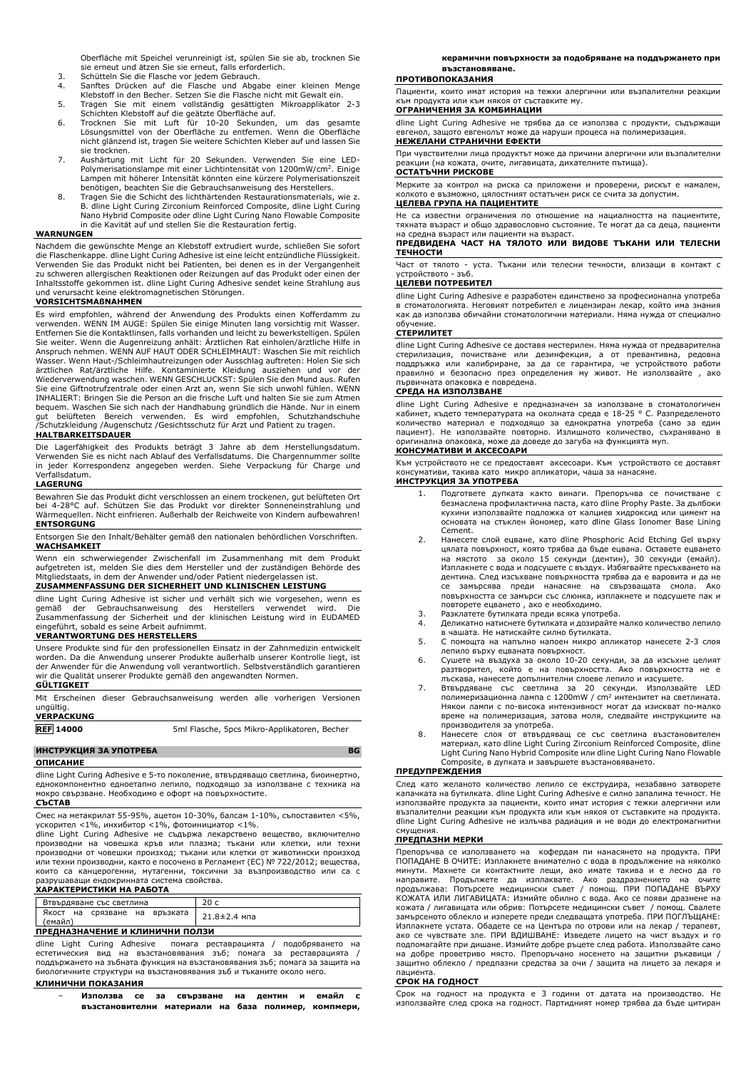Oberfläche mit Speichel verunreinigt ist, spülen Sie sie ab, trocknen Sie

- sie erneut und ätzen Sie sie erneut, falls erforderlich. 3. Schütteln Sie die Flasche vor jedem Gebrauch.
- 4. Sanftes Drücken auf die Flasche und Abgabe einer kleinen Menge Klebstoff in den Becher. Setzen Sie die Flasche nicht mit Gewalt ein.
- 5. Tragen Sie mit einem vollständig gesättigten Mikroapplikator 2-3 Schichten Klebstoff auf die geätzte Oberfläche auf.
- 6. Trocknen Sie mit Luft für 10-20 Sekunden, um das gesamte Lösungsmittel von der Oberfläche zu entfernen. Wenn die Oberfläche nicht glänzend ist, tragen Sie weitere Schichten Kleber auf und lassen Sie sie trocknen.
- 7. Aushärtung mit Licht für 20 Sekunden. Verwenden Sie eine LED-Polymerisationslampe mit einer Lichtintensität von 1200mW/cm<sup>2</sup>. Einige<br>Lampen mit höherer Intensität könnten eine kürzere Polymerisationszeit
- benötigen, beachten Sie die Gebrauchsanweisung des Herstellers. 8. Tragen Sie die Schicht des lichthärtenden Restaurationsmaterials, wie z. B. dline Light Curing Zirconium Reinforced Composite, dline Light Curing Nano Hybrid Composite oder dline Light Curing Nano Flowable Composite in die Kavität auf und stellen Sie die Restauration fertig.

#### **WARNUNGEN**

Nachdem die gewünschte Menge an Klebstoff extrudiert wurde, schließen Sie sofort die Flaschenkappe. dline Light Curing Adhesive ist eine leicht entzündliche Flüssigkeit. Verwenden Sie das Produkt nicht bei Patienten, bei denen es in der Vergangenheit zu schweren allergischen Reaktionen oder Reizungen auf das Produkt oder einen der Inhaltsstoffe gekommen ist. dline Light Curing Adhesive sendet keine Strahlung aus und verursacht keine elektromagnetischen Störungen.

#### **VORSICHTSMAßNAHMEN**

Es wird empfohlen, während der Anwendung des Produkts einen Kofferdamm zu verwenden. WENN IM AUGE: Spülen Sie einige Minuten lang vorsichtig mit Wasser. Entfernen Sie die Kontaktlinsen, falls vorhanden und leicht zu bewerkstelligen. Spülen Sie weiter. Wenn die Augenreizung anhält: Ärztlichen Rat einholen/ärztliche Hilfe in Anspruch nehmen. WENN AUF HAUT ODER SCHLEIMHAUT: Waschen Sie mit reichlich Wasser. Wenn Haut-/Schleimhautreizungen oder Ausschlag auftreten: Holen Sie sich ärztlichen Rat/ärztliche Hilfe. Kontaminierte Kleidung ausziehen und vor der Wiederverwendung waschen. WENN GESCHLUCKST: Spülen Sie den Mund aus. Rufen Sie eine Giftnotrufzentrale oder einen Arzt an, wenn Sie sich unwohl fühlen. WENN INHALIERT: Bringen Sie die Person an die frische Luft und halten Sie sie zum Atmen<br>bequem. Waschen Sie sich nach der Handhabung gründlich die Hände. Nur in einem<br>gut belüfteten Bereich verwenden. Es wird empfoh

#### **HALTBARKEITSDAUER**

Die Lagerfähigkeit des Produkts beträgt 3 Jahre ab dem Herstellungsdatum. Verwenden Sie es nicht nach Ablauf des Verfallsdatums. Die Chargennummer sollte in jeder Korrespondenz angegeben werden. Siehe Verpackung für Charge und Verfallsdatum.

#### **LAGERUNG**

Bewahren Sie das Produkt dicht verschlossen an einem trockenen, gut belüfteten Ort bei 4-28°C auf. Schützen Sie das Produkt vor direkter Sonneneinstrahlung und Wärmequellen. Nicht einfrieren. Außerhalb der Reichweite von Kindern aufbewahren! **ENTSORGUNG**

Entsorgen Sie den Inhalt/Behälter gemäß den nationalen behördlichen Vorschriften. **WACHSAMKEIT**

Wenn ein schwerwiegender Zwischenfall im Zusammenhang mit dem Produkt aufgetreten ist, melden Sie dies dem Hersteller und der zuständigen Behörde des Mitgliedstaats, in dem der Anwender und/oder Patient niedergelassen ist.

# **ZUSAMMENFASSUNG DER SICHERHEIT UND KLINISCHEN LEISTUNG**

dline Light Curing Adhesive ist sicher und verhält sich wie vorgesehen, wenn es gemäß der Gebrauchsanweisung des Herstellers verwendet wird. Die Zusammenfassung der Sicherheit und der klinischen Leistung wird in EUDAMED eingeführt, sobald es seine Arbeit aufnimmt.

## **VERANTWORTUNG DES HERSTELLERS**

Unsere Produkte sind für den professionellen Einsatz in der Zahnmedizin entwickelt worden. Da die Anwendung unserer Produkte außerhalb unserer Kontrolle liegt, ist der Anwender für die Anwendung voll verantwortlich. Selbstverständlich garantieren wir die Qualität unserer Produkte gemäß den angewandten Normen.

#### **GÜLTIGKEIT**

Mit Erscheinen dieser Gebrauchsanweisung werden alle vorherigen Versionen ungültig.

# **VERPACKUNG**

| <b>REF 14000</b> | 5ml Flasche, 5pcs Mikro-Applikatoren, Becher |
|------------------|----------------------------------------------|
|------------------|----------------------------------------------|

# **ИНСТРУКЦИЯ ЗА УПОТРЕБА BG**

**ОПИСАНИЕ**

dline Light Curing Adhesive е 5-то поколение, втвърдяващо светлина, биоинертно, еднокомпонентно едноетапно лепило, подходящо за използване с техника на мокро свързване. Необходимо е офорт на повърхностите. **СЪСТАВ**

Смес на метакрилат 55-95%, ацетон 10-30%, балсам 1-10%, съпоставител <5%, ускорител <1%, инхибитор <1%, фотоинициатор <1%.

dline Light Curing Adhesive не съдържа лекарствено вещество, включително производни на човешка кръв или плазма; тъкани или клетки, или техни производни от човешки произход; тъкани или клетки от животински произход или техни производни, както е посочено в Регламент (ЕС) № 722/2012; вещества, които са канцерогенни, мутагенни, токсични за възпроизводство или са с разрушаващи ендокринната система свойства. **ХАРАКТЕРИСТИКИ НА РАБОТА**

| AREANIEF HUITINILIIA FAPVIA                        |              |  |  |
|----------------------------------------------------|--------------|--|--|
|                                                    |              |  |  |
| Втвърдяване със светлина                           |              |  |  |
|                                                    |              |  |  |
| Якост на срязване на връзката                      | 21.8±2.4 мпа |  |  |
| (емайл)                                            |              |  |  |
| <b>MARRILLANILAILEILLE JA IZMIALILLILLA MARRIA</b> |              |  |  |

# **ПРЕДНАЗНАЧЕНИЕ И КЛИНИЧНИ ПОЛЗИ**

dline Light Curing Adhesive помага реставрацията / подобряването на естетическия вид на възстановявания зъб; помага за реставрацията / поддържането на зъбната функция на възстановявания зъб; помага за защита на биологичните структури на възстановявания зъб и тъканите около него. **КЛИНИЧНИ ПОКАЗАНИЯ**

− **Използва се за свързване на дентин и емайл с възстановителни материали на база полимер, компмери,** **керамични повърхности за подобряване на поддържането при възстановяване.**

#### **ПРОТИВОПОКАЗАНИЯ**

Пациенти, които имат история на тежки алергични или възпалителни реакции към продукта или към някоя от съставките му.

#### **ОГРАНИЧЕНИЯ ЗА КОМБИНАЦИИ**

dline Light Curing Adhesive не трябва да се използва с продукти, съдържащи евгенол, защото евгенолът може да наруши процеса на полимеризация.

# **НЕЖЕЛАНИ СТРАНИЧНИ ЕФЕКТИ**

При чувствителни лица продуктът може да причини алергични или възпалителни реакции (на кожата, очите, лигавицата, дихателните пътища). **ОСТАТЪЧНИ РИСКОВЕ**

Мерките за контрол на риска са приложени и проверени, рискът е намален, колкото е възможно, цялостният остатъчен риск се счита за допустим. **ЦЕЛЕВА ГРУПА НА ПАЦИЕНТИТЕ**

Не са известни ограничения по отношение на нациалността на пациентите, тяхната възраст и общо здравословно състояние. Те могат да са деца, пациенти на средна възраст или пациенти на възраст.

**ПРЕДВИДЕНА ЧАСТ НА ТЯЛОТО ИЛИ ВИДОВЕ ТЪКАНИ ИЛИ ТЕЛЕСНИ ТЕЧНОСТИ**

Част от тялото - уста. Тъкани или телесни течности, влизащи в контакт с устройството - зъб.

# **ЦЕЛЕВИ ПОТРЕБИТЕЛ**

dline Light Curing Adhesive е разработен единствено за професионална употреба в стоматологията. Неговият потребител е лицензиран лекар, който има знания как да използва обичайни стоматологични материали. Няма нужда от специално обучение.

#### **СТЕРИЛИТЕТ**

dline Light Curing Adhesive се доставя нестерилен. Няма нужда от предварителна стерилизация, почистване или дезинфекция, а от превантивна, редовна поддръжка или калибриране, за да се гарантира, че устройството работи правилно и безопасно през определения му живот. Не използвайте , ако първичната опаковка е повредена.

#### **СРЕДА НА ИЗПОЛЗВАНЕ**

dline Light Curing Adhesive е предназначен за използване в стоматологичен кабинет, където температурата на околната среда е 18-25 ° C. Разпределеното количество материал е подходящо за еднократна употреба (само за един пациент). Не използвайте повторно. Излишното количество, съхранявано в ,<br>лна опаковка, може да доведе до загуба на функцията муn. **КОНСУМАТИВИ И АКСЕСОАРИ**

### Kъм устройството не се предоставят аксесоари. Към устройството се доставят консумативи, такива като микро апликатори, чаша за нанасяне.

# **ИНСТРУКЦИЯ ЗА УПОТРЕБА**

- 1. Подгответе дупката както винаги. Препоръчва се почистване с безмаслена профилактична паста, като dline Prophy Paste. За дълбоки кухини използвайте подложка от калциев хидроксид или цимент на основата на стъклен йономер, като dline Glass Ionomer Base Lining Cement.
- 2. Нанесете слой ецване, като dline Phosphoric Acid Etching Gel върху цялата повърхност, която трябва да бъде ецвана. Оставете ецването на мястото за около 15 секунди (дентин), 30 секунди (емайл). Изплакнете с вода и подсушете с въздух. Избягвайте пресъхването на дентина. След изсъхване повърхността трябва да е варовита и да не се замърсява преди нанасяне на свързващата смола. Ако повърхността се замърси със слюнка, изплакнете и подсушете пак и повторете ецването , ако е необходимо.
- 3. Разклатете бутилката преди всяка употреба.
- 4. Деликатно натиснете бутилката и дозирайте малко количество лепило в чашата. Не натискайте силно бутилката.
- 5. С помощта на напълно напоен микро апликатор нанесете 2-3 слоя лепило върху ецваната повърхност. 6. Сушете на въздуха за около 10-20 секунди, за да изсъхне целият
- разтворител, който е на повърхността. Ако повърхността не е
- лъскава, нанесете допълнителни слоеве лепило и изсушете. 7. Втвърдяване със светлина за 20 секунди. Използвайте LED полимеризационна лампа с 1200mW / cm<sup>2</sup> интензитет на светлината. Някои лампи с по-висока интензивност могат да изискват по-малко време на полимеризация, затова моля, следвайте инструкциите на производителя за употреба.
- 8. Нанесете слоя от втвърдяващ се със светлина възстановителен материал, като dline Light Curing Zirconium Reinforced Composite, dline Light Curing Nano Hybrid Composite или dline Light Curing Nano Flowable Composite, в дупката и завършете възстановяването.

## **ПРЕДУПРЕЖДЕНИЯ**

След като желаното количество лепило се екструдира, незабавно затворете капачката на бутилката. dline Light Curing Adhesive е силно запалима течност. Не използвайте продукта за пациенти, които имат история с тежки алергични или възпалителни реакции към продукта или към някоя от съставките на продукта. dline Light Curing Adhesive не излъчва радиация и не води до електромагнитни смущения.

### **ПРЕДПАЗНИ МЕРКИ**

Препоръчва се използването на кофердам пи нанасянето на продукта. ПРИ ПОПАДАНЕ В ОЧИТЕ: Изплакнете внимателно с вода в продължение на няколко минути. Махнете си контактните лещи, ако имате такива и е лесно да го<br>направите. Продължете да изплаквате. Ако раздразнението на очите<br>продължава: Потърсете медицински съвет / помощ. ПРИ ПОПАДАНЕ ВЪРХУ<br>КОЖАТА ИЛИ Л кожата / лигавицата или обрив: Потърсете медицински съвет / помощ. Свалете замърсеното облекло и изперете преди следващата употреба. ПРИ ПОГЛЪЩАНЕ: Изплакнете устата. Обадете се на Центъра по отрови или на лекар / терапевт, ако се чувствате зле. ПРИ ВДИШВАНЕ: Изведете лицето на чист въздух и го подпомагайте при дишане. Измийте добре ръцете след работа. Използвайте само на добре проветриво място. Препоръчано носенето на защитни ръкавици / защитно облекло / предпазни средства за очи / защита на лицето за лекаря и пациента.

# **СРОК НА ГОДНОСТ**

Срок на годност на продукта е 3 години от датата на производство. Не използвайте след срока на годност. Партидният номер трябва да бъде цитиран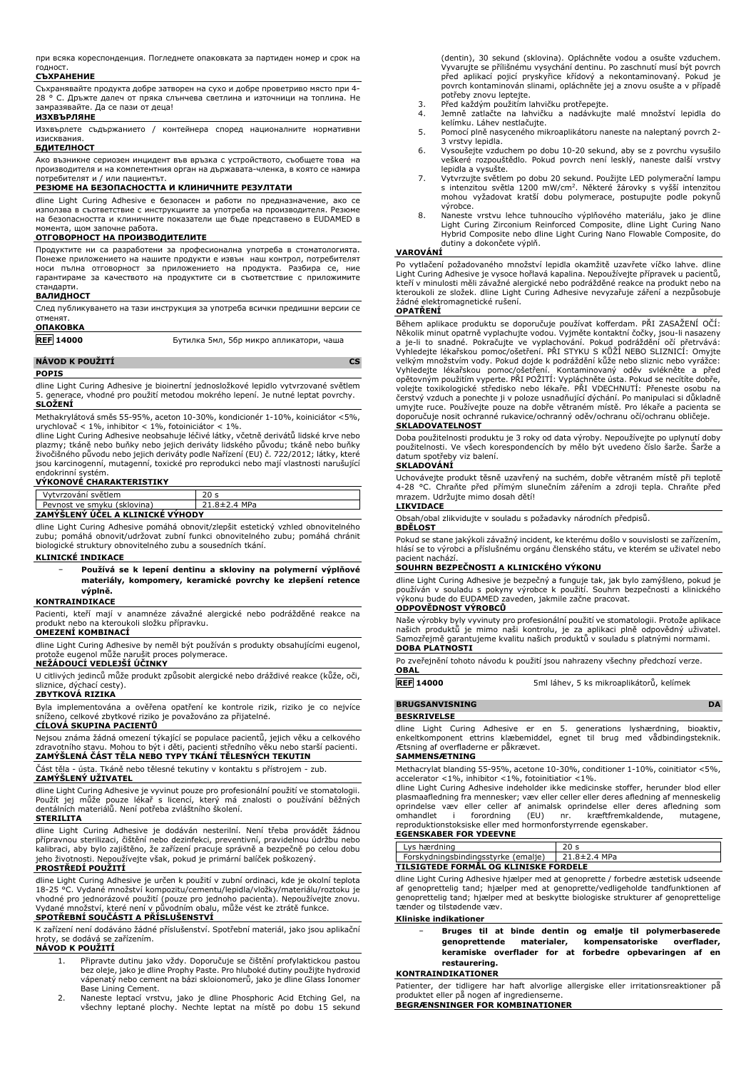при всяка кореспонденция. Погледнете опаковката за партиден номер и срок на годност.

# **СЪХРАНЕНИЕ**

Съхранявайте продукта добре затворен на сухо и добре проветриво място при 4-<br>28 ° C. Дръжте далеч от пряка слънчева светлина и източници на топлина. Не 28 ° C. Дръжте далеч от пряка слънчева светлина и източници на топлина. Не замразявайте. Да се пази от деца!

# **ИЗХВЪРЛЯНЕ**

Изхвърлете съдържанието / контейнера според националните нормативни

# изисквания. **БДИТЕЛНОСТ**

Ако възникне сериозен инцидент във връзка с устройството, съобщете това на производителя и на компетентния орган на държавата-членка, в която се намира потребителят и / или пациентът.

### **РЕЗЮМЕ НА БЕЗОПАСНОСТТА И КЛИНИЧНИТЕ РЕЗУЛТАТИ**

dline Light Curing Adhesive е безопасен и работи по предназначение, ако се използва в съответствие с инструкциите за употреба на производителя. Резюме на безопасността и клиничните показатели ще бъде представено в EUDAMED в щом започне работа

# **ОТГОВОРНОСТ НА ПРОИЗВОДИТЕЛИТЕ**

Продуктите ни са разработени за професионална употреба в стоматологията. Понеже приложението на нашите продукти е извън наш контрол, потребителят носи пълна отговорност за приложението на продукта. Разбира се, ние гарантираме за качеството на продуктите си в съответствие с приложимите стандарти.

#### **ВАЛИДНОСТ**

След публикуването на тази инструкция за употреба всички предишни версии се отменят.

**ОПАКОВКА**

**REF 14000** Бутилка 5мл, 5бр микро апликатори, чаша

**POPIS**

# **NÁVOD K POUŽITÍ CS**

dline Light Curing Adhesive je bioinertní jednosložkové lepidlo vytvrzované světlem 5. generace, vhodné pro použití metodou mokrého lepení. Je nutné leptat povrchy. **SLOŽENÍ**

Methakrylátová směs 55-95%, aceton 10-30%, kondicionér 1-10%, koiniciátor <5%,

urychlovač < 1%, inhibitor < 1%, fotoiniciátor < 1%.<br>dline Light Curing Adhesive neobsahuje léčivé látky, včetně derivátů lidské krve nebo<br>plazmy; tkáně nebo buňky nebo jejich deriváty lidského původu; tkáně nebo buňky živočišného původu nebo jejich deriváty podle Nařízení (EU) č. 722/2012; látky, které jsou karcinogenní, mutagenní, toxické pro reprodukci nebo mají vlastnosti narušující

# endokrinní systém. **VÝKONOVÉ CHARAKTERISTIKY**

| Vytvrzování světlem              | 20s          |  |
|----------------------------------|--------------|--|
| Peynost ve smyku (sklovina)      | 21.8±2.4 MPa |  |
| ZAMYSLENY UCEL A KLINICKÉ VÝHODY |              |  |

dline Light Curing Adhesive pomáhá obnovit/zlepšit estetický vzhled obnovitelného zubu; pomáhá obnovit/udržovat zubní funkci obnovitelného zubu; pomáhá chránit biologické struktury obnovitelného zubu a sousedních tkání.

# **KLINICKÉ INDIKACE**

#### − **Používá se k lepení dentinu a skloviny na polymerní výplňové materiály, kompomery, keramické povrchy ke zlepšení retence výplně.**

#### **KONTRAINDIKACE**

Pacienti, kteří mají v anamnéze závažné alergické nebo podrážděné reakce na produkt nebo na kteroukoli složku přípravku.

### **OMEZENÍ KOMBINACÍ**

dline Light Curing Adhesive by neměl být používán s produkty obsahujícími eugenol, protože eugenol může narušit proces polymerace. **NEŽÁDOUCÍ VEDLEJŠÍ ÚČINKY**

U citlivých jedinců může produkt způsobit alergické nebo dráždivé reakce (kůže, oči, sliznice, dýchací cesty).

## **ZBYTKOVÁ RIZIKA**

Byla implementována a ověřena opatření ke kontrole rizik, riziko je co nejvíce sníženo, celkové zbytkové riziko je považováno za přijatelné. **CÍLOVÁ SKUPINA PACIENTŮ**

Nejsou známa žádná omezení týkající se populace pacientů, jejich věku a celkového zdravotního stavu. Mohou to být i děti, pacienti středního věku nebo starší pacienti. **ZAMÝŠLENÁ ČÁST TĚLA NEBO TYPY TKÁNÍ TĚLESNÝCH TEKUTIN**

Část těla - ústa. Tkáně nebo tělesné tekutiny v kontaktu s přístrojem - zub.

# **ZAMÝŠLENÝ UŽIVATEL**

dline Light Curing Adhesive je vyvinut pouze pro profesionální použití ve stomatologii.<br>Použít jej může pouze lékař s licencí, který má znalosti o používání běžných<br>dentálních materiálů. Není potřeba zvláštního

#### **STERILITA**

dline Light Curing Adhesive je dodáván nesterilní. Není třeba provádět žádnou přípravnou sterilizaci, čištění nebo dezinfekci, preventivní, pravidelnou údržbu nebo kalibraci, aby bylo zajištěno, že zařízení pracuje správně a bezpečně po celou dobu jeho životnosti. Nepoužívejte však, pokud je primární balíček poškozený. **PROSTŘEDÍ POUŽITÍ**

# dline Light Curing Adhesive je určen k použití v zubní ordinaci, kde je okolní teplota 18-25 °C. Vydané množství kompozitu/cementu/lepidla/vložky/materiálu/roztoku je<br>vhodné pro jednorázové použití (pouze pro jednoho pacienta). Nepoužívejte znovu.<br>Vydané množství, které není v původním obalu, může vést ke zt

# **SPOTŘEBNÍ SOUČÁSTI A PŘÍSLUŠENSTVÍ**

K zařízení není dodáváno žádné příslušenství. Spotřební materiál, jako jsou aplikační hroty, se dodává se zařízením. **NÁVOD K POUŽITÍ**

- 1. Připravte dutinu jako vždy. Doporučuje se čištění profylaktickou pastou bez oleje, jako je dline Prophy Paste. Pro hluboké dutiny použijte hydroxid vápenatý nebo cement na bázi skloionomerů, jako je dline Glass Ionomer Base Lining Cement.
- 2. Naneste leptací vrstvu, jako je dline Phosphoric Acid Etching Gel, na všechny leptané plochy. Nechte leptat na místě po dobu 15 sekund

(dentin), 30 sekund (sklovina). Opláchněte vodou a osušte vzduchem. Vyvarujte se přílišnému vysychání dentinu. Po zaschnutí musí být povrch před aplikací pojicí pryskyřice křídový a nekontaminovaný. Pokud je povrch kontaminován slinami, opláchněte jej a znovu osušte a v případě

- 
- potřeby znovu leptejte. 3. Před každým použitím lahvičku protřepejte. 4. Jemně zatlačte na lahvičku a nadávkujte malé množství lepidla do kelímku. Láhev nestlačujte.
- 5. Pomocí plně nasyceného mikroaplikátoru naneste na naleptaný povrch 2-
- 3 vrstvy lepidla. 6. Vysoušejte vzduchem po dobu 10-20 sekund, aby se z povrchu vysušilo veškeré rozpouštědlo. Pokud povrch není lesklý, naneste další vrstvy
- lepidla a vysušte. 7. Vytvrzujte světlem po dobu 20 sekund. Použijte LED polymerační lampu s intenzitou světla 1200 mW/cm<sup>2</sup> . Některé žárovky s vyšší intenzitou mohou vyžadovat kratší dobu polymerace, postupujte podle pokynů výrobce.
- 8. Naneste vrstvu lehce tuhnoucího výplňového materiálu, jako je dline Light Curing Zirconium Reinforced Composite, dline Light Curing Nano Hybrid Composite nebo dline Light Curing Nano Flowable Composite, do dutiny a dokončete výplň.

#### **VAROVÁNÍ**

Po vytlačení požadovaného množství lepidla okamžitě uzavřete víčko lahve. dline Light Curing Adhesive je vysoce hořlavá kapalina. Nepoužívejte přípravek u pacientů, kteří v minulosti měli závažné alergické nebo podrážděné reakce na produkt nebo na kteroukoli ze složek. dline Light Curing Adhesive nevyzařuje záření a nezpůsobuje žádné elektromagnetické rušení.

#### **OPATŘENÍ**

Béhem aplikace produktu se doporučuje používat kofferdam. PRI ZASAZENI OCI:<br>Několik minut opatrně vyplachujte vodou. Vyjměte kontaktní čočky, jsou-il nasazeny<br>a je-li to snadné. Pokračujte ve vyplachování. Pokud podráždění čerstvý vzduch a ponechte ji v poloze usnadňující dýchání. Po manipulaci si důkladně<br>umyjte ruce. Používejte pouze na dobře větraném místě. Pro lékaře a pacienta se<br>doporučuje nosit ochranné rukavice/ochranný oděv/ochranu

# **SKLADOVATELNOST**

Doba použitelnosti produktu je 3 roky od data výroby. Nepoužívejte po uplynutí doby použitelnosti. Ve všech korespondencích by mělo být uvedeno číslo šarže. Šarže a datum spotřeby viz balení. **SKLADOVÁNÍ**

Uchovávejte produkt těsně uzavřený na suchém, dobře větraném místě při teplotě 4-28 °C. Chraňte před přímým slunečním zářením a zdroji tepla. Chraňte před mrazem. Udržujte mimo dosah dětí!

## **LIKVIDACE**

Obsah/obal zlikvidujte v souladu s požadavky národních předpisů.

**BDĚLOST**

Pokud se stane jakýkoli závažný incident, ke kterému došlo v souvislosti se zařízením, hlásí se to výrobci a příslušnému orgánu členského státu, ve kterém se uživatel nebo pacient nachází.

# **SOUHRN BEZPEČNOSTI A KLINICKÉHO VÝKONU**

dline Light Curing Adhesive je bezpečný a funguje tak, jak bylo zamýšleno, pokud je používán v souladu s pokyny výrobce k použití. Souhrn bezpečnosti a klinického výkonu bude do EUDAMED zaveden, jakmile začne pracovat.

#### **ODPOVĚDNOST VÝROBCŮ** Naše výrobky byly vyvinuty pro profesionální použití ve stomatologii. Protože aplikace

našich produktů je mimo naši kontrolu, je za aplikaci plně odpovědný uživatel. Samozřejmě garantujeme kvalitu našich produktů v souladu s platnými normami. **DOBA PLATNOSTI**

Po zveřejnění tohoto návodu k použití jsou nahrazeny všechny předchozí verze. **OBAL**

**REF 14000** 5ml láhev, 5 ks mikroaplikátorů, kelímek

**BRUGSANVISNING** DA

## **BESKRIVELSE**

dline Light Curing Adhesive er en 5. generations lyshærdning, bioaktiv, enkeltkomponent ettrins klæbemiddel, egnet til brug med vådbindingsteknik. Ætsning af overfladerne er påkrævet.

### **SAMMENSÆTNING**

Methacrylat blanding 55-95%, acetone 10-30%, conditioner 1-10%, coinitiator <5%,

accelerator <1%, inhibitor <1%, fotoinitiatior <1%. dline Light Curing Adhesive indeholder ikke medicinske stoffer, herunder blod eller plasmaafledning fra mennesker; væv eller celler eller deres afledning af menneskelig oprindelse væv eller celler af animalsk oprindelse eller deres afledning som omhandlet i forordning (EU) nr. kræftfremkaldende, mutagene, reproduktionstoksiske eller med hormonforstyrrende egenskaber.

# **EGENSKABER FOR YDEEVNE**

| Lys hærdning                          | 20 <sub>s</sub>     |
|---------------------------------------|---------------------|
| Forskydningsbindingsstyrke (emalie)   | $121.8 \pm 2.4$ MPa |
| TILSIGTEDE FORMÅL OG KLINISKE FORDELE |                     |

dline Light Curing Adhesive hjælper med at genoprette / forbedre æstetisk udseende af genoprettelig tand; hjælper med at genoprette/vedligeholde tandfunktionen af genoprettelig tand; hjælper med at beskytte biologiske strukturer af genoprettelige tænder og tilstødende væv.

**Kliniske indikationer**

− **Bruges til at binde dentin og emalje til polymerbaserede genoprettende materialer, kompensatoriske overflader, keramiske overflader for at forbedre opbevaringen af en restaurering.**

# **KONTRAINDIKATIONER**

Patienter, der tidligere har haft alvorlige allergiske eller irritationsreaktioner på produktet eller på nogen af ingredienserne.

**BEGRÆNSNINGER FOR KOMBINATIONER**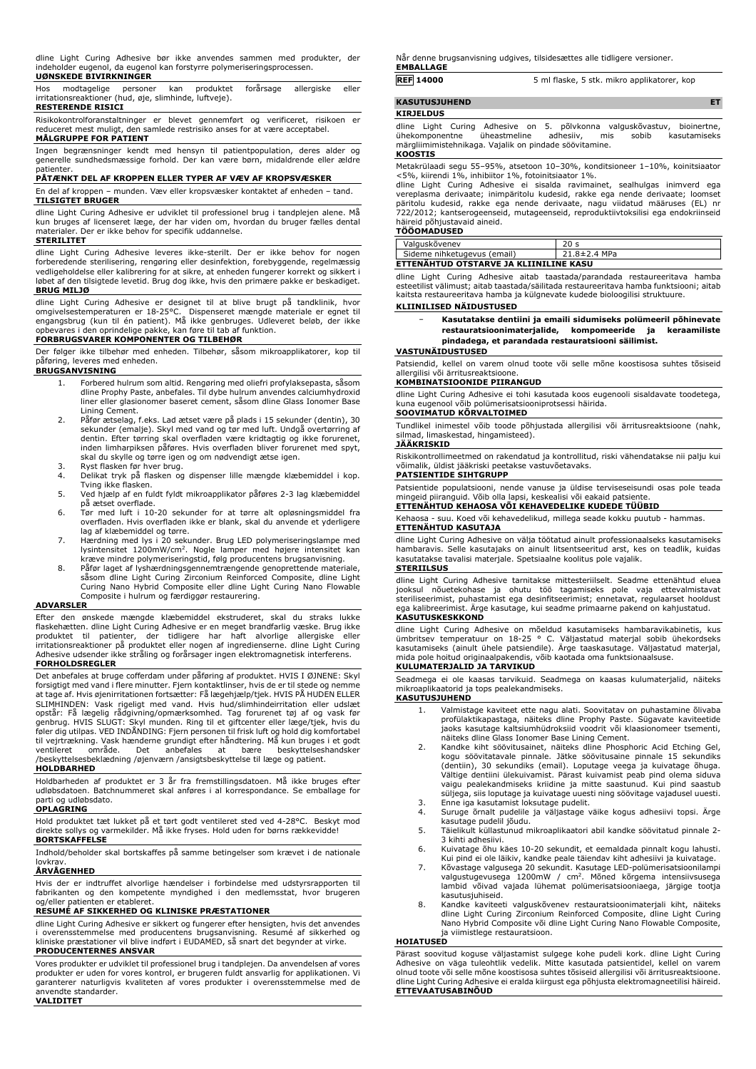dline Light Curing Adhesive bør ikke anvendes sammen med produkter, der indeholder eugenol, da eugenol kan forstyrre polymeriseringsprocessen.

### **UØNSKEDE BIVIRKNINGER**

Hos modtagelige personer kan produktet forårsage allergiske eller irritationsreaktioner (hud, øje, slimhinde, luftveje).

## **RESTERENDE RISICI**

Risikokontrolforanstaltninger er blevet gennemført og verificeret, risikoen er reduceret mest muligt, den samlede restrisiko anses for at være acceptabel. **MÅLGRUPPE FOR PATIENT**

Ingen begrænsninger kendt med hensyn til patientpopulation, deres alder og generelle sundhedsmæssige forhold. Der kan være børn, midaldrende eller ældre **natienter** 

#### **PÅTÆNKT DEL AF KROPPEN ELLER TYPER AF VÆV AF KROPSVÆSKER**

En del af kroppen – munden. Væv eller kropsvæsker kontaktet af enheden – tand. **TILSIGTET BRUGER**

dline Light Curing Adhesive er udviklet til professionel brug i tandplejen alene. Må kun bruges af licenseret læge, der har viden om, hvordan du bruger fælles dental materialer. Der er ikke behov for specifik uddannelse.

# **STERILITET**

dline Light Curing Adhesive leveres ikke-sterilt. Der er ikke behov for nogen forberedende sterilisering, rengøring eller desinfektion, forebyggende, regelmæssig vedligeholdelse eller kalibrering for at sikre, at enheden fungerer korrekt og sikkert i løbet af den tilsigtede levetid. Brug dog ikke, hvis den primære pakke er beskadiget. **BRUG MILJØ**

dline Light Curing Adhesive er designet til at blive brugt på tandklinik, hvor omgivelsestemperaturen er 18-25°C. Dispenseret mængde materiale er egnet til engangsbrug (kun til én patient). Må ikke genbruges. Udleveret beløb, der ikke opbevares i den oprindelige pakke, kan føre til tab af funktion.

# **FORBRUGSVARER KOMPONENTER OG TILBEHØR**

Der følger ikke tilbehør med enheden. Tilbehør, såsom mikroapplikatorer, kop til påføring, leveres med enheden. **BRUGSANVISNING**

- 1. Forbered hulrum som altid. Rengøring med oliefri profylaksepasta, såsom dline Prophy Paste, anbefales. Til dybe hulrum anvendes calciumhydroxid liner eller glasionomer baseret cement, såsom dline Glass Ionomer Base Lining Cement.
- 2. Påfør ætselag, f.eks. Lad ætset være på plads i 15 sekunder (dentin), 30 sekunder (emalje). Skyl med vand og tør med luft. Undgå overtørring af<br>dentin. Efter tørring skal overfladen være kridtagtig og ikke forurenet,<br>inden limharpiksen påføres. Hvis overfladen bliver forurenet med spyt,<br>skal du
- 3. Ryst flasken før hver brug.<br>4. Delikat tryk på flasken oc
- 4. Delikat tryk på flasken og dispenser lille mængde klæbemiddel i kop. Tving ikke flasken.
- 5. Ved hjælp af en fuldt fyldt mikroapplikator påføres 2-3 lag klæbemiddel
- på ætset overflade. 6. Tør med luft i 10-20 sekunder for at tørre alt opløsningsmiddel fra overfladen. Hvis overfladen ikke er blank, skal du anvende et yderligere lag af klæbemiddel og tørre.
- 7. Hærdning med lys i 20 sekunder. Brug LED polymeriseringslampe med lysintensitet 1200mW/cm<sup>2</sup> . Nogle lamper med højere intensitet kan kræve mindre polymeriseringstid, følg producentens brugsanvisning.
- 8. Påfør laget af lyshærdningsgennemtrængende genoprettende materiale, såsom dline Light Curing Zirconium Reinforced Composite, dline Light Curing Nano Hybrid Composite eller dline Light Curing Nano Flowable Composite i hulrum og færdiggør restaurering.

#### **ADVARSLER**

Efter den ønskede mængde klæbemiddel ekstruderet, skal du straks lukke flaskehætten. dline Light Curing Adhesive er en meget brandfarlig væske. Brug ikke produktet til patienter, der tidligere har haft alvorlige allergiske eller irritationsreaktioner på produktet eller nogen af ingredienserne. dline Light Curing Adhesive udsender ikke stråling og forårsager ingen elektromagnetisk interferens. **FORHOLDSREGLER**

Det anbefales at bruge cofferdam under påføring af produktet. HVIS I ØJNENE: Skyl forsigtigt med vand i flere minutter. Fjern kontaktlinser, hvis de er til stede og nemme at tage af. Hvis øjenirritationen fortsætter: Få lægehjælp/tjek. HVIS PÅ HUDEN ELLER SLIMHINDEN: Vask rigeligt med vand. Hvis hud/slimhindeirritation eller udslæt opstår: Få lægelig rådgivning/opmærksomhed. Tag forurenet tøj af og vask før genbrug. HVIS SLUGT: Skyl munden. Ring til et giftcenter eller læge/tjek, hvis du føler dig utilpas. VED INDÅNDING: Fjern personen til frisk luft og hold dig komfortabel til vejrtrækning. Vask hænderne grundigt efter håndtering. Må kun bruges i et godt ventileret område. Det anbefales at bære beskyttelseshandsker /beskyttelsesbeklædning /øjenværn /ansigtsbeskyttelse til læge og patient.

#### **HOLDBARHED**

Holdbarheden af produktet er 3 år fra fremstillingsdatoen. Må ikke bruges efter udløbsdatoen. Batchnummeret skal anføres i al korrespondance. Se emballage for parti og udløbsdato.

# **OPLAGRING**

Hold produktet tæt lukket på et tørt godt ventileret sted ved 4-28°C. Beskyt mod direkte sollys og varmekilder. Må ikke fryses. Hold uden for børns rækkevidde! **BORTSKAFFELSE**

Indhold/beholder skal bortskaffes på samme betingelser som krævet i de nationale lovkrav. **ÅRVÅGENHED**

Hvis der er indtruffet alvorlige hændelser i forbindelse med udstyrsrapporten til fabrikanten og den kompetente myndighed i den medlemsstat, hvor brugeren og/eller patienten er etableret.

#### **RESUMÉ AF SIKKERHED OG KLINISKE PRÆSTATIONER**

dline Light Curing Adhesive er sikkert og fungerer efter hensigten, hvis det anvendes i overensstemmelse med producentens brugsanvisning. Resumé af sikkerhed og kliniske præstationer vil blive indført i EUDAMED, så snart det begynder at virke. **PRODUCENTERNES ANSVAR**

Vores produkter er udviklet til professionel brug i tandplejen. Da anvendelsen af vores produkter er uden for vores kontrol, er brugeren fuldt ansvarlig for applikationen. Vi garanterer naturligvis kvaliteten af vores produkter i overensstemmelse med de anvendte standarder. **VALIDITET**

Når denne brugsanvisning udgives, tilsidesættes alle tidligere versioner.

| EMBALLAGE             |                                             |  |
|-----------------------|---------------------------------------------|--|
| <b>REF 14000</b>      | 5 ml flaske, 5 stk. mikro applikatorer, kop |  |
| --------------------- |                                             |  |

# **KASUTUSJUHEND**

**KIRJELDUS** dline Light Curing Adhesive on 5. põlvkonna valguskõvastuv, bioinertne, ühekomponentne üheastmeline adhesiiv, mis sobib kasutamiseks märgliimimistehnikaga. Vajalik on pindade söövitamine.

#### **KOOSTIS**

Metakrülaadi segu 55–95%, atsetoon 10–30%, konditsioneer 1–10%, koinitsiaator

<5%, kiirendi 1%, inhibiitor 1%, fotoinitsiaator 1%.<br>dline Light Curing Adhesive ei sisalda ravimainet, sealhulgas inimverd ega<br>vereplasma derivaate; inimpäritolu kudesid, rakke ega nende derivaate; loomset<br>päritolu kudesi 722/2012; kantserogeenseid, mutageenseid, reproduktiivtoksilisi ega endokriinseid häireid põhjustavaid aineid.

## **TÖÖOMADUSED**

| Valguskõvenev                          |                    |
|----------------------------------------|--------------------|
| Sideme nihketugevus (email)            | $21.8 \pm 2.4$ MPa |
| ETTENAHTUD OTSTARVE JA KLIINILINE KASU |                    |

dline Light Curing Adhesive aitab taastada/parandada restaureeritava hamba esteetilist välimust; aitab taastada/säilitada restaureeritava hamba funktsiooni; aitab kaitsta restaureeritava hamba ja külgnevate kudede bioloogilisi struktuure.

#### **KLIINILISED NÄIDUSTUSED**

− **Kasutatakse dentiini ja emaili sidumiseks polümeeril põhinevate restauratsioonimaterjalide, kompomeeride ja keraamiliste pindadega, et parandada restauratsiooni säilimist.**

# **VASTUNÄIDUSTUSED**

Patsiendid, kellel on varem olnud toote või selle mõne koostisosa suhtes tõsiseid allergilisi või ärritusreaktsioone.

## **KOMBINATSIOONIDE PIIRANGUD**

dline Light Curing Adhesive ei tohi kasutada koos eugenooli sisaldavate toodetega, kuna eugenool võib polümerisatsiooniprotsessi häirida. **SOOVIMATUD KÕRVALTOIMED**

Tundlikel inimestel võib toode põhjustada allergilisi või ärritusreaktsioone (nahk, silmad, limaskestad, hingamisteed).

# **JÄÄKRISKID**

Riskikontrollimeetmed on rakendatud ja kontrollitud, riski vähendatakse nii palju kui võimalik, üldist jääkriski peetakse vastuvõetavaks. **PATSIENTIDE SIHTGRUPP**

#### Patsientide populatsiooni, nende vanuse ja üldise terviseseisundi osas pole teada mingeid piiranguid. Võib olla lapsi, keskealisi või eakaid patsiente.

### **ETTENÄHTUD KEHAOSA VÕI KEHAVEDELIKE KUDEDE TÜÜBID**

Kehaosa - suu. Koed või kehavedelikud, millega seade kokku puutub - hammas. **ETTENÄHTUD KASUTAJA**

dline Light Curing Adhesive on välja töötatud ainult professionaalseks kasutamiseks hambaravis. Selle kasutajaks on ainult litsentseeritud arst, kes on teadlik, kuidas kasutatakse tavalisi materjale. Spetsiaalne koolitus pole vajalik. **STERIILSUS**

dline Light Curing Adhesive tarnitakse mittesteriilselt. Seadme ettenähtud eluea jooksul nõuetekohase ja ohutu töö tagamiseks pole vaja ettevalmistavat steriliseerimist, puhastamist ega desinfitseerimist; ennetavat, regulaarset hooldust ega kalibreerimist. Ärge kasutage, kui seadme primaarne pakend on kahjustatud.

#### **KASUTUSKESKKOND**

dline Light Curing Adhesive on mõeldud kasutamiseks hambaravikabinetis, kus<br>ümbritsev temperatuur on 18-25 ° C. Väljastatud materjal sobib ühekordseks<br>kasutamiseks (ainult ühele patsiendile). Ärge taaskasutage. Väljastatud mida pole hoitud originaalpakendis, võib kaotada oma funktsionaalsuse. **KULUMATERJALID JA TARVIKUD**

Seadmega ei ole kaasas tarvikuid. Seadmega on kaasas kulumaterjalid, näiteks mikroaplikaatorid ja tops pealekandmiseks. **KASUTUSJUHEND**

- 1. Valmistage kaviteet ette nagu alati. Soovitatav on puhastamine õlivaba profülaktikapastaga, näiteks dline Prophy Paste. Sügavate kaviteetide jaoks kasutage kaltsiumhüdroksiid voodrit või klaasionomeer tsementi, näiteks dline Glass Ionomer Base Lining Cement.
- 2. Kandke kiht söövitusainet, näiteks dline Phosphoric Acid Etching Gel, kogu söövitatavale pinnale. Jätke söövitusaine pinnale 15 sekundiks (dentiin), 30 sekundiks (email). Loputage veega ja kuivatage õhuga. Vältige dentiini ülekuivamist. Pärast kuivamist peab pind olema siduva vaigu pealekandmiseks kriidine ja mitte saastunud. Kui pind saastub süljega, siis loputage ja kuivatage uuesti ning söövitage vajadusel uuesti. 3. Enne iga kasutamist loksutage pudelit.
- 4. Suruge õrnalt pudelile ja väljastage väike kogus adhesiivi topsi. Ärge
- kasutage pudelil jõudu. 5. Täielikult küllastunud mikroaplikaatori abil kandke söövitatud pinnale 2- 3 kihti adhesiivi.
- 6. Kuivatage õhu käes 10-20 sekundit, et eemaldada pinnalt kogu lahusti. Kui pind ei ole läikiv, kandke peale täiendav kiht adhesiivi ja kuivatage.
- 7. Kõvastage valgusega 20 sekundit. Kasutage LED-polümerisatsioonilampi valgustugevusega 1200mW / cm<sup>2</sup> . Mõned kõrgema intensiivsusega lambid võivad vajada lühemat polümerisatsiooniaega, järgige tootja
- kasutusjuhiseid. 8. Kandke kaviteeti valguskõvenev restauratsioonimaterjali kiht, näiteks dline Light Curing Zirconium Reinforced Composite, dline Light Curing Nano Hybrid Composite või dline Light Curing Nano Flowable Composite, ja viimistlege restauratsioon.

#### **HOIATUSED**

Pärast soovitud koguse väljastamist sulgege kohe pudeli kork. dline Light Curing Adhesive on väga tuleohtlik vedelik. Mitte kasutada patsientidel, kellel on varem olnud toote või selle mõne koostisosa suhtes tõsiseid allergilisi või ärritusreaktsioone. dline Light Curing Adhesive ei eralda kiirgust ega põhjusta elektromagneetilisi häireid. **ETTEVAATUSABINÕUD**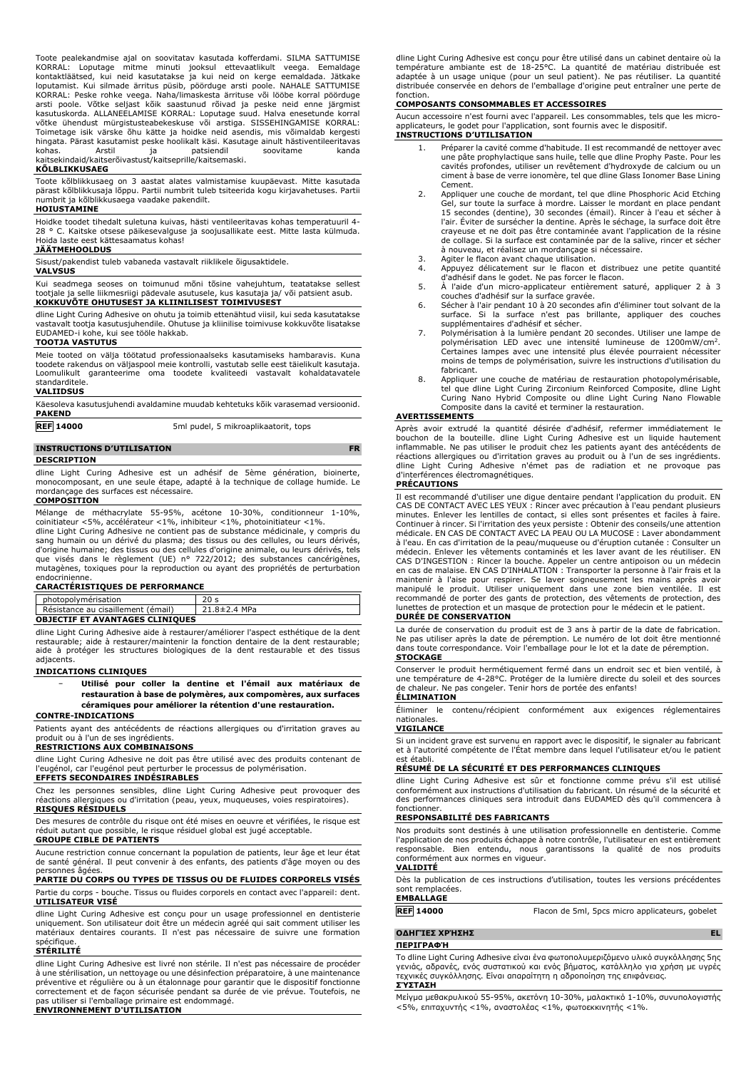Toote pealekandmise ajal on soovitatav kasutada kofferdami. SILMA SATTUMISE KORRAL: Loputage mitme minuti jooksul ettevaatlikult veega. Eemaldage kontaktläätsed, kui neid kasutatakse ja kui neid on kerge eemaldada. Jätkake loputamist. Kui silmade ärritus püsib, pöörduge arsti poole. NAHALE SATTUMISE KORRAL: Peske rohke veega. Naha/limaskesta ärrituse või lööbe korral pöörduge<br>arsti poole. Võtke seljast kõik saastunud rõivad ja peske neid enne järgmist<br>kasutuskorda. ALLANEELAMISE KORRAL: Loputage suud. Halva enesetunde võtke ühendust mürgistusteabekeskuse või arstiga. SISSEHINGAMISE KORRAL: Toimetage isik värske õhu kätte ja hoidke neid asendis, mis võimaldab kergesti hingata. Pärast kasutamist peske hoolikalt käsi. Kasutage ainult hästiventileeritavas kohas. Arstil ja patsiendil soovitame kanda kaitsekindaid/kaitserõivastust/kaitseprille/kaitsemaski.

#### **KÕLBLIKKUSAEG**

Toote kõlblikkusaeg on 3 aastat alates valmistamise kuupäevast. Mitte kasutada pärast kõlblikkusaja lõppu. Partii numbrit tuleb tsiteerida kogu kirjavahetuses. Partii numbrit ja kõlblikkusaega vaadake pakendilt.

#### **HOIUSTAMINE**

Hoidke toodet tihedalt suletuna kuivas, hästi ventileeritavas kohas temperatuuril 4- 28 ° C. Kaitske otsese päikesevalguse ja soojusallikate eest. Mitte lasta külmuda. Hoida laste eest kättesaamatus kohas!

### **JÄÄTMEHOOLDUS**

Sisust/pakendist tuleb vabaneda vastavalt riiklikele õigusaktidele.

### **VALVSUS**

Kui seadmega seoses on toimunud mõni tõsine vahejuhtum, teatatakse sellest tootjale ja selle liikmesriigi pädevale asutusele, kus kasutaja ja/ või patsient asub. **KOKKUVÕTE OHUTUSEST JA KLIINILISEST TOIMIVUSEST**

dline Light Curing Adhesive on ohutu ja toimib ettenähtud viisil, kui seda kasutatakse vastavalt tootja kasutusjuhendile. Ohutuse ja kliinilise toimivuse kokkuvõte lisatakse EUDAMED-i kohe, kui see tööle hakkab.

#### **TOOTJA VASTUTUS**

Meie tooted on välja töötatud professionaalseks kasutamiseks hambaravis. Kuna toodete rakendus on väljaspool meie kontrolli, vastutab selle eest täielikult kasutaja. Loomulikult garanteerime oma toodete kvaliteedi vastavalt kohaldatavatele standarditele.

#### **VALIIDSUS**

Käesoleva kasutusjuhendi avaldamine muudab kehtetuks kõik varasemad versioonid. **PAKEND**

**REF 14000** 5ml pudel, 5 mikroaplikaatorit, tops

### **INSTRUCTIONS D'UTILISATION FR**

#### **DESCRIPTION**

dline Light Curing Adhesive est un adhésif de 5ème génération, bioinerte, monocomposant, en une seule étape, adapté à la technique de collage humide. Le mordançage des surfaces est nécessaire.

#### **COMPOSITION**

Mélange de méthacrylate 55-95%, acétone 10-30%, conditionneur 1-10%,<br>coinitiateur <5%, accélérateur <1%, inhibiteur <1%, photoinitiateur <1%.<br>dline Light Curing Adhesive ne contient pas de substance médicinale, y compris d

sang humain ou un dérivé du plasma; des tissus ou des cellules, ou leurs dérivés, d'origine humaine; des tissus ou des cellules d'origine animale, ou leurs dérivés, tels que visés dans le règlement (UE) n° 722/2012; des substances cancérigènes, mutagènes, toxiques pour la reproduction ou ayant des propriétés de perturbation endocrinienne.

#### **CARACTÉRISTIQUES DE PERFORMANCE**

| photopolymérisation                    |                    |  |  |
|----------------------------------------|--------------------|--|--|
| Résistance au cisaillement (émail)     | $21.8 \pm 2.4$ MPa |  |  |
| <b>OBJECTIF ET AVANTAGES CLINIOUES</b> |                    |  |  |

dline Light Curing Adhesive aide à restaurer/améliorer l'aspect esthétique de la dent restaurable; aide à restaurer/maintenir la fonction dentaire de la dent restaurable; aide à protéger les structures biologiques de la dent restaurable et des tissus adjacents.

# **INDICATIONS CLINIQUES**

− **Utilisé pour coller la dentine et l'émail aux matériaux de restauration à base de polymères, aux compomères, aux surfaces céramiques pour améliorer la rétention d'une restauration.**

## **CONTRE-INDICATIONS**

Patients ayant des antécédents de réactions allergiques ou d'irritation graves au produit ou à l'un de ses ingrédients.

#### **RESTRICTIONS AUX COMBINAISONS**

dline Light Curing Adhesive ne doit pas être utilisé avec des produits contenant de l'eugénol, car l'eugénol peut perturber le processus de polymérisation. **EFFETS SECONDAIRES INDÉSIRABLES**

Chez les personnes sensibles, dline Light Curing Adhesive peut provoquer des réactions allergiques ou d'irritation (peau, yeux, muqueuses, voies respiratoires). **RISQUES RÉSIDUELS**

Des mesures de contrôle du risque ont été mises en oeuvre et vérifiées, le risque est réduit autant que possible, le risque résiduel global est jugé acceptable.

# **GROUPE CIBLE DE PATIENTS**

Aucune restriction connue concernant la population de patients, leur âge et leur état de santé général. Il peut convenir à des enfants, des patients d'âge moyen ou des personnes âgées.

# **PARTIE DU CORPS OU TYPES DE TISSUS OU DE FLUIDES CORPORELS VISÉS** Partie du corps - bouche. Tissus ou fluides corporels en contact avec l'appareil: dent. **UTILISATEUR VISÉ**

dline Light Curing Adhesive est conçu pour un usage professionnel en dentisterie uniquement. Son utilisateur doit être un médecin agréé qui sait comment utiliser les matériaux dentaires courants. Il n'est pas nécessaire de suivre une formation

# spécifique. **STÉRILITÉ**

dline Light Curing Adhesive est livré non stérile. Il n'est pas nécessaire de procéder à une stérilisation, un nettoyage ou une désinfection préparatoire, à une maintenance préventive et régulière ou à un étalonnage pour garantir que le dispositif fonctionne correctement et de façon sécurisée pendant sa durée de vie prévue. Toutefois, ne pas utiliser si l'emballage primaire est endommagé. **ENVIRONNEMENT D'UTILISATION**

dline Light Curing Adhesive est conçu pour être utilisé dans un cabinet dentaire où la température ambiante est de 18-25°C. La quantité de matériau distribuée est adaptée à un usage unique (pour un seul patient). Ne pas réutiliser. La quantité distribuée conservée en dehors de l'emballage d'origine peut entraîner une perte de fonction.

# **COMPOSANTS CONSOMMABLES ET ACCESSOIRES**

Aucun accessoire n'est fourni avec l'appareil. Les consommables, tels que les micro-applicateurs, le godet pour l'application, sont fournis avec le dispositif. **INSTRUCTIONS D'UTILISATION**

- 1. Préparer la cavité comme d'habitude. Il est recommandé de nettoyer avec une pâte prophylactique sans huile, telle que dline Prophy Paste. Pour les cavités profondes, utiliser un revêtement d'hydroxyde de calcium ou un ciment à base de verre ionomère, tel que dline Glass Ionomer Base Lining Cement.
- 2. Appliquer une couche de mordant, tel que dline Phosphoric Acid Etching Gel, sur toute la surface à mordre. Laisser le mordant en place pendant 15 secondes (dentine), 30 secondes (émail). Rincer à l'eau et sécher à l'air. Éviter de sursécher la dentine. Après le séchage, la surface doit être crayeuse et ne doit pas être contaminée avant l'application de la résine de collage. Si la surface est contaminée par de la salive, rincer et sécher à nouveau, et réalisez un mordançage si nécessaire.
- 3. Agiter le flacon avant chaque utilisation.<br>4. Appuyez délicatement sur le flacon et
- Appuyez délicatement sur le flacon et distribuez une petite quantité d'adhésif dans le godet. Ne pas forcer le flacon.
- 5. À l'aide d'un micro-applicateur entièrement saturé, appliquer 2 à 3 couches d'adhésif sur la surface gravée.
- 6. Sécher à l'air pendant 10 à 20 secondes afin d'éliminer tout solvant de la surface. Si la surface n'est pas brillante, appliquer des couches supplémentaires d'adhésif et sécher.
- 7. Polymérisation à la lumière pendant 20 secondes. Utiliser une lampe de polymérisation LED avec une intensité lumineuse de 1200mW/cm<sup>2</sup> . Certaines lampes avec une intensité plus élevée pourraient nécessiter moins de temps de polymérisation, suivre les instructions d'utilisation du fabricant.
- 8. Appliquer une couche de matériau de restauration photopolymérisable, tel que dline Light Curing Zirconium Reinforced Composite, dline Light Curing Nano Hybrid Composite ou dline Light Curing Nano Flowable Composite dans la cavité et terminer la restauration.

#### **AVERTISSEMENTS**

Après avoir extrudé la quantité désirée d'adhésif, refermer immédiatement le bouchon de la bouteille. dline Light Curing Adhesive est un liquide hautement inflammable. Ne pas utiliser le produit chez les patients ayant des antécédents de réactions allergiques ou d'irritation graves au produit ou à l'un de ses ingrédients. dline Light Curing Adhesive n'émet pas de radiation et ne provoque pas d'interférences électromagnétiques.

#### **PRÉCAUTIONS**

Il est recommandé d'utiliser une digue dentaire pendant l'application du produit. EN CAS DE CONTACT AVEC LES YEUX : Rincer avec précaution à l'eau pendant plusieurs minutes. Enlever les lentilles de contact, si elles sont présentes et faciles à faire. Continuer à rincer. Si l'irritation des yeux persiste : Obtenir des conseils/une attention médicale. EN CAS DE CONTACT AVEC LA PEAU OU LA MUCOSE : Laver abondamment à l'eau. En cas d'irritation de la peau/muqueuse ou d'éruption cutanée : Consulter un médecin. Enlever les vêtements contaminés et les laver avant de les réutiliser. EN CAS D'INGESTION : Rincer la bouche. Appeler un centre antipoison ou un médecin<br>en cas de malaise. EN CAS D'INHALATION : Transporter la personne à l'air frais et la<br>maintenir à l'aise pour respirer. Se laver soigneusement l lunettes de protection et un masque de protection pour le médecin et le patient. **DURÉE DE CONSERVATION**

La durée de conservation du produit est de 3 ans à partir de la date de fabrication. Ne pas utiliser après la date de péremption. Le numéro de lot doit être mentionné dans toute correspondance. Voir l'emballage pour le lot et la date de péremption. **STOCKAGE**

Conserver le produit hermétiquement fermé dans un endroit sec et bien ventilé, à une température de 4-28°C. Protéger de la lumière directe du soleil et des sources de chaleur. Ne pas congeler. Tenir hors de portée des enfants! **ÉLIMINATION**

Éliminer le contenu/récipient conformément aux exigences réglementaires nationale

# **VIGILANCE**

Si un incident grave est survenu en rapport avec le dispositif, le signaler au fabricant et à l'autorité compétente de l'État membre dans lequel l'utilisateur et/ou le patient est établi.

### **RÉSUMÉ DE LA SÉCURITÉ ET DES PERFORMANCES CLINIQUES**

dline Light Curing Adhesive est sûr et fonctionne comme prévu s'il est utilisé conformément aux instructions d'utilisation du fabricant. Un résumé de la sécurité et des performances cliniques sera introduit dans EUDAMED dès qu'il commencera à fonctionne

# **RESPONSABILITÉ DES FABRICANTS**

Nos produits sont destinés à une utilisation professionnelle en dentisterie. Comme l'application de nos produits échappe à notre contrôle, l'utilisateur en est entièrement responsable. Bien entendu, nous garantissons la qualité de nos produits conformément aux normes en vigueur. **VALIDITÉ**

Dès la publication de ces instructions d'utilisation, toutes les versions précédentes sont remplacées.

# **EMBALLAGE**

**REF 14000** Flacon de 5ml, 5pcs micro applicateurs, gobelet

# **ΟΔΗΓΊΕΣ ΧΡΉΣΗΣ EL**

#### **ΠΕΡΙΓΡΑΦΉ**

Το dline Light Curing Adhesive είναι ένα φωτοπολυμεριζόμενο υλικό συγκόλλησης 5ης γενιάς, αδρανές, ενός συστατικού και ενός βήματος, κατάλληλο για χρήση με υγρές τεχνικές συγκόλλησης. Είναι απαραίτητη η αδροποίηση της επιφάνειας. **ΣΎΣΤΑΣΗ**

Μείγμα μεθακρυλικού 55-95%, ακετόνη 10-30%, μαλακτικό 1-10%, συνυπολογιστής <5%, επιταχυντής <1%, αναστολέας <1%, φωτοεκκινητής <1%.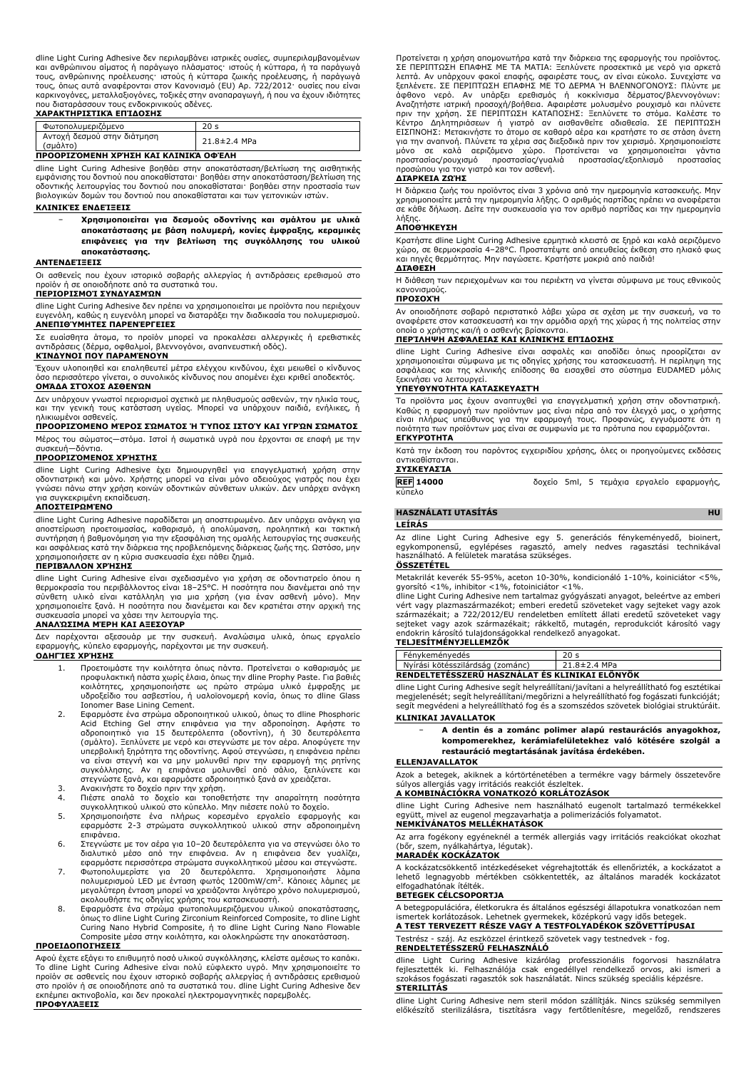dline Light Curing Adhesive δεν περιλαμβάνει ιατρικές ουσίες, συμπεριλαμβανομένων και ανθρώπινου αίματος ή παράγωγο πλάσματος· ιστούς ή κύτταρα, ή τα παράγωγά<br>τους, ανθρώπινης προέλευσης· ιστούς ή κύτταρα ζωικής προέλευσης, ή παράγωγά<br>τους, όπως αυτά αναφέρονται στον Κανονισμό (EU) Αρ. 722/2012· ουσίες καρκινογόνες, μεταλλαξιογόνες, τοξικές στην αναπαραγωγή, ή που να έχουν ιδιότητες που διαταράσσουν τους ενδοκρινικούς αδένες.

# **ΧΑΡΑΚΤΗΡΙΣΤΙΚΆ ΕΠΊΔΟΣΗΣ**

| Φωτοπολυμεριζόμενο                      | 20 <sub>s</sub> |
|-----------------------------------------|-----------------|
| Αντοχή δεσμού στην διάτμηση<br>(σμάλτο) | 21.8±2.4 MPa    |

**ΠΡΟΟΡΙΖΌΜΕΝΗ ΧΡΉΣΗ ΚΑΙ ΚΛΙΝΙΚΆ ΟΦΈΛΗ**

dline Light Curing Adhesive βοηθάει στην αποκατάσταση/βελτίωση της αισθητικής<br>εμφάνισης του δοντιού που αποκαθίσταται· βοηθάει στην αποκατάσταση/βελτίωση της<br>οδοντικής λειτουργίας του δοντιού που αποκαθίσταται· βοηθάει στ

#### **ΚΛΙΝΙΚΈΣ ΕΝΔΕΊΞΕΙΣ**

− **Χρησιμοποιείται για δεσμούς οδοντίνης και σμάλτου με υλικά αποκατάστασης με βάση πολυμερή, κονίες έμφραξης, κεραμικές επιφάνειες για την βελτίωση της συγκόλλησης του υλικού αποκατάστασης.**

#### **ΑΝΤΕΝΔΕΊΞΕΙΣ**

Οι ασθενείς που έχουν ιστορικό σοβαρής αλλεργίας ή αντιδράσεις ερεθισμού στο προϊόν ή σε οποιοδήποτε από τα συστατικά του.

#### **ΠΕΡΙΟΡΙΣΜΟΊ ΣΥΝΔΥΑΣΜΏΝ**

dline Light Curing Adhesive δεν πρέπει να χρησιμοποιείται με προϊόντα που περιέχουν ευγενόλη, καθώς η ευγενόλη μπορεί να διαταράξει την διαδικασία του πολυμερισμού. **ΑΝΕΠΙΘΎΜΗΤΕΣ ΠΑΡΕΝΈΡΓΕΙΕΣ**

Σε ευαίσθητα άτομα, το προϊόν μπορεί να προκαλέσει αλλεργικές ή ερεθιστικές αντιδράσεις (δέρμα, οφθαλμοί, βλεννογόνοι, αναπνευστική οδός).

# **ΚΊΝΔΥΝΟΙ ΠΟΥ ΠΑΡΑΜΈΝΟΥΝ**

Έχουν υλοποιηθεί και επαληθευτεί μέτρα ελέγχου κινδύνου, έχει μειωθεί ο κίνδυνος όσο περισσότερο γίνεται, ο συνολικός κίνδυνος που απομένει έχει κριθεί αποδεκτός. **ΟΜΆΔΑ ΣΤΌΧΟΣ ΑΣΘΕΝΏΝ**

Δεν υπάρχουν γνωστοί περιορισμοί σχετικά με πληθυσμούς ασθενών, την ηλικία τους, και την γενική τους κατάσταση υγείας. Μπορεί να υπάρχουν παιδιά, ενήλικες, ή ηλικιωμένοι ασθενείς. **ΠΡΟΟΡΙΖΌΜΕΝΟ ΜΈΡΟΣ ΣΏΜΑΤΟΣ Ή ΤΎΠΟΣ ΙΣΤΟΎ ΚΑΙ ΥΓΡΏΝ ΣΏΜΑΤΟΣ**

Μέρος του σώματος—στόμα. Ιστοί ή σωματικά υγρά που έρχονται σε επαφή με την συσκευή—δόντια.

#### **ΠΡΟΟΡΙΖΌΜΕΝΟΣ ΧΡΉΣΤΗΣ**

dline Light Curing Adhesive έχει δημιουργηθεί για επαγγελματική χρήση στην οδοντιατρική και μόνο. Χρήστης μπορεί να είναι μόνο αδειούχος γιατρός που έχει γνώσει πάνω στην χρήση κοινών οδοντικών σύνθετων υλικών. Δεν υπάρχει ανάγκη για συγκεκριμένη εκπαίδευση.

#### **ΑΠΟΣΤΕΙΡΩΜΈΝΟ**

dline Light Curing Adhesive παραδίδεται μη αποστειρωμένο. Δεν υπάρχει ανάγκη για αποστείρωση προετοιμασίας, καθαρισμό, ή απολύμανση, προληπτική και τακτική συντήρηση ή βαθμονόμηση για την εξασφάλιση της ομαλής λειτουργίας της συσκευής και ασφάλειας κατά την διάρκεια της προβλεπόμενης διάρκειας ζωής της. Ωστόσο, μην χρησιμοποιήσετε αν η κύρια συσκευασία έχει πάθει ζημιά. **ΠΕΡΙΒΆΛΛΟΝ ΧΡΉΣΗΣ**

dline Light Curing Adhesive είναι σχεδιασμένο για χρήση σε οδοντιατρείο όπου η θερμοκρασία του περιβάλλοντος είναι 18–25°C. Η ποσότητα που διανέμεται από την σύνθετη υλικό είναι κατάλληλη για μια χρήση (για έναν ασθενή μόνο). Μην χρησιμοποιείτε ξανά. Η ποσότητα που διανέμεται και δεν κρατιέται στην αρχική της συσκευασία μπορεί να χάσει την λειτουργία της. **ΑΝΑΛΏΣΙΜΑ ΜΈΡΗ ΚΑΙ ΑΞΕΣΟΥΆΡ**

Δεν παρέχονται αξεσουάρ με την συσκευή. Αναλώσιμα υλικά, όπως εργαλείο εφαρμογής, κύπελο εφαρμογής, παρέχονται με την συσκευή. **ΟΔΗΓΊΕΣ ΧΡΉΣΗΣ**

- 1. Προετοιμάστε την κοιλότητα όπως πάντα. Προτείνεται ο καθαρισμός με προφυλακτική πάστα χωρίς έλαια, όπως την dline Prophy Paste. Για βαθιές κοιλότητες, χρησιμοποιήστε ως πρώτο στρώμα υλικό έμφραξης με υδροξείδιο του ασβεστίου, ή υαλοϊονομερή κονία, όπως το dline Glass Ionomer Base Lining Cement.
- 2. Εφαρμόστε ένα στρώμα αδροποιητικού υλικού, όπως το dline Phosphoric Acid Etching Gel στην επιφάνεια για την αδροποίηση. Αφήστε το<br>αδροποιητικό για 15 δευτερόλειπτα (οδοντίνη), ή 30 δευτερόλεπτα<br>(σμάλτο).Ξεπλύνετε με νερό και στεγνώστε με τον αέρα.Αποφύγετε την<br>υπερβολική ξηρότητα της οδον να είναι στεγνή και να μην μολυνθεί πριν την εφαρμογή της ρητίνης<br>συγκόλλησης. Αν η επιφάνεια μολυνθεί από σάλιο, ξεπλύνετε και<br>στεγνώστε ξανά, και εφαρμόστε αδροποιητικό ξανάαν χρειάζεται.
- 
- 3. Ανακινήστε το δοχείο πριν την χρήση. 4. Πιέστε απαλά το δοχείο και τοποθετήστε την απαραίτητη ποσότητα συγκολλητικού υλικού στο κύπελλο. Μην πιέσετε πολύ το δοχείο. 5. Χρησιμοποιήστε ένα πλήρως κορεσμένο εργαλείο εφαρμογής και
- εφαρμόστε 2-3 στρώματα συγκολλητικού υλικού στην αδροποιημένη επιφάνεια.
- 6. Στεγνώστε με τον αέρα για 10–20 δευτερόλεπτα για να στεγνώσει όλο το διαλυτικό μέσο από την επιφάνεια. Αν η επιφάνεια δεν γυαλίζει, εφαρμόστε περισσότερα στρώματα συγκολλητικού μέσου και στεγνώστε.
- 7. Φωτοπολυμερίστε για 20 δευτερόλεπτα. Χρησιμοποιήστε λάμπα πολυμερισμού LED με ένταση φωτός 1200mW/cm<sup>2</sup> . Κάποιες λάμπες με μεγαλύτερη ένταση μπορεί να χρειάζονται λιγότερο χρόνο πολυμερισμού,
- ακολουθήστε τις οδηγίες χρήσης του κατασκευαστή.<br>8. Εφαρμόστε ένα στρώμα φωτοπολυμεριζόμενου υλικού αποκατάστασης,<br>όπως το dline Light Curing Zirconium Reinforced Composite, το dline Light<br>Curing Nano Hybrid Composite Composite μέσα στην κοιλότητα, και ολοκληρώστε την αποκατάσταση.

#### **ΠΡΟΕΙΔΟΠΟΙΉΣΕΙΣ**

Αφού έχετε εξάγει το επιθυμητό ποσό υλικού συγκόλλησης, κλείστε αμέσως το καπάκι.<br>Το dline Light Curing Adhesive είναι πολύ εύφλεκτο υγρό. Μην χρησιμοποιείτε το<br>προϊόν σε ασθενείς που έχουν ιστορικό σοβαρής αλλεργίας ή αν στο προϊόν ή σε οποιοδήποτε από τα συστατικά του. dline Light Curing Adhesive δεν εκπέμπει ακτινοβολία, και δεν προκαλεί ηλεκτρομαγνητικές παρεμβολές. **ΠΡΟΦΥΛΆΞΕΙΣ**

Προτείνεται η χρήση απομονωτήρα κατά την διάρκεια της εφαρμογής του προϊόντος. ΣΕ ΠΕΡΙΠΤΩΣΗ ΕΠΑΦΗΣ ΜΕ ΤΑ ΜΑΤΙΑ: Ξεπλύνετε προσεκτικά με νερό για αρκετά λεπτά. Αν υπάρχουν φακοί επαφής, αφαιρέστε τους, αν είναι εύκολο. Συνεχίστε να ξεπλένετε. ΣΕ ΠΕΡΙΠΤΩΣΗ ΕΠΑΦΗΣ ΜΕ ΤΟ ΔΕΡΜΑ Ή ΒΛΕΝΝΟΓΟΝΟΥΣ: Πλύντε με άφθονο νερό. Αν υπάρξει ερεθισμός ή κοκκίνισμα δέρματος/βλεννογόνων:<br>Αναζητήστε ιατρική προσοχή/βοήθεια. Αφαιρέστε μολυσμένο ρουχισμό και πλύνετε<br>πριν την χρήση. ΣΕ ΠΕΡΙΠΤΩΣΗ ΚΑΤΑΠΟΣΗΣ: Ξεπλύνετε το στόμα. Καλέστε το<br>Κέντ για την αναπνοή. Πλύνετε τα χέρια σας διεξοδικά πριν τον χειρισμό. Χρησιμοποιείστε μόνο σε καλά αεριζόμενο χώρο. Προτείνεται να χρησιμοποιείται γάντια προστασίας/ρουχισμό προστασίας/γυαλιά προστασίας/εξοπλισμό προστασίας προσώπου για τον γιατρό και τον ασθενή. **ΔΙΆΡΚΕΙΑ ΖΩΉΣ**

Η διάρκεια ζωής του προϊόντος είναι 3 χρόνια από την ημερομηνία κατασκευής. Μην χρησιμοποιείτε μετά την ημερομηνία λήξης. Ο αριθμός παρτίδας πρέπει να αναφέρεται σε κάθε δήλωση. Δείτε την συσκευασία για τον αριθμό παρτίδας και την ημερομηνία λήξης.

# **ΑΠΟΘΉΚΕΥΣΗ**

Κρατήστε dline Light Curing Adhesive ερμητικά κλειστό σε ξηρό και καλά αεριζόμενο χώρο, σε θερμοκρασία 4–28°C. Προστατέψτε από απευθείας έκθεση στο ηλιακό φως και πηγές θερμότητας. Μην παγώσετε. Κρατήστε μακριά από παιδιά!

# **ΔΙΆΘΕΣΗ**

Η διάθεση των περιεχομένων και του περιέκτη να γίνεται σύμφωνα με τους εθνικούς κανονισμούς. **ΠΡΟΣΟΧΉ**

Αν οποιοδήποτε σοβαρό περιστατικό λάβει χώρα σε σχέση με την συσκευή, να το αναφέρετε στον κατασκευαστή και την αρμόδια αρχή της χώρας ή της πολιτείας στην οποία ο χρήστης και/ή ο ασθενής βρίσκονται.

### **ΠΕΡΊΛΗΨΗ ΑΣΦΆΛΕΙΑΣ ΚΑΙ ΚΛΙΝΙΚΉΣ ΕΠΊΔΟΣΗΣ**

dline Light Curing Adhesive είναι ασφαλές και αποδίδει όπως προορίζεται αν χρησιμοποιείται σύμφωνα με τις οδηγίες χρήσης του κατασκευαστή. Η περίληψη της ασφάλειας και της κλινικής επίδοσης θα εισαχθεί στο σύστημα EUDAMED μόλις

# ξεκινήσει να λειτουργεί. **ΥΠΕΥΘΥΝΌΤΗΤΑ ΚΑΤΑΣΚΕΥΑΣΤΉ**

Τα προϊόντα μας έχουν αναπτυχθεί για επαγγελματική χρήση στην οδοντιατρική. Καθώς η εφαρμογή των προϊόντων μας είναι πέρα από τον έλεγχό μας, ο χρήστης είναι πλήρως υπεύθυνος για την εφαρμογή τους. Προφανώς, εγγυόμαστε ότι η ποιότητα των προϊόντων μας είναι σε συμφωνία με τα πρότυπα που εφαρμόζονται. **ΕΓΚΥΡΌΤΗΤΑ**

Κατά την έκδοση του παρόντος εγχειριδίου χρήσης, όλες οι προηγούμενες εκδόσεις αντικαθίστανται.

# **ΣΥΣΚΕΥΑΣΊΑ** κύπελο

**REF 14000** δοχείο 5ml, 5 τεμάχια εργαλείο εφαρμογής,

### **HASZNÁLATI UTASÍTÁS HU**

**LEÍRÁS**

Az dline Light Curing Adhesive egy 5. generációs fénykeményedő, bioinert, egykomponensű, egylépéses ragasztó, amely nedves ragasztási technikával használható. A felületek maratása szükséges.

#### **ÖSSZETÉTEL**

Metakrilát keverék 55-95%, aceton 10-30%, kondicionáló 1-10%, koiniciátor <5%,

gyorsító <1%, inhibitor <1%, fotoiniciátor <1%. dline Light Curing Adhesive nem tartalmaz gyógyászati anyagot, beleértve az emberi vért vagy plazmaszármazékot; emberi eredetű szöveteket vagy sejteket vagy azok származékait; a 722/2012/EU rendeletben említett állati eredetű szöveteket vagy sejteket vagy azok származékait; rákkeltő, mutagén, reprodukciót károsító vagy endokrin károsító tulajdonságokkal rendelkező anyagokat.

#### **TELJESÍTMÉNYJELLEMZŐK**

| Fénykeményedés                                 | 20 s         |
|------------------------------------------------|--------------|
| Nyírási kötésszilárdság (zománc)               | 21.8±2.4 MPa |
| RENDELTETÉSSZERŰ HASZNÁLAT ÉS KLINIKAI ELŐNYÖK |              |
|                                                |              |

dline Light Curing Adhesive segít helyreállítani/javítani a helyreállítható fog esztétikai megjelenését; segít helyreállítani/megőrizni a helyreállítható fog fogászati funkcióját; segít megvédeni a helyreállítható fog és a szomszédos szövetek biológiai struktúráit. **KLINIKAI JAVALLATOK**

− **A dentin és a zománc polimer alapú restaurációs anyagokhoz, kompomerekhez, kerámiafelületekhez való kötésére szolgál a restauráció megtartásának javítása érdekében.**

#### **ELLENJAVALLATOK**

Azok a betegek, akiknek a kórtörténetében a termékre vagy bármely összetevőre súlyos allergiás vagy irritációs reakciót észleltek.

### **A KOMBINÁCIÓKRA VONATKOZÓ KORLÁTOZÁSOK**

dline Light Curing Adhesive nem használható eugenolt tartalmazó termékekkel együtt, mivel az eugenol megzavarhatja a polimerizációs folyamatot.

#### **NEMKÍVÁNATOS MELLÉKHATÁSOK**

Az arra fogékony egyéneknél a termék allergiás vagy irritációs reakciókat okozhat (bőr, szem, nyálkahártya, légutak). **MARADÉK KOCKÁZATOK**

A kockázatcsökkentő intézkedéseket végrehajtották és ellenőrizték, a kockázatot a lehető legnagyobb mértékben csökkentették, az általános maradék kockázatot elfogadhatónak ítélték.

#### **BETEGEK CÉLCSOPORTJA**

A betegpopulációra, életkorukra és általános egészségi állapotukra vonatkozóan nem ismertek korlátozások. Lehetnek gyermekek, középkorú vagy idős betegek. **A TEST TERVEZETT RÉSZE VAGY A TESTFOLYADÉKOK SZÖVETTÍPUSAI**

Testrész - száj. Az eszközzel érintkező szövetek vagy testnedvek - fog. **RENDELTETÉSSZERŰ FELHASZNÁLÓ**

dline Light Curing Adhesive kizárólag professzionális fogorvosi használatra fejlesztették ki. Felhasználója csak engedéllyel rendelkező orvos, aki ismeri a szokásos fogászati ragasztók sok használatát. Nincs szükség speciális képzésre. **STERILITÁS**

dline Light Curing Adhesive nem steril módon szállítják. Nincs szükség semmilyen előkészítő sterilizálásra, tisztításra vagy fertőtlenítésre, megelőző, rendszeres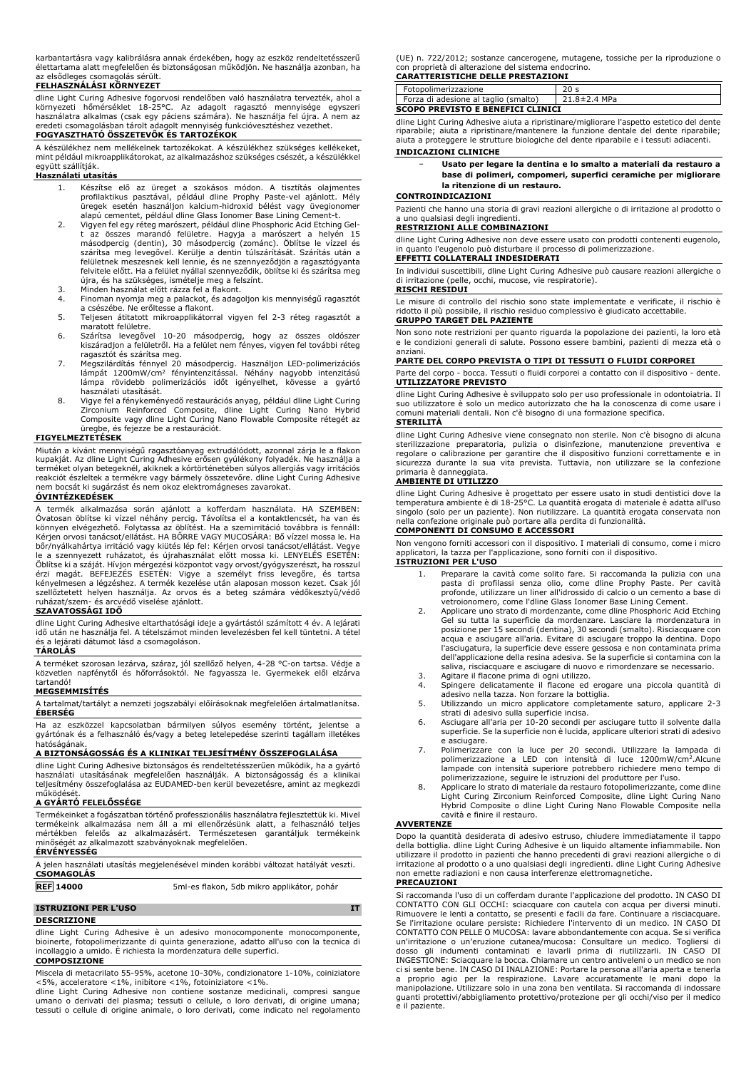karbantartásra vagy kalibrálásra annak érdekében, hogy az eszköz rendeltetésszerű élettartama alatt megfelelően és biztonságosan működjön. Ne használja azonban, ha az elsődleges csomagolás sérült.

## **FELHASZNÁLÁSI KÖRNYEZET**

dline Light Curing Adhesive fogorvosi rendelőben való használatra tervezték, ahol a környezeti hőmérséklet 18-25°C. Az adagolt ragasztó mennyisége egyszeri használatra alkalmas (csak egy páciens számára). Ne használja fel újra. A nem az eredeti csomagolásban tárolt adagolt mennyiség funkcióvesztéshez vezethet. **FOGYASZTHATÓ ÖSSZETEVŐK ÉS TARTOZÉKOK**

A készülékhez nem mellékelnek tartozékokat. A készülékhez szükséges kellékeket, mint például mikroapplikátorokat, az alkalmazáshoz szükséges csészét, a készülékkel

# együtt szállítják. **Használati utasítás**

- 1. Készítse elő az üreget a szokásos módon. A tisztítás olajmentes profilaktikus pasztával, például dline Prophy Paste-vel ajánlott. Mély üregek esetén használjon kalcium-hidroxid bélést vagy üvegionomer
- alapú cementet, például dline Glass Ionomer Base Lining Cement-t. 2. Vigyen fel egy réteg marószert, például dline Phosphoric Acid Etching Gelt az összes marandó felületre. Hagyja a marószert a helyén 15<br>másodpercig (dentin), 30 másodpercig (zománc). Öblítse le vízzel és<br>szárítsa meg levegővel. Kerülje a dentin túlszárítását. Szárítás után a<br>felületnek meszesnek
- újra, és ha szükséges, ismételje meg a felszínt. 3. Minden használat előtt rázza fel a flakont.
- 4. Finoman nyomja meg a palackot, és adagoljon kis mennyiségű ragasztót a csészébe. Ne erőltesse a flakont. 5. Teljesen átitatott mikroapplikátorral vigyen fel 2-3 réteg ragasztót a
- 
- maratott felületre. 6. Szárítsa levegővel 10-20 másodpercig, hogy az összes oldószer kiszáradjon a felületről. Ha a felület nem fényes, vigyen fel további réteg
- ragasztót és szárítsa meg.<br>7. Megszilárdítás fénnyel 20 másodpercig. Használjon LED-polimerizációs<br>– lámpát 1200mW/cm<sup>2</sup> fényintenzitással. Néhány nagyobb intenzitású<br>– lámpa rövidebb polimerizációs –időt –igényelh használati utasítását.
- 8. Vigye fel a fénykeményedő restaurációs anyag, például dline Light Curing Zirconium Reinforced Composite, dline Light Curing Nano Hybrid Composite vagy dline Light Curing Nano Flowable Composite rétegét az üregbe, és fejezze be a restaurációt.

### **FIGYELMEZTETÉSEK**

Miután a kívánt mennyiségű ragasztóanyag extrudálódott, azonnal zárja le a flakon kupakját. Az dline Light Curing Adhesive erősen gyúlékony folyadék. Ne használja a terméket olyan betegeknél, akiknek a kórtörténetében súlyos allergiás vagy irritációs reakciót észleltek a termékre vagy bármely összetevőre. dline Light Curing Adhesive nem bocsát ki sugárzást és nem okoz elektromágneses zavarokat.

#### **ÓVINTÉZKEDÉSEK**

A termék alkalmazása során ajánlott a kofferdam használata. HA SZEMBEN: Óvatosan öblítse ki vízzel néhány percig. Távolítsa el a kontaktlencsét, ha van és könnyen elvégezhető. Folytassa az öblítést. Ha a szemirritáció továbbra is fennáll: Kérjen orvosi tanácsot/ellátást. HA BORRE VAGY MUCOSARA: Bő vízzel mossa le. Ha<br>bőr/nyálkahártya irritáció vagy kiütés lép fel: Kérjen orvosi tanácsot/ellátást. Vegye<br>le a szennyezett ruházatot, és újrahasználat előtt moss kényelmesen a légzéshez. A termék kezelése után alaposan mosson kezet. Csak jól szellőztetett helyen használja. Az orvos és a beteg számára védőkesztyű/védő ruházat/szem- és arcvédő viselése ajánlott.

#### **SZAVATOSSÁGI IDŐ**

dline Light Curing Adhesive eltarthatósági ideje a gyártástól számított 4 év. A lejárati idő után ne használja fel. A tételszámot minden levelezésben fel kell tüntetni. A tétel és a lejárati dátumot lásd a csomagoláson.

# **TÁROLÁS**

A terméket szorosan lezárva, száraz, jól szellőző helyen, 4-28 °C-on tartsa. Védje a közvetlen napfénytől és hőforrásoktól. Ne fagyassza le. Gyermekek elől elzárva tartandó!

# **MEGSEMMISÍTÉS**

A tartalmat/tartályt a nemzeti jogszabályi előírásoknak megfelelően ártalmatlanítsa. **ÉBERSÉG**

Ha az eszközzel kapcsolatban bármilyen súlyos esemény történt, jelentse a gyártónak és a felhasználó és/vagy a beteg letelepedése szerinti tagállam illetékes hatóságának.

# **A BIZTONSÁGOSSÁG ÉS A KLINIKAI TELJESÍTMÉNY ÖSSZEFOGLALÁSA**

dline Light Curing Adhesive biztonságos és rendeltetésszerűen működik, ha a gyártó használati utasításának megfelelően használják. A biztonságosság és a klinikai teljesítmény összefoglalása az EUDAMED-ben kerül bevezetésre, amint az megkezdi

# működését. **A GYÁRTÓ FELELŐSSÉGE**

Termékeinket a fogászatban történő professzionális használatra fejlesztettük ki. Mivel termékeink alkalmazása nem áll a mi ellenőrzésünk alatt, a felhasználó teljes mértékben felelős az alkalmazásért. Természetesen garantáljuk termékeink minőségét az alkalmazott szabványoknak megfelelően. **ÉRVÉNYESSÉG**

A jelen használati utasítás megjelenésével minden korábbi változat hatályát veszti. **CSOMAGOLÁS**

**REF 14000** 5ml-es flakon, 5db mikro applikátor, pohár

### **ISTRUZIONI PER L'USO IT**

**DESCRIZIONE**

dline Light Curing Adhesive è un adesivo monocomponente monocomponente, bioinerte, fotopolimerizzante di quinta generazione, adatto all'uso con la tecnica di incollaggio a umido. È richiesta la mordenzatura delle superfici. **COMPOSIZIONE**

Miscela di metacrilato 55-95%, acetone 10-30%, condizionatore 1-10%, coiniziatore <5%, acceleratore <1%, inibitore <1%, fotoiniziatore <1%.

dline Light Curing Adhesive non contiene sostanze medicinali, compresi sangue umano o derivati del plasma; tessuti o cellule, o loro derivati, di origine umana; tessuti o cellule di origine animale, o loro derivati, come indicato nel regolamento (UE) n. 722/2012; sostanze cancerogene, mutagene, tossiche per la riproduzione o con proprietà di alterazione del sistema endocrino. **CARATTERISTICHE DELLE PRESTAZIONI**

| Fotopolimerizzazione                     |              |  |  |  |
|------------------------------------------|--------------|--|--|--|
| Forza di adesione al taglio (smalto)     | 21.8±2.4 MPa |  |  |  |
| <b>SCOPO PREVISTO E BENEFICI CLINICI</b> |              |  |  |  |

dline Light Curing Adhesive aiuta a ripristinare/migliorare l'aspetto estetico del dente riparabile; aiuta a ripristinare/mantenere la funzione dentale del dente riparabile; aiuta a proteggere le strutture biologiche del dente riparabile e i tessuti adiacenti.

# **INDICAZIONI CLINICHE**

− **Usato per legare la dentina e lo smalto a materiali da restauro a base di polimeri, compomeri, superfici ceramiche per migliorare la ritenzione di un restauro.**

#### **CONTROINDICAZIONI**

Pazienti che hanno una storia di gravi reazioni allergiche o di irritazione al prodotto o a uno qualsiasi degli ingredienti.

# **RESTRIZIONI ALLE COMBINAZIONI**

dline Light Curing Adhesive non deve essere usato con prodotti contenenti eugenolo, in quanto l'eugenolo può disturbare il processo di polimerizzazione. **EFFETTI COLLATERALI INDESIDERATI**

In individui suscettibili, dline Light Curing Adhesive può causare reazioni allergiche o di irritazione (pelle, occhi, mucose, vie respiratorie).

#### **RISCHI RESIDUI**

Le misure di controllo del rischio sono state implementate e verificate, il rischio è ridotto il più possibile, il rischio residuo complessivo è giudicato accettabile. **GRUPPO TARGET DEL PAZIENTE**

Non sono note restrizioni per quanto riguarda la popolazione dei pazienti, la loro età e le condizioni generali di salute. Possono essere bambini, pazienti di mezza età o anziani.

#### **PARTE DEL CORPO PREVISTA O TIPI DI TESSUTI O FLUIDI CORPOREI**

Parte del corpo - bocca. Tessuti o fluidi corporei a contatto con il dispositivo - dente. **UTILIZZATORE PREVISTO**

dline Light Curing Adhesive è sviluppato solo per uso professionale in odontoiatria. Il suo utilizzatore è solo un medico autorizzato che ha la conoscenza di come usare i comuni materiali dentali. Non c'è bisogno di una formazione specifica.

## **STERILITÀ**

dline Light Curing Adhesive viene consegnato non sterile. Non c'è bisogno di alcuna sterilizzazione preparatoria, pulizia o disinfezione, manutenzione preventiva e regolare o calibrazione per garantire che il dispositivo funzioni correttamente e in sicurezza durante la sua vita prevista. Tuttavia, non utilizzare se la confezione primaria è danneggiata.

#### **AMBIENTE DI UTILIZZO**

dline Light Curing Adhesive è progettato per essere usato in studi dentistici dove la temperatura ambiente è di 18-25°C. La quantità erogata di materiale è adatta all'uso singolo (solo per un paziente). Non riutilizzare. La quantità erogata conservata non nella confezione originale può portare alla perdita di funzionalità.

#### **COMPONENTI DI CONSUMO E ACCESSORI**

Non vengono forniti accessori con il dispositivo. I materiali di consumo, come i micro applicatori, la tazza per l'applicazione, sono forniti con il dispositivo. **ISTRUZIONI PER L'USO**

- 1. Preparare la cavità come solito fare. Si raccomanda la pulizia con una pasta di profilassi senza olio, come dline Prophy Paste. Per cavità<br>profonde, utilizzare un liner all'idrossido di calcio o un cemento a base di<br>vetroionomero, come l'dline Glass Ionomer Base Lining Cement.
- 2. Applicare uno strato di mordenzante, come dline Phosphoric Acid Etching Gel su tutta la superficie da mordenzare. Lasciare la mordenzatura in posizione per 15 secondi (dentina), 30 secondi (smalto). Risciacquare con acqua e asciugare all'aria. Evitare di asciugare troppo la dentina. Dopo l'asciugatura, la superficie deve essere gessosa e non contaminata prima dell'applicazione della resina adesiva. Se la superficie si contamina con la saliva, risciacquare e asciugare di nuovo e rimordenzare se necessario. 3. Agitare il flacone prima di ogni utilizzo.
- 4. Spingere delicatamente il flacone ed erogare una piccola quantità di
- adesivo nella tazza. Non forzare la bottiglia. 5. Utilizzando un micro applicatore completamente saturo, applicare 2-3
- strati di adesivo sulla superficie incisa. 6. Asciugare all'aria per 10-20 secondi per asciugare tutto il solvente dalla superficie. Se la superficie non è lucida, applicare ulteriori strati di adesivo
- e asciugare. 7. Polimerizzare con la luce per 20 secondi. Utilizzare la lampada di<br>polimerizzazione a LED con intensità di luce 1200mW/cm<sup>2</sup>.Alcune<br>lampade con intensità superiore potrebbero richiedere meno tempo di<br>polimerizzazione, s
- 8. Applicare lo strato di materiale da restauro fotopolimerizzante, come dline Light Curing Zirconium Reinforced Composite, dline Light Curing Nano Hybrid Composite o dline Light Curing Nano Flowable Composite nella cavità e finire il restauro.

#### **AVVERTENZE**

Dopo la quantità desiderata di adesivo estruso, chiudere immediatamente il tappo della bottiglia. dline Light Curing Adhesive è un liquido altamente infiammabile. Non utilizzare il prodotto in pazienti che hanno precedenti di gravi reazioni allergiche o di irritazione al prodotto o a uno qualsiasi degli ingredienti. dline Light Curing Adhesive non emette radiazioni e non causa interferenze elettromagnetiche. **PRECAUZIONI**

# Si raccomanda l'uso di un cofferdam durante l'applicazione del prodotto. IN CASO DI CONTATTO CON GLI OCCHI: sciacquare con cautela con acqua per diversi minuti. Rimuovere le lenti a contatto, se presenti e facili da fare. Continuare a risciacquare.<br>Se l'irritazione oculare persiste: Richiedere l'intervento di un medico. IN CASO DI<br>CONTATTO CON PELLE O MUCOSA: lavare abbondantement dosso gli indumenti contaminati e lavarli prima di riutilizzarli. IN CASO DI<br>INGESTIONE: Sciacquare labocca. Chiamare un centro antivelenio un medico se non<br>cisisente bene. INCASODIINALAZIONE: Portare la persona all'aria a a proprio agio per la respirazione. Lavare accuratamente le mani dopo la manipolazione. Utilizzare solo in una zona ben ventilata. Si raccomanda di indossare guanti protettivi/abbigliamento protettivo/protezione per gli occhi/viso per il medico e il paziente.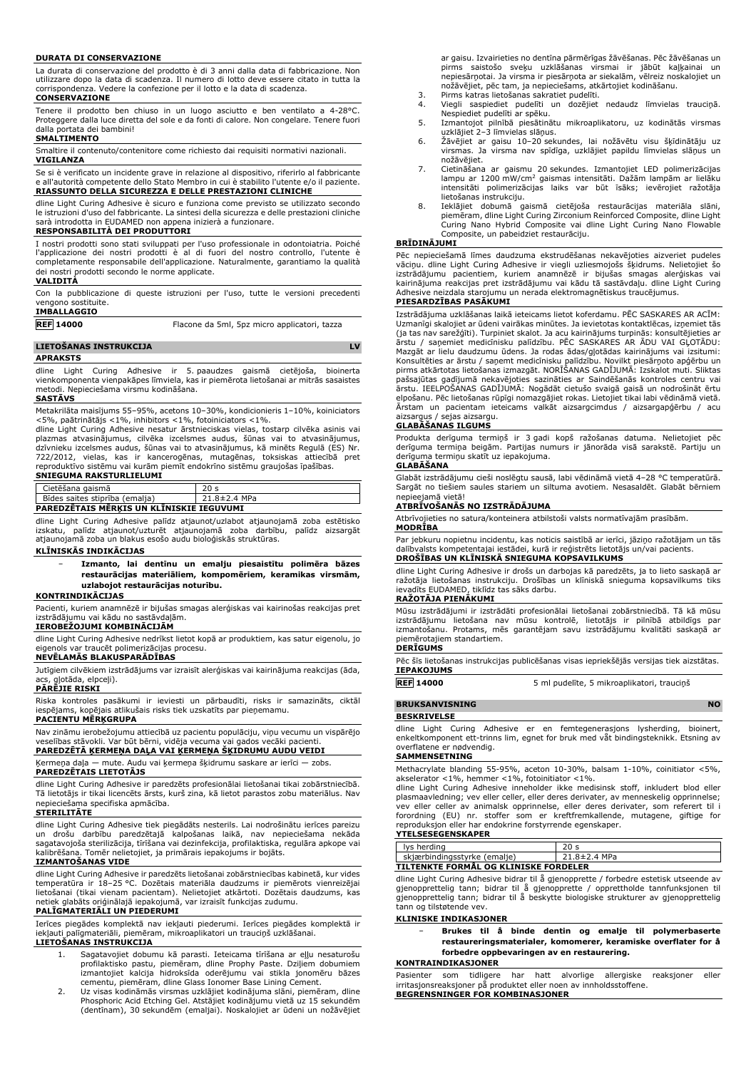#### **DURATA DI CONSERVAZIONE**

La durata di conservazione del prodotto è di 3 anni dalla data di fabbricazione. Non utilizzare dopo la data di scadenza. Il numero di lotto deve essere citato in tutta la corrispondenza. Vedere la confezione per il lotto e la data di scadenza. **CONSERVAZIONE**

Tenere il prodotto ben chiuso in un luogo asciutto e ben ventilato a 4-28°C. Proteggere dalla luce diretta del sole e da fonti di calore. Non congelare. Tenere fuori dalla portata dei bambini!

### **SMALTIMENTO**

Smaltire il contenuto/contenitore come richiesto dai requisiti normativi nazionali. **VIGILANZA**

Se si è verificato un incidente grave in relazione al dispositivo, riferirlo al fabbricante e all'autorità competente dello Stato Membro in cui è stabilito l'utente e/o il paziente. **RIASSUNTO DELLA SICUREZZA E DELLE PRESTAZIONI CLINICHE**

dline Light Curing Adhesive è sicuro e funziona come previsto se utilizzato secondo le istruzioni d'uso del fabbricante. La sintesi della sicurezza e delle prestazioni cliniche sarà introdotta in EUDAMED non appena inizierà a funzionare.

### **RESPONSABILITÀ DEI PRODUTTORI**

I nostri prodotti sono stati sviluppati per l'uso professionale in odontoiatria. Poiché l'applicazione dei nostri prodotti è al di fuori del nostro controllo, l'utente è completamente responsabile dell'applicazione. Naturalmente, garantiamo la qualità dei nostri prodotti secondo le norme applicate.

#### **VALIDITÀ**

Con la pubblicazione di queste istruzioni per l'uso, tutte le versioni precedenti vengono sostituite.

# **IMBALLAGGIO**

**REF 14000** Flacone da 5ml, 5pz micro applicatori, tazza

**LIETOŠANAS INSTRUKCIJA LV**

# **APRAKSTS**

dline Light Curing Adhesive ir 5. paaudzes gaismā cietējoša, bioinerta vienkomponenta vienpakāpes līmviela, kas ir piemērota lietošanai ar mitrās sasaistes metodi. Nepieciešama virsmu kodināšana.

#### **SASTĀVS**

Metakrilāta maisījums 55–95%, acetons 10–30%, kondicionieris 1–10%, koiniciators <5%, paātrinātājs <1%, inhibitors <1%, fotoiniciators <1%.

dline Light Curing Adhesive nesatur ārstnieciskas vielas, tostarp cilvēka asinis vai plazmas atvasinājumus, cilvēka izcelsmes audus, šūnas vai to atvasinājumus, dzīvnieku izcelsmes audus, šūnas vai to atvasinājumus, kā minēts Regulā (ES) Nr.<br>722/2012, vielas, kas ir kancerogēnas, mutagēnas, toksiskas attiecībā pret<br>reproduktīvo sistēmu vai kurām piemīt endokrīno sistēmu grau

#### **SNIEGUMA RAKSTURLIELUMI**

|                                | Cietēšana gaismā                         | 20 <sub>s</sub> |
|--------------------------------|------------------------------------------|-----------------|
| Bīdes saites stiprība (emalja) |                                          | 21.8±2.4 MPa    |
|                                | PAREDZĒTAIS MĒRKIS UN KLĪNISKIE IEGUVUMI |                 |

dline Light Curing Adhesive palīdz atjaunot/uzlabot atjaunojamā zoba estētisko izskatu, palīdz atjaunot/uzturēt atjaunojamā zoba darbību, palīdz aizsargāt atjaunojamā zoba un blakus esošo audu bioloģiskās struktūras.

#### **KLĪNISKĀS INDIKĀCIJAS**

− **Izmanto, lai dentīnu un emalju piesaistītu polimēra bāzes restaurācijas materiāliem, kompomēriem, keramikas virsmām, uzlabojot restaurācijas noturību.**

#### **KONTRINDIKĀCIJAS**

Pacienti, kuriem anamnēzē ir bijušas smagas alerģiskas vai kairinošas reakcijas pret izstrādājumu vai kādu no sastāvdaļām.

#### **IEROBEŽOJUMI KOMBINĀCIJĀM**

dline Light Curing Adhesive nedrīkst lietot kopā ar produktiem, kas satur eigenolu, jo eigenols var traucēt polimerizācijas procesu. **NEVĒLAMĀS BLAKUSPARĀDĪBAS**

Jutīgiem cilvēkiem izstrādājums var izraisīt alerģiskas vai kairinājuma reakcijas (āda,

# acs, gļotāda, elpceļi). **PĀRĒJIE RISKI**

Riska kontroles pasākumi ir ieviesti un pārbaudīti, risks ir samazināts, ciktāl iespējams, kopējais atlikušais risks tiek uzskatīts par pieņemamu.

#### **PACIENTU MĒRĶGRUPA**

Nav zināmu ierobežojumu attiecībā uz pacientu populāciju, viņu vecumu un vispārējo veselības stāvokli. Var būt bērni, vidēja vecuma vai gados vecāki pacienti. **PAREDZĒTĀ ĶERMEŅA DAĻA VAI ĶERMEŅA ŠĶIDRUMU AUDU VEIDI**

Ķermeņa daļa — mute. Audu vai ķermeņa šķidrumu saskare ar ierīci — zobs.

### **PAREDZĒTAIS LIETOTĀJS**

dline Light Curing Adhesive ir paredzēts profesionālai lietošanai tikai zobārstniecībā. Tā lietotājs ir tikai licencēts ārsts, kurš zina, kā lietot parastos zobu materiālus. Nav nepieciešama specifiska apmācība.

#### **STERILITĀTE**

dline Light Curing Adhesive tiek piegādāts nesterils. Lai nodrošinātu ierīces pareizu un drošu darbību paredzētajā kalpošanas laikā, nav nepieciešama nekāda sagatavojoša sterilizācija, tīrīšana vai dezinfekcija, profilaktiska, regulāra apkope vai kalibrēšana. Tomēr nelietojiet, ja primārais iepakojums ir bojāts.

### **IZMANTOŠANAS VIDE**

dline Light Curing Adhesive ir paredzēts lietošanai zobārstniecības kabinetā, kur vides temperatūra ir 18–25 °C. Dozētais materiāla daudzums ir piemērots vienreizējai lietošanai (tikai vienam pacientam). Nelietojiet atkārtoti. Dozētais daudzums, kas<br>netiek glabāts oriģinālajā iepakojumā, var izraisīt funkcijas zudumu.<br>**PALĪGMATERIĀLI UN PIEDERUMI** 

Ierīces piegādes komplektā nav iekļauti piederumi. Ierīces piegādes komplektā ir palīgmateriāli, piemēram, mikroaplikatori un trauciņš uzklāšanai.

# **LIETOŠANAS INSTRUKCIJA**

- 1. Sagatavojiet dobumu kā parasti. Ieteicama tīrīšana ar eļļu nesaturošu profilaktisko pastu, piemēram, dline Prophy Paste. Dziļiem dobumiem izmantojiet kalcija hidroksīda oderējumu vai stikla jonomēru bāzes cementu, piemēram, dline Glass Ionomer Base Lining Cement.
- 2. Uz visas kodināmās virsmas uzklājiet kodinājuma slāni, piemēram, dline Phosphoric Acid Etching Gel. Atstājiet kodinājumu vietā uz 15 sekundēm (dentīnam), 30 sekundēm (emaljai). Noskalojiet ar ūdeni un nožāvējiet

ar gaisu. Izvairieties no dentīna pārmērīgas žāvēšanas. Pēc žāvēšanas un pirms saistošo sveķu uzklāšanas virsmai ir jābūt kaļķainai un nepiesārņotai. Ja virsma ir piesārņota ar siekalām, vēlreiz noskalojiet un nožāvējiet, pēc tam, ja nepieciešams, atkārtojiet kodināšanu.

- 3. Pirms katras lietošanas sakratiet pudelīti.
- 4. Viegli saspiediet pudelīti un dozējiet nedaudz līmvielas trauciņā. Nespiediet pudelīti ar spēku.
- 5. Izmantojot pilnībā piesātinātu mikroaplikatoru, uz kodinātās virsmas uzklājiet 2–3 līmvielas slāņus.
- 6. Žāvējiet ar gaisu 10–20 sekundes, lai nožāvētu visu šķīdinātāju uz virsmas. Ja virsma nav spīdīga, uzklājiet papildu līmvielas slāņus un nožāvējiet.
- 7. Cietināšana ar gaismu 20 sekundes. Izmantojiet LED polimerizācijas lampu ar 1200 mW/cm<sup>2</sup> gaismas intensitāti. Dažām lampām ar lielāku intensitāti polimerizācijas laiks var būt īsāks; ievērojiet ražotāja lietošanas instrukciju.
- 8. Ieklājiet dobumā gaismā cietējoša restaurācijas materiāla slāni, piemēram, dline Light Curing Zirconium Reinforced Composite, dline Light Curing Nano Hybrid Composite vai dline Light Curing Nano Flowable Composite, un pabeidziet restaurāciju.

### **BRĪDINĀJUMI**

Pēc nepieciešamā līmes daudzuma ekstrudēšanas nekavējoties aizveriet pudeles<br>vāciņu. dline Light Curing Adhesive ir viegli uzliesmojošs šķidrums. Nelietojiet šo<br>izstrādājumu pacientiem, kuriem anamnēzē ir bijušas sma kairinājuma reakcijas pret izstrādājumu vai kādu tā sastāvdaļu. dline Light Curing Adhesive neizdala starojumu un nerada elektromagnētiskus traucējumus. **PIESARDZĪBAS PASĀKUMI**

Izstrādājuma uzklāšanas laikā ieteicams lietot koferdamu. PĒC SASKARES AR ACĪM: Uzmanīgi skalojiet ar ūdeni vairākas minūtes. Ja ievietotas kontaktlēcas, izņemiet tās (ja tas nav sarežģīti). Turpiniet skalot. Ja acu kairinājums turpinās: konsultējieties ar ārstu / saņemiet medicīnisku palīdzību. PĒC SASKARES AR ĀDU VAI GĻOTĀDU: Mazgāt ar lielu daudzumu ūdens. Ja rodas ādas/gļotādas kairinājums vai izsitumi:<br>Konsultēties ar ārstu / saņemt medicīnisku palīdzību. Novilkt piesārņoto apģērbu un<br>pirms atkārtotas lietošanas izmazgāt. NORĪŠANAS GADĪJUMĀ: pašsajūtas gadījumā nekavējoties sazināties ar Saindēšanās kontroles centru vai ārstu. IEELPOŠANAS GADĪJUMĀ: Nogādāt cietušo svaigā gaisā un nodrošināt ērtu elpošanu. Pēc lietošanas rūpīgi nomazgājiet rokas. Lietojiet tikai labi vēdināmā vietā. Ārstam un pacientam ieteicams valkāt aizsargcimdus / aizsargapģērbu / acu aizsargus / sejas aizsargu.

#### **GLABĀŠANAS ILGUMS**

Produkta derīguma termiņš ir 3 gadi kopš ražošanas datuma. Nelietojiet pēc derīguma termiņa beigām. Partijas numurs ir jānorāda visā sarakstē. Partiju un derīguma termiņu skatīt uz iepakojuma.

### **GLABĀŠANA**

Glabāt izstrādājumu cieši noslēgtu sausā, labi vēdināmā vietā 4–28 °C temperatūrā. Sargāt no tiešiem saules stariem un siltuma avotiem. Nesasaldēt. Glabāt bērniem nepieejamā vietā!

### **ATBRĪVOŠANĀS NO IZSTRĀDĀJUMA**

Atbrīvojieties no satura/konteinera atbilstoši valsts normatīvajām prasībām.

# **MODRĪBA**

Par jebkuru nopietnu incidentu, kas noticis saistībā ar ierīci, jāziņo ražotājam un tās dalībvalsts kompetentajai iestādei, kurā ir reģistrēts lietotājs un/vai pacients. **DROŠĪBAS UN KLĪNISKĀ SNIEGUMA KOPSAVILKUMS**

dline Light Curing Adhesive ir drošs un darbojas kā paredzēts, ja to lieto saskaņā ar ražotāja lietošanas instrukciju. Drošības un klīniskā snieguma kopsavilkums tiks ievadīts EUDAMED, tiklīdz tas sāks darbu.

## **RAŽOTĀJA PIENĀKUMI**

Mūsu izstrādājumi ir izstrādāti profesionālai lietošanai zobārstniecībā. Tā kā mūsu izstrādājumu lietošana nav mūsu kontrolē, lietotājs ir pilnībā atbildīgs par izmantošanu. Protams, mēs garantējam savu izstrādājumu kvalitāti saskaņā ar piemērotajiem standartiem.

# **DERĪGUMS**

Pēc šīs lietošanas instrukcijas publicēšanas visas iepriekšējās versijas tiek aizstātas. **IEPAKOJUMS**

**REF 14000** 5 ml pudelīte, 5 mikroaplikatori, trauciņš

# **BRUKSANVISNING NO**

**BESKRIVELSE**

dline Light Curing Adhesive er en femtegenerasjons lysherding, bioinert, enkeltkomponent ett-trinns lim, egnet for bruk med våt bindingsteknikk. Etsning av overflatene er nødvendig.

## **SAMMENSETNING**

Methacrylate blanding 55-95%, aceton 10-30%, balsam 1-10%, coinitiator <5%,

akselerator <1%, hemmer <1%, fotoinitiator <1%. dline Light Curing Adhesive inneholder ikke medisinsk stoff, inkludert blod eller plasmaavledning; vev eller celler, eller deres derivater, av menneskelig opprinnelse; vev eller celler av animalsk opprinnelse, eller deres derivater, som referert til i forordning (EU) nr. stoffer som er kreftfremkallende, mutagene, giftige for reproduksjon eller har endokrine forstyrrende egenskaper. **YTELSESEGENSKAPER**

| $\overline{\phantom{a}}$<br>harr | --        |
|----------------------------------|-----------|
| . .<br>'emalie:<br>∽l∕≏<br>ם מ   | MPa<br>∸∙ |
| $\sim$                           |           |

| TILTENKTE FORMÅL OG KLINISKE FORDELER |  |
|---------------------------------------|--|
|                                       |  |

dline Light Curing Adhesive bidrar til å gjenopprette / forbedre estetisk utseende av gjenopprettelig tann; bidrar til å gjenopprette / opprettholde tannfunksjonen til gjenopprettelig tann; bidrar til å beskytte biologiske strukturer av gjenopprettelig tann og tilstøtende vev.

#### **KLINISKE INDIKASJONER**

− **Brukes til å binde dentin og emalje til polymerbaserte restaureringsmaterialer, komomerer, keramiske overflater for å forbedre oppbevaringen av en restaurering.**

### **KONTRAINDIKASJONER**

Pasienter som tidligere har hatt alvorlige allergiske reaksjoner eller irritasjonsreaksjoner på produktet eller noen av innholdsstoffene. **BEGRENSNINGER FOR KOMBINASJONER**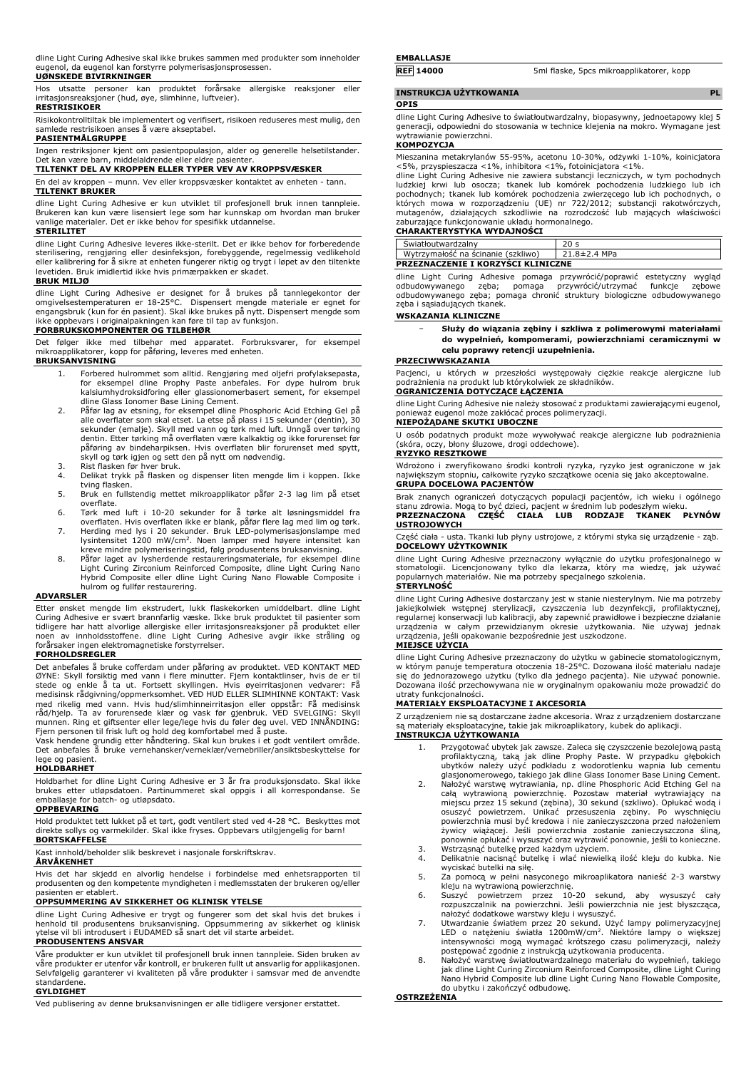dline Light Curing Adhesive skal ikke brukes sammen med produkter som inneholder eugenol, da eugenol kan forstyrre polymerisasjonsprosessen.

### **UØNSKEDE BIVIRKNINGER**

Hos utsatte personer kan produktet forårsake allergiske reaksjoner eller irritasjonsreaksjoner (hud, øye, slimhinne, luftveier).

# **RESTRISIKOER**

Risikokontrolltiltak ble implementert og verifisert, risikoen reduseres mest mulig, den samlede restrisikoen anses å være akseptabel.

## **PASIENTMÅLGRUPPE**

Ingen restriksjoner kjent om pasientpopulasjon, alder og generelle helsetilstander. Det kan være barn, middelaldrende eller eldre pasienter.

#### **TILTENKT DEL AV KROPPEN ELLER TYPER VEV AV KROPPSVÆSKER**

En del av kroppen – munn. Vev eller kroppsvæsker kontaktet av enheten - tann.

# **TILTENKT BRUKER**

dline Light Curing Adhesive er kun utviklet til profesjonell bruk innen tannpleie. Brukeren kan kun være lisensiert lege som har kunnskap om hvordan man bruker vanlige materialer. Det er ikke behov for spesifikk utdannelse.

#### **STERILITET**

dline Light Curing Adhesive leveres ikke-sterilt. Det er ikke behov for forberedende sterilisering, rengjøring eller desinfeksjon, forebyggende, regelmessig vedlikehold eller kalibrering for å sikre at enheten fungerer riktig og trygt i løpet av den tiltenkte levetiden. Bruk imidlertid ikke hvis primærpakken er skadet.

#### **BRUK MILJØ**

dline Light Curing Adhesive er designet for å brukes på tannlegekontor der omgivelsestemperaturen er 18-25°C. Dispensert mengde materiale er egnet for engangsbruk (kun for én pasient). Skal ikke brukes på nytt. Dispensert mengde som ikke oppbevars i originalpakningen kan føre til tap av funksjon.

#### **FORBRUKSKOMPONENTER OG TILBEHØR**

Det følger ikke med tilbehør med apparatet. Forbruksvarer, for eksempel mikroapplikatorer, kopp for påføring, leveres med enheten.

#### **BRUKSANVISNING**

- 1. Forbered hulrommet som alltid. Rengjøring med oljefri profylaksepasta, for eksempel dline Prophy Paste anbefales. For dype hulrom bruk kalsiumhydroksidforing eller glassionomerbasert sement, for eksempel
- dline Glass Ionomer Base Lining Cement. 2. Påfør lag av etsning, for eksempel dline Phosphoric Acid Etching Gel på alle overflater som skal etset. La etse på plass i 15 sekunder (dentin), 30 sekunder (emalje). Skyll med vann og tørk med luft. Unngå over tørking dentin. Etter tørking må overflaten være kalkaktig og ikke forurenset før påføring av bindeharpiksen. Hvis overflaten blir forurenset med spytt, skyll og tørk igjen og sett den på nytt om nødvendig.
- 3. Rist flasken før hver bruk.<br>4. Delikat trykk på flasken o
- 4. Delikat trykk på flasken og dispenser liten mengde lim i koppen. Ikke tving flasken.
- 5. Bruk en fullstendig mettet mikroapplikator påfør 2-3 lag lim på etset overflate.
- 6. Tørk med luft i 10-20 sekunder for å tørke alt løsningsmiddel fra<br>- overflaten. Hvis overflaten ikke er blank, påfør flere lag med lim og tørk.<br>7. Herding med lys i 20 sekunder. Bruk LED-polymerisasjonslampe med
- lysintensitet 1200 mW/cm<sup>2</sup>. Noen lamper med høyere intensitet kan<br>kreve mindre polymeriseringstid, følg produsentens bruksanvisning.
- 8. Påfør laget av lysherdende restaureringsmateriale, for eksempel dline Light Curing Zirconium Reinforced Composite, dline Light Curing Nano Hybrid Composite eller dline Light Curing Nano Flowable Composite i hulrom og fullfør restaurering.

#### **ADVARSLER**

Etter ønsket mengde lim ekstrudert, lukk flaskekorken umiddelbart. dline Light Curing Adhesive er svært brannfarlig væske. Ikke bruk produktet til pasienter som tidligere har hatt alvorlige allergiske eller irritasjonsreaksjoner på produktet eller noen av innholdsstoffene. dline Light Curing Adhesive avgir ikke stråling og forårsaker ingen elektromagnetiske forstyrrelser.

#### **FORHOLDSREGLER**

Det anbefales å bruke cofferdam under påføring av produktet. VED KONTAKT MED<br>ØYNE: Skyll forsiktig med vann i flere minutter. Fjern kontaktlinser, hvis de er til<br>stede og enkle å ta ut. Fortsett skyllingen. Hvis ø medisinsk rådgivning/oppmerksomhet. VED HUD ELLER SLIMHINNE KONTAKT: Vask med rikelig med vann. Hvis hud/slimhinneirritasjon eller oppstär: Fä medisinsk<br>råd/hjelp. Ta av forurensede klær og vask før gjenbruk. VED SVELGING: Skyll<br>munnen. Ring et giftsenter eller lege/lege hvis du føler deg uvel.

Fjern personen til frisk luft og hold deg komfortabel med å puste.<br>Vask hendene grundig etter håndtering. Skal kun brukes i et godt ventilert område.<br>Det anbefales å bruke vernehansker/verneklær/vernebriller/ansiktsbeskytt lege og pasient.

#### **HOLDBARHET**

Holdbarhet for dline Light Curing Adhesive er 3 år fra produksjonsdato. Skal ikke brukes etter utløpsdatoen. Partinummeret skal oppgis i all korrespondanse. Se emballasje for batch- og utløpsdato.

# **OPPBEVARING**

Hold produktet tett lukket på et tørt, godt ventilert sted ved 4-28 °C. Beskyttes mot direkte sollys og varmekilder. Skal ikke fryses. Oppbevars utilgjengelig for barn! **BORTSKAFFELSE**

### Kast innhold/beholder slik beskrevet i nasjonale forskriftskrav.

**ÅRVÅKENHET**

Hvis det har skjedd en alvorlig hendelse i forbindelse med enhetsrapporten til produsenten og den kompetente myndigheten i medlemsstaten der brukeren og/eller pasienten er etablert.

#### **OPPSUMMERING AV SIKKERHET OG KLINISK YTELSE**

dline Light Curing Adhesive er trygt og fungerer som det skal hvis det brukes i henhold til produsentens bruksanvisning. Oppsummering av sikkerhet og klinisk ytelse vil bli introdusert i EUDAMED så snart det vil starte arbeidet.

## **PRODUSENTENS ANSVAR**

Våre produkter er kun utviklet til profesjonell bruk innen tannpleie. Siden bruken av våre produkter er utenfor vår kontroll, er brukeren fullt ut ansvarlig for applikasjonen. Selvfølgelig garanterer vi kvaliteten på våre produkter i samsvar med de anvendte standardene.

#### **GYLDIGHET**

Ved publisering av denne bruksanvisningen er alle tidligere versjoner erstattet.

#### **EMBALLASJE**

**REF 14000** 5ml flaske, 5pcs mikroapplikatorer, kopp

# **INSTRUKCJA UŻYTKOWANIA PL**

### **OPIS**

dline Light Curing Adhesive to światłoutwardzalny, biopasywny, jednoetapowy klej 5 generacji, odpowiedni do stosowania w technice klejenia na mokro. Wymagane jest wytrawianie powierzchni.

# **KOMPOZYCJA**

Mieszanina metakrylanów 55-95%, acetonu 10-30%, odżywki 1-10%, koinicjatora <5%, przyspieszacza <1%, inhibitora <1%, fotoinicjatora <1%.

dline Light Curing Adhesive nie zawiera substancji leczniczych, w tym pochodnych ludzkiej krwi lub osocza; tkanek lub komórek pochodzenia ludzkiego lub ich pochodnych; tkanek lub komórek pochodzenia zwierzęcego lub ich pochodnych, o których mowa w rozporządzeniu (UE) nr 722/2012; substancji rakotwórczych, mutagenów, działających szkodliwie na rozrodczość lub mających właściwości zaburzające funkcjonowanie układu hormonalnego.

### **CHARAKTERYSTYKA WYDAJNOŚCI**

| Swiatłoutwardzalny                        |                    |  |  |  |
|-------------------------------------------|--------------------|--|--|--|
| Wytrzymałość na ścinanie (szkliwo)        | $21.8 \pm 2.4$ MPa |  |  |  |
| <b>PRZEZNACZENIE I KORZYŚCI KLINICZNE</b> |                    |  |  |  |

dline Light Curing Adhesive pomaga przywrócić/poprawić estetyczny wygląd odbudowywanego zęba; pomaga przywrócić/utrzymać funkcje zębowe odbudowywanego zęba; pomaga chronić struktury biologiczne odbudowywanego zęba i sąsiadujących tkanek.

#### **WSKAZANIA KLINICZNE**

| $\overline{\phantom{0}}$ | Służy do wiązania zębiny i szkliwa z polimerowymi materiałami |
|--------------------------|---------------------------------------------------------------|
|                          | do wypełnień, kompomerami, powierzchniami ceramicznymi w      |
|                          | celu poprawy retencji uzupełnienia.                           |

#### **PRZECIWWSKAZANIA**

Pacjenci, u których w przeszłości występowały ciężkie reakcje alergiczne lub podrażnienia na produkt lub którykolwiek ze składników. **OGRANICZENIA DOTYCZĄCE ŁĄCZENIA**

dline Light Curing Adhesive nie należy stosować z produktami zawierającymi eugenol, poniewanie zakłocać proces polimeryzacji.

### **NIEPOŻĄDANE SKUTKI UBOCZNE**

U osób podatnych produkt może wywoływać reakcje alergiczne lub podrażnienia (skóra, oczy, błony śluzowe, drogi oddechowe). **RYZYKO RESZTKOWE**

Wdrożono i zweryfikowano środki kontroli ryzyka, ryzyko jest ograniczone w jak największym stopniu, całkowite ryzyko szczątkowe ocenia się jako akceptowalne. **GRUPA DOCELOWA PACJENTÓW**

Brak znanych ograniczeń dotyczących populacji pacjentów, ich wieku i ogólnego stanu zdrowia. Mogą to być dzieci, pacjent w średnim lub podeszłym wieku. **PRZEZNACZONA CZĘŚĆ CIAŁA LUB RODZAJE TKANEK PŁYNÓW USTROJOWYCH**

Część ciała - usta. Tkanki lub płyny ustrojowe, z którymi styka się urządzenie - ząb. **DOCELOWY UŻYTKOWNIK**

dline Light Curing Adhesive przeznaczony wyłącznie do użytku profesjonalnego w stomatologii. Licencjonowany tylko dla lekarza, który ma wiedzę, jak używać popularnych materiałów. Nie ma potrzeby specjalnego szkolenia. **STERYLNOŚĆ**

dline Light Curing Adhesive dostarczany jest w stanie niesterylnym. Nie ma potrzeby jakiejkolwiek wstępnej sterylizacji, czyszczenia lub dezynfekcji, profilaktycznej,<br>regularnej konserwacji lub kalibracji, aby zapewnić prawidłowe i bezpieczne działanie<br>urządzenia w całym przewidzianym okresie użytkowania. **MIEJSCE UŻYCIA**

dline Light Curing Adhesive przeznaczony do użytku w gabinecie stomatologicznym, w którym panuje temperatura otoczenia 18-25°C. Dozowana ilość materiału nadaje się do jednorazowego użytku (tylko dla jednego pacjenta). Nie używać ponownie. Dozowana ilość przechowywana nie w oryginalnym opakowaniu może prowadzić do utraty funkcjonalności.

#### **MATERIAŁY EKSPLOATACYJNE I AKCESORIA**

Z urządzeniem nie są dostarczane żadne akcesoria. Wraz z urządzeniem dostarczane są materiały eksploatacyjne, takie jak mikroaplikatory, kubek do aplikacji. **INSTRUKCJA UŻYTKOWANIA**

- 1. Przygotować ubytek jak zawsze. Zaleca się czyszczenie bezolejową pastą profilaktyczną, taką jak dline Prophy Paste. W przypadku głębokich ubytków należy użyć podkładu z wodorotlenku wapnia lub cementu glasjonomerowego, takiego jak dline Glass Ionomer Base Lining Cement. 2. Nałożyć warstwę wytrawiania, np. dline Phosphoric Acid Etching Gel na
- całą wytrawioną powierzchnię. Pozostaw materiał wytrawiający na miejscu przez 15 sekund (zębina), 30 sekund (szkliwo). Opłukać wodą i osuszyć powietrzem. Unikać przesuszenia zębiny. Po wyschnięciu<br>powierzchnia-musi być-kredowalinie zanieczyszczona przed nałożeniem<br>żywicy wiążącej. Jeśli powierzchnia zostanie zanieczyszczona śliną,<br>ponownie-opłukaći-wysus
- 3. Wstrząsnąć butelkę przed każdym użyciem. 4. Delikatnie nacisnąć butelkę i wlać niewielką ilość kleju do kubka. Nie
- wyciskać butelki na siłę. 5. Za pomocą w pełni nasyconego mikroaplikatora nanieść 2-3 warstwy
- za pomocą w pominacy somego miniscepinace.<br>kleju na wytrawioną powierzchnię.<br>Suszyć powietrzem przez 10-20 sekund,
- 6. Suszyć powietrzem przez 10-20 sekund, aby wysuszyć cały rozpuszczalnik na powierzchnia nie jest błyszcząca,<br>nałożyć dodatkowe warstwy kleju i wysuszyć.<br>7. Utwardzanie światłem przez 20 sekund. Użyć lampy polimeryzacyjn
- 8. Nałożyć warstwę światłoutwardzalnego materiału do wypełnień, takiego jak dline Light Curing Zirconium Reinforced Composite, dline Light Curing Nano Hybrid Composite lub dline Light Curing Nano Flowable Composite, do ubytku i zakończyć odbudowę.

### **OSTRZEŻENIA**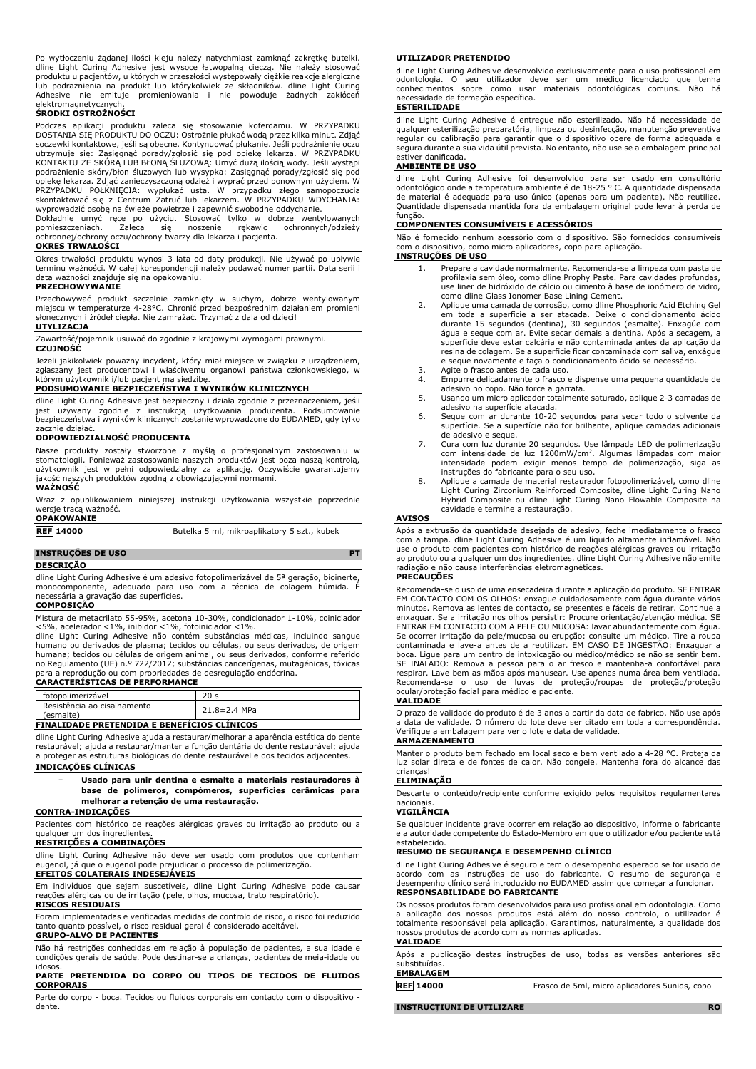Po wytłoczeniu żadanej ilości kleju należy natychmiast zamknąć zakrętkę butelki. dline Light Curing Adhesive jest wysoce łatwopalną cieczą. Nie należy stosować produktu u pacjentów, u których w przeszłości występowały ciężkie reakcje alergiczne lub podrażnienia na produkt lub którykolwiek ze składników. dline Light Curing Adhesive nie emituje promieniowania i nie powoduje żadnych zakłóceń

# elektromagnetycznych. **ŚRODKI OSTROŻNOŚCI**

Podczas aplikacji produktu zaleca się stosowanie koferdamu. W PRZYPADKU DOSTANIA SIĘ PRODUKTU DO OCZU: Ostrożnie płukać wodą przez kilka minut. Zdjąć soczewki kontaktowe, jeśli są obecne. Kontynuować płukanie. Jeśli podrażnienie oczu<br>utrzymuje się: Zasięgnąć porady/zgłosić się pod opiekę lekarza. W PRZYPADKU<br>KONTAKTU ZE SKÓRĄ LUB BŁONĄ ŚLUZOWĄ: Umyć dużą ilością opiekę lekarza. Zdjąć zanieczyszczoną odzież i wyprać przed ponownym użyciem. W<br>PRZYPADKU - POŁKNIĘCIA: wypłukać usta. W przypadku złego samopoczucia<br>skontaktować się z Centrum Zatruć lub lekarzem. W PRZYPA wyprowadzić osobę na świeże powietrze i zapewnić swobodne oddychanie.

Dokładnie umyć ręce po użyciu. Stosować tylko w dobrze wentylowanych pomieszczeniach. Zaleca się noszenie rękawic ochronnych/odzieży ochronnej/ochrony oczu/ochrony twarzy dla lekarza i pacjenta.

#### **OKRES TRWAŁOŚCI**

Okres trwałości produktu wynosi 3 lata od daty produkcji. Nie używać po upływie terminu ważności. W całej korespondencji należy podawać numer partii. Data serii i data ważności znajduje się na opakowaniu.

# **PRZECHOWYWANIE**

Przechowywać produkt szczelnie zamknięty w suchym, dobrze wentylowanym miejscu w temperaturze 4-28°C. Chronić przed bezpośrednim działaniem promieni słonecznych i źródeł ciepła. Nie zamrażać. Trzymać z dala od dzieci!

# **UTYLIZACJA**

Zawartość/pojemnik usuwać do zgodnie z krajowymi wymogami prawnymi.

# **CZUJNOŚĆ**

Jeżeli jakikolwiek poważny incydent, który miał miejsce w związku z urządzeniem, zgłaszany jest producentowi i właściwemu organowi państwa członkowskiego, w którym użytkownik i/lub pacjent ma siedzibę.

### **PODSUMOWANIE BEZPIECZEŃSTWA I WYNIKÓW KLINICZNYCH**

dline Light Curing Adhesive jest bezpieczny i działa zgodnie z przeznaczeniem, jeśli jest używany zgodnie z instrukcją użytkowania producenta. Podsumowanie bezpieczeństwa i wyników klinicznych zostanie wprowadzone do EUDAMED, gdy tylko zacznie działać.

## **ODPOWIEDZIALNOŚĆ PRODUCENTA**

Nasze produkty zostały stworzone z myślą o profesjonalnym zastosowaniu w stomatologii. Ponieważ zastosowanie naszych produktów jest poza naszą kontrolą, użytkownik jest w pełni odpowiedzialny za aplikację. Oczywiście gwarantujemy jakość naszych produktów zgodną z obowiązującymi normami. **WAŻNOŚĆ**

Wraz z opublikowaniem niniejszej instrukcji użytkowania wszystkie poprzednie wersje tracą ważność.

### **OPAKOWANIE**

**REF 14000** Butelka 5 ml, mikroaplikatory 5 szt., kubek

#### **INSTRUÇÕES DE USO PT**

**DESCRIÇÃO**

dline Light Curing Adhesive é um adesivo fotopolimerizável de 5ª geração, bioinerte, monocomponente, adequado para uso com a técnica de colagem húmida. É necessária a gravação das superfícies.

# **COMPOSIÇÃO**

Mistura de metacrilato 55-95%, acetona 10-30%, condicionador 1-10%, coiniciador

<5%, acelerador <1%, inibidor <1%, fotoiniciador <1%.<br>dline Light Curing Adhesive não contém substâncias médicas, incluindo sangue<br>humano ou derivados de plasma; tecidos ou células, ou seus derivados, de origem humana; tecidos ou células de origem animal, ou seus derivados, conforme referido no Regulamento (UE) n.º 722/2012; substâncias cancerígenas, mutagénicas, tóxicas para a reprodução ou com propriedades de desregulação endócrina.

#### **CARACTERÍSTICAS DE PERFORMANCE**

| fotopolimerizável                                  | 20 s               |  |  |
|----------------------------------------------------|--------------------|--|--|
| Resistência ao cisalhamento<br>(esmalte)           | $21.8 \pm 2.4$ MPa |  |  |
| <b>FINALIDADE PRETENDIDA E BENEFÍCIOS CLÍNICOS</b> |                    |  |  |

dline Light Curing Adhesive ajuda a restaurar/melhorar a aparência estética do dente restaurável; ajuda a restaurar/manter a função dentária do dente restaurável; ajuda a proteger as estruturas biológicas do dente restaurável e dos tecidos adjacentes. **INDICAÇÕES CLÍNICAS**

#### − **Usado para unir dentina e esmalte a materiais restauradores à base de polímeros, compómeros, superfícies cerâmicas para melhorar a retenção de uma restauração.**

### **CONTRA-INDICAÇÕES**

Pacientes com histórico de reações alérgicas graves ou irritação ao produto ou a qualquer um dos ingrediente

#### **RESTRIÇÕES A COMBINAÇÕES**

dline Light Curing Adhesive não deve ser usado com produtos que contenham eugenol, já que o eugenol pode prejudicar o processo de polimerização.

# **EFEITOS COLATERAIS INDESEJÁVEIS**

Em indivíduos que sejam suscetíveis, dline Light Curing Adhesive pode causar reações alérgicas ou de irritação (pele, olhos, mucosa, trato respiratório). **RISCOS RESIDUAIS**

Foram implementadas e verificadas medidas de controlo de risco, o risco foi reduzido tanto quanto possível, o risco residual geral é considerado aceitável. **GRUPO-ALVO DE PACIENTES**

Não há restrições conhecidas em relação à população de pacientes, a sua idade e condições gerais de saúde. Pode destinar-se a crianças, pacientes de meia-idade ou idosos.

## **PARTE PRETENDIDA DO CORPO OU TIPOS DE TECIDOS DE FLUIDOS CORPORAIS**

Parte do corpo - boca. Tecidos ou fluidos corporais em contacto com o dispositivo dente.

#### **UTILIZADOR PRETENDIDO**

dline Light Curing Adhesive desenvolvido exclusivamente para o uso profissional em odontologia. O seu utilizador deve ser um médico licenciado que tenha conhecimentos sobre como usar materiais odontológicas comuns. Não há necessidade de formação específica.

### **ESTERILIDADE**

dline Light Curing Adhesive é entregue não esterilizado. Não há necessidade de qualquer esterilização preparatória, limpeza ou desinfecção, manutenção preventiva regular ou calibração para garantir que o dispositivo opere de forma adequada e segura durante a sua vida útil prevista. No entanto, não use se a embalagem principal estiver danificada.

#### **AMBIENTE DE USO**

dline Light Curing Adhesive foi desenvolvido para ser usado em consultório<br>odontológico onde-a-temperatura-ambiente-é-de-18-25 °C. A-quantidade-dispensada<br>de-material é-adequada-para-uso-único-(apenas-para-um-paciente). Nã Quantidade dispensada mantida fora da embalagem original pode levar à perda de função.

# **COMPONENTES CONSUMÍVEIS E ACESSÓRIOS**

Não é fornecido nenhum acessório com o dispositivo. São fornecidos consumíveis com o dispositivo, como micro aplicadores, copo para aplicação. **INSTRUÇÕES DE USO**

- 1. Prepare a cavidade normalmente. Recomenda-se a limpeza com pasta de profilaxia sem óleo, como dline Prophy Paste. Para cavidades profundas, use liner de hidróxido de cálcio ou cimento à base de ionómero de vidro, como dline Glass Ionomer Base Lining Cement.
- 2. Aplique uma camada de corrosão, como dline Phosphoric Acid Etching Gel em toda a superfície a ser atacada. Deixe o condicionamento ácido durante 15 segundos (dentina), 30 segundos (esmalte). Enxagúe com água e seque com ar. Evite secar demais a dentina. Após a secagem, a superfície deve estar calcária e não contaminada antes da aplicação da resina de colagem. Se a superfície ficar contaminada com saliva, enxágue e seque novamente e faça o condicionamento ácido se necessário.
- 3. Agite o frasco antes de cada uso.<br>4. Empurre delicadamente o frasco e
- 4. Empurre delicadamente o frasco e dispense uma pequena quantidade de adesivo no copo. Não force a garrafa.
- 5. Usando um micro aplicador totalmente saturado, aplique 2-3 camadas de adesivo na superfície atacada.
- 6. Seque com ar durante 10-20 segundos para secar todo o solvente da superfície. Se a superfície não for brilhante, aplique camadas adicionais de adesivo e seque.
- 7. Cura com luz durante 20 segundos. Use lâmpada LED de polimerização com intensidade de luz 1200mW/cm<sup>2</sup> . Algumas lâmpadas com maior intensidade podem exigir menos tempo de polimerização, siga as
- instruções do fabricante para o seu uso.<br>8. Aplique a camada de material restaurador fotopolimerizável, como dline<br>Light Curing Zirconium Reinforced Composite, dline Light Curing Nano<br>Hybrid Composite ou dline Light Cu cavidade e termine a restauração.

### **AVISOS**

Após a extrusão da quantidade desejada de adesivo, feche imediatamente o frasco com a tampa. dline Light Curing Adhesive é um líquido altamente inflamável. Não use o produto com pacientes com histórico de reações alérgicas graves ou irritação ao produto ou a qualquer um dos ingredientes. dline Light Curing Adhesive não emite radiação e não causa interferências eletromagnéticas.

### **PRECAUÇÕES**

Recomenda-se o uso de uma ensecadeira durante a aplicação do produto. SE ENTRAR EM CONTACTO COM OS OLHOS: enxague cuidadosamente com água durante vários minutos. Remova as lentes de contacto, se presentes e fáceis de retirar. Continue a enxaguar. Se a irritação nos olhos persistir: Procure orientação/atenção médica. SE ENTRAR EM CONTACTO COM A PELE OU MUCOSA: lavar abundantemente com água. Se ocorrer irritação da pele/mucosa ou erupção: consulte um médico. Tire a roupa contaminada e lave-a antes de a reutilizar. EM CASO DE INGESTÃO: Enxaguar a boca. Ligue para um centro de intoxicação ou médico/médico se não se sentir bem. SE INALADO: Remova a pessoa para o ar fresco e mantenha-a confortável para respirar. Lave bem as mãos após manusear. Use apenas numa área bem ventilada. Recomenda-se o uso de luvas de proteção/roupas de proteção/proteção ocular/proteção facial para médico e paciente.

### **VALIDADE**

O prazo de validade do produto é de 3 anos a partir da data de fabrico. Não use após a data de validade. O número do lote deve ser citado em toda a correspondência. Verifique a embalagem para ver o lote e data de validade. **ARMAZENAMENTO**

Manter o produto bem fechado em local seco e bem ventilado a 4-28 °C. Proteja da luz solar direta e de fontes de calor. Não congele. Mantenha fora do alcance das crianças!

# **ELIMINAÇÃO**

Descarte o conteúdo/recipiente conforme exigido pelos requisitos regulamentares nacionais.

# **VIGILÂNCIA**

Se qualquer incidente grave ocorrer em relação ao dispositivo, informe o fabricante e a autoridade competente do Estado-Membro em que o utilizador e/ou paciente está estabelecido.

# **RESUMO DE SEGURANÇA E DESEMPENHO CLÍNICO**

dline Light Curing Adhesive é seguro e tem o desempenho esperado se for usado de acordo com as instruções de uso do fabricante. O resumo de segurança e desempenho clínico será introduzido no EUDAMED assim que começar a funcionar. **RESPONSABILIDADE DO FABRICANTE**

Os nossos produtos foram desenvolvidos para uso profissional em odontologia. Como a aplicação dos nossos produtos está além do nosso controlo, o utilizador é totalmente responsável pela aplicação. Garantimos, naturalmente, a qualidade dos nossos produtos de acordo com as normas aplicadas.

# **VALIDADE**

Após a publicação destas instruções de uso, todas as versões anteriores são substituídas.

# **EMBALAGEM**

# **INSTRUCȚIUNI DE UTILIZARE RO**

**REF 14000** Frasco de 5ml, micro aplicadores 5unids, copo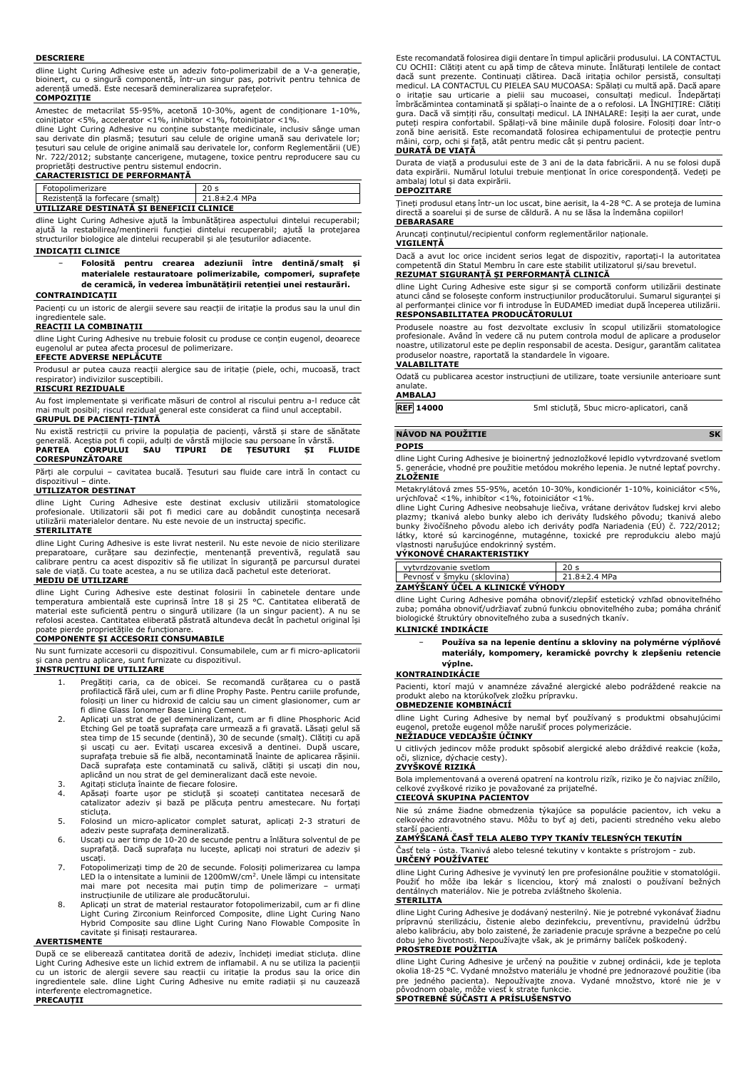#### **DESCRIERE**

dline Light Curing Adhesive este un adeziv foto-polimerizabil de a V-a generație, bioinert, cu o singură componentă, într-un singur pas, potrivit pentru tehnica de aderență umedă. Este necesară demineralizarea suprafețelor. **COMPOZIȚIE**

Amestec de metacrilat 55-95%, acetonă 10-30%, agent de condiționare 1-10%,

coinițiator <5%, accelerator <1%, inhibitor <1%, fotoinițiator <1%. dline Light Curing Adhesive nu conține substanțe medicinale, inclusiv sânge uman sau derivate din plasmă; țesuturi sau celule de origine umană sau derivatele lor;<br>țesuturi sau celule de origine animală sau derivatele lor, conform Reglementării (UE)<br>Nr. 722/2012; substanțe cancerigene, mutagene, toxice proprietăți destructive pentru sistemul endocrin.

| <b>CARACTERISTICI DE PERFORMANTÀ</b> |              |  |  |
|--------------------------------------|--------------|--|--|
| Fotopolimerizare                     |              |  |  |
| Rezistentă la forfecare (smalt)      | 21.8±2.4 MPa |  |  |
|                                      |              |  |  |

## **UTILIZARE DESTINATĂ ȘI BENEFICII CLINICE**

dline Light Curing Adhesive ajută la îmbunătățirea aspectului dintelui recuperabil; ajută la restabilirea/menținerii funcției dintelui recuperabil; ajută la protejarea structurilor biologice ale dintelui recuperabil și ale țesuturilor adiacente.

# **INDICAȚII CLINICE**

− **Folosită pentru crearea adeziunii între dentină/smalț și materialele restauratoare polimerizabile, compomeri, suprafețe de ceramică, în vederea îmbunătățirii retenției unei restaurări.**

## **CONTRAINDICAȚII**

Pacienți cu un istoric de alergii severe sau reacții de iritație la produs sau la unul din ingredientele sale.

### **REACȚII LA COMBINAȚII**

dline Light Curing Adhesive nu trebuie folosit cu produse ce conțin eugenol, deoarece eugenolul ar putea afecta procesul de polimerizare.

#### **EFECTE ADVERSE NEPLĂCUTE**

Produsul ar putea cauza reacții alergice sau de iritație (piele, ochi, mucoasă, tract respirator) indivizilor susceptibili.

## **RISCURI REZIDUALE**

Au fost implementate și verificate măsuri de control al riscului pentru a-l reduce cât mai mult posibil; riscul rezidual general este considerat ca fiind unul acceptabil. **GRUPUL DE PACIENȚI-ȚINTĂ**

| <b>CORESPUNZĂTOARE</b>                                                                |  |  |  |
|---------------------------------------------------------------------------------------|--|--|--|
| PARTEA CORPULUI SAU TIPURI DE TESUTURI SI FLUIDE                                      |  |  |  |
| generală. Acestia pot fi copii, adulti de vârstă mijlocie sau persoane în vârstă.     |  |  |  |
| Nu există restrictii cu privire la populatia de pacienti, vârstă și stare de sănătate |  |  |  |
|                                                                                       |  |  |  |

Părți ale corpului – cavitatea bucală. Țesuturi sau fluide care intră în contact cu dispozitivul – dinte.

### **UTILIZATOR DESTINAT**

dline Light Curing Adhesive este destinat exclusiv utilizării stomatologice profesionale. Utilizatorii săi pot fi medici care au dobândit cunoștința necesară utilizării materialelor dentare. Nu este nevoie de un instructaj specific.

#### **STERILITATE**

dline Light Curing Adhesive is este livrat nesteril. Nu este nevoie de nicio sterilizare preparatoare, curățare sau dezinfecție, mentenanță preventivă, regulată sau calibrare pentru ca acest dispozitiv să fie utilizat în siguranță pe parcursul duratei sale de viață. Cu toate acestea, a nu se utiliza dacă pachetul este deteriorat. **MEDIU DE UTILIZARE**

# dline Light Curing Adhesive este destinat folosirii în cabinetele dentare unde temperatura ambientală este cuprinsă între 18 și 25 °C. Cantitatea eliberată de material este suficientă pentru o singură utilizare (la un singur pacient). A nu se refolosi acestea. Cantitatea eliberată păstrată altundeva decât în pachetul original își

# poate pierde proprietățile de funcționare. **COMPONENTE ȘI ACCESORII CONSUMABILE**

Nu sunt furnizate accesorii cu dispozitivul. Consumabilele, cum ar fi micro-aplicatorii și cana pentru aplicare, sunt furnizate cu dispozitivul.

#### **INSTRUCȚIUNI DE UTILIZARE**

- 1. Pregătiți caria, ca de obicei. Se recomandă curățarea cu o pastă profilactică fără ulei, cum ar fi dline Prophy Paste. Pentru cariile profunde, folosiți un liner cu hidroxid de calciu sau un ciment glasionomer, cum ar fi dline Glass Ionomer Base Lining Cement.
- 2. Aplicați un strat de gel demineralizant, cum ar fi dline Phosphoric Acid Etching Gel pe toată suprafața care urmează a fi gravată. Lăsați gelul să stea timp de 15 secunde (dentină), 30 de secunde (smalț). Clătiți cu apă și uscați cu aer. Evitați uscarea excesivă a dentinei. După uscare, suprafața trebuie să fie albă, necontaminată înainte de aplicarea rășinii. Dacă suprafața este contaminată cu salivă, clătiți și uscați din nou, aplicând un nou strat de gel demineralizant dacă este nevoie.
- 3. Agitați sticluța înainte de fiecare folosire.
- 4. Apăsați foarte ușor pe sticluță și scoateți cantitatea necesară de catalizator adeziv și bază pe plăcuța pentru amestecare. Nu forțați sticluța.
- 5. Folosind un micro-aplicator complet saturat, aplicați 2-3 straturi de adeziv peste suprafața demineralizată.
- 6. Uscați cu aer timp de 10-20 de secunde pentru a înlătura solventul de pe suprafață. Dacă suprafața nu lucește, aplicați noi straturi de adeziv și uscați.
- 7. Fotopolimerizați timp de 20 de secunde. Folosiți polimerizarea cu lampa LED la o intensitate a luminii de 1200mW/cm<sup>2</sup>. Unele lămpi cu intensitate mai mare pot necesita mai puțin timp de polimerizare – urmați instrucțiunile de utilizare ale producătorului.
- 8. Aplicați un strat de material restaurator fotopolimerizabil, cum ar fi dline Light Curing Zirconium Reinforced Composite, dline Light Curing Nano Hybrid Composite sau dline Light Curing Nano Flowable Composite în cavitate și finisați restaurarea.

#### **AVERTISMENTE**

După ce se eliberează cantitatea dorită de adeziv, închideți imediat sticluța. dline Light Curing Adhesive este un lichid extrem de inflamabil. A nu se utiliza la pacienții cu un istoric de alergii severe sau reacții cu iritație la produs sau la orice din ingredientele sale. dline Light Curing Adhesive nu emite radiații și nu cauzează interferențe electromagnetice. **PRECAUȚII**

Este recomandată folosirea digii dentare în timpul aplicării produsului. LA CONTACTUL CU OCHII: Clătiți atent cu apă timp de câteva minute. Înlăturați lentilele de contact dacă sunt prezente. Continuați clătirea. Dacă iritația ochilor persistă, consultați medicul. LA CONTACTUL CU PIELEA SAU MUCOASA: Spălați cu multă apă. Dacă apare o iritație sau urticarie a pielii sau mucoasei, consultați medicul. Îndepărtați îmbrăcămintea contaminată și spălați-o înainte de a o refolosi. LA ÎNGHIȚIRE: Clătiți gura. Dacă vă simțiți rău, consultați medicul. LA INHALARE: Ieșiți la aer curat, unde puteți respira confortabil. Spălați-vă bine mâinile după folosire. Folosiți doar într-o zonă bine aerisită. Este recomandată folosirea echipamentului de protecție pentru mâini, corp, ochi și față, atât pentru medic cât și pentru pacient. **DURATĂ DE VIAȚĂ**

Durata de viață a produsului este de 3 ani de la data fabricării. A nu se folosi după data expirării. Numărul lotului trebuie menționat în orice corespondență. Vedeți pe ambalaj lotul și data expirării. **DEPOZITARE**

#### Țineți produsul etanș într-un loc uscat, bine aerisit, la 4-28 °C. A se proteja de lumina directă a soarelui și de surse de căldură. A nu se lăsa la îndemâna copiilor!

**DEBARASARE**

Aruncați conținutul/recipientul conform reglementărilor naționale.

#### **VIGILENȚĂ**

Dacă a avut loc orice incident serios legat de dispozitiv, raportați-l la autoritatea competentă din Statul Membru în care este stabilit utilizatorul și/sau brevetul. **REZUMAT SIGURANȚĂ ȘI PERFORMANȚĂ CLINICĂ**

dline Light Curing Adhesive este sigur și se comportă conform utilizării destinate atunci când se folosește conform instrucțiunilor producătorului. Sumarul siguranței și al performanței clinice vor fi introduse în EUDAMED imediat după începerea utilizării. **RESPONSABILITATEA PRODUCĂTORULUI**

Produsele noastre au fost dezvoltate exclusiv în scopul utilizării stomatologice<br>profesionale. Având în vedere că nu putem controla modul de aplicare a produselor<br>noastre, utilizatorul este pedeplin responsabil de acesta. produselor noastre, raportată la standardele în vigoare. **VALABILITATE**

Odată cu publicarea acestor instrucțiuni de utilizare, toate versiunile anterioare sunt anulate.

# **AMBALAJ**

**REF 14000** 5ml sticluță, 5buc micro-aplicatori, cană

# **POPIS**

**NÁVOD NA POUŽITIE SK**

dline Light Curing Adhesive je bioinertný jednozložkové lepidlo vytvrdzované svetlom 5. generácie, vhodné pre použitie metódou mokrého lepenia. Je nutné leptať povrchy. **ZLOŽENIE**

Metakrylátová zmes 55-95%, acetón 10-30%, kondicionér 1-10%, koiniciátor <5%, urýchľovač <1%, inhibítor <1%, fotoiniciátor <1%.

dline Light Curing Adhesive neobsahuje liečiva, vrátane derivátov ľudskej krvi alebo plazmy; tkanivá alebo bunky alebo ich deriváty ľudského pôvodu; tkanivá alebo bunky živočíšneho pôvodu alebo ich deriváty podľa Nariadenia (EÚ) č. 722/2012; látky, ktoré sú karcinogénne, mutagénne, toxické pre reprodukciu alebo majú<br>vlastnosti narušujúce endokrinný systém.<br>**VÝKONOVÉ CHARAKTERISTIKY** 

| vytyrdzovanie svetlom            |                    |
|----------------------------------|--------------------|
| Pevnosť v šmyku (sklovina)       | $21.8 \pm 2.4$ MPa |
| ZAMYŚĽANÝ ÚČEL A KLINICKE VYHODY |                    |

dline Light Curing Adhesive pomáha obnoviť/zlepšiť estetický vzhľad obnoviteľného zuba; pomáha obnoviť/udržiavať zubnú funkciu obnoviteľného zuba; pomáha chrániť biologické štruktúry obnoviteľného zuba a susedných tkanív.

### **KLINICKÉ INDIKÁCIE**

− **Používa sa na lepenie dentínu a skloviny na polymérne výplňové materiály, kompomery, keramické povrchy k zlepšeniu retencie výplne.**

#### **KONTRAINDIKÁCIE**

Pacienti, ktorí majú v anamnéze závažné alergické alebo podráždené reakcie na produkt alebo na ktorúkoľvek zložku prípravku.

# **OBMEDZENIE KOMBINÁCIÍ** dline Light Curing Adhesive by nemal byť používaný s produktmi obsahujúcimi eugenol, pretože eugenol môže narušiť proces polymerizácie.

### **NEŽIADUCE VEDĽAJŠIE ÚČINKY**

U citlivých jedincov môže produkt spôsobiť alergické alebo dráždivé reakcie (koža, oči, sliznice, dýchacie cesty).

# **ZVYŠKOVÉ RIZIKÁ**

Bola implementovaná a overená opatrení na kontrolu rizík, riziko je čo najviac znížilo, celkové zvyškové riziko je považované za prijateľné.

# **CIEĽOVÁ SKUPINA PACIENTOV**

Nie sú známe žiadne obmedzenia týkajúce sa populácie pacientov, ich veku a celkového zdravotného stavu. Môžu to byť aj deti, pacienti stredného veku alebo starší pacienti.

# **ZAMÝŠĽANÁ ČASŤ TELA ALEBO TYPY TKANÍV TELESNÝCH TEKUTÍN**

Časť tela - ústa. Tkanivá alebo telesné tekutiny v kontakte s prístrojom - zub. **URČENÝ POUŽÍVATEĽ**

dline Light Curing Adhesive je vyvinutý len pre profesionálne použitie v stomatológii. Použiť ho môže iba lekár s licenciou, ktorý má znalosti o používaní bežných dentálnych materiálov. Nie je potreba zvláštneho školenia. **STERILITA**

dline Light Curing Adhesive je dodávaný nesterilný. Nie je potrebné vykonávať žiadnu prípravnú sterilizáciu, čistenie alebo dezinfekciu, preventívnu, pravidelnú údržbu alebo kalibráciu, aby bolo zaistené, že zariadenie pracuje správne a bezpečne po celú dobu jeho životnosti. Nepoužívajte však, ak je primárny balíček poškodený.

## **PROSTREDIE POUŽITIA**

dline Light Curing Adhesive je určený na použitie v zubnej ordinácii, kde je teplota okolia 18-25 °C. Vydané množstvo materiálu je vhodné pre jednorazové použitie (iba pre jedného pacienta). Nepoužívajte znova. Vydané množstvo, ktoré nie je v pôvodnom obale, môže viesť k strate funkcie. **SPOTREBNÉ SÚČASTI A PRÍSLUŠENSTVO**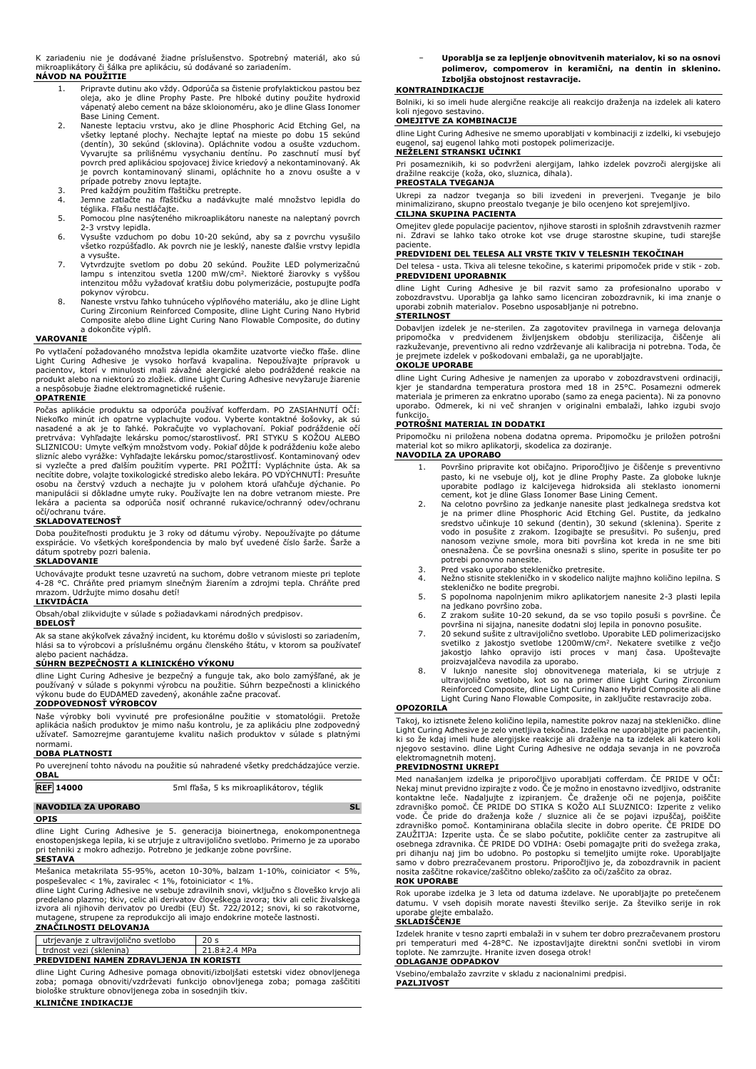K zariadeniu nie je dodávané žiadne príslušenstvo. Spotrebný materiál, ako sú mikroaplikátory či šálka pre aplikáciu, sú dodávané so zariadením. **NÁVOD NA POUŽITIE**

- 1. Pripravte dutinu ako vždy. Odporúča sa čistenie profylaktickou pastou bez oleja, ako je dline Prophy Paste. Pre hlboké dutiny použite hydroxid vápenatý alebo cement na báze skloionoméru, ako je dline Glass Ionomer
- Base Lining Cement. 2. Naneste leptaciu vrstvu, ako je dline Phosphoric Acid Etching Gel, na všetky leptané plochy. Nechajte leptať na mieste po dobu 15 sekúnd<br>(dentín), 30 sekúnd (sklovina). Opláchnite vodou a osušte vzduchom.<br>Vyvarujte sa prílišnému vysychaniu dentínu. Po zaschnutí musí byť povrch pred aplikáciou spojovacej živice kriedový a nekontaminovaný. Ak je povrch kontaminovaný slinami, opláchnite ho a znovu osušte a v
- prípade potreby znovu leptajte. 3. Pred každým použitím fľaštičku pretrepte.
- 4. Jemne zatlačte na fľaštičku a nadávkujte malé množstvo lepidla do téglika. Fľašu nestláčajte.
- 5. Pomocou plne nasýteného mikroaplikátoru naneste na naleptaný povrch 2-3 vrstvy lepidla.
- 6. Vysušte vzduchom po dobu 10-20 sekúnd, aby sa z povrchu vysušilo všetko rozpúšťadlo. Ak povrch nie je lesklý, naneste ďalšie vrstvy lepidla
- a vysušte. 7. Vytvrdzujte svetlom po dobu 20 sekúnd. Použite LED polymerizačnú lampu s intenzitou svetla 1200 mW/cm<sup>2</sup> . Niektoré žiarovky s vyššou intenzitou môžu vyžadovať kratšiu dobu polymerizácie, postupujte podľa
- pokynov výrobcu. 8. Naneste vrstvu ľahko tuhnúceho výplňového materiálu, ako je dline Light Curing Zirconium Reinforced Composite, dline Light Curing Nano Hybrid Composite alebo dline Light Curing Nano Flowable Composite, do dutiny a dokončite výplň.

### **VAROVANIE**

Po vytlačení požadovaného množstva lepidla okamžite uzatvorte viečko fľaše. dline Light Curing Adhesive je vysoko horľavá kvapalina. Nepoužívajte prípravok u pacientov, ktorí v minulosti mali závažné alergické alebo podráždené reakcie na produkt alebo na niektorú zo zložiek. dline Light Curing Adhesive nevyžaruje žiarenie a nespôsobuje žiadne elektromagnetické rušenie.

#### **OPATRENIE**

Počas aplikácie produktu sa odporúča používať kofferdam. PO ZASIAHNUTÍ OČÍ: Niekoľko minút ich opatrne vyplachujte vodou. Vyberte kontaktné šošovky, ak sú nasadené a ak je to ľahké. Pokračujte vo vyplachovaní. Pokiaľ podráždenie očí pretrváva: Vyhľadajte lekársku pomoc/starostlivosť. PRI STYKU S KOŽOU ALEBO SLIZNICOU: Umyte veľkým množstvom vody. Pokiaľ dôjde k podráždeniu kože alebo<br>slizníc alebo vyrážke: Vyhľadajte lekársku pomoc/starostlivosť. Kontaminovaný odev<br>si vyzlečte a pred ďalším použitím vyperte. PRI POŽITÍ: Vyplá osobu na čerstvý vzduch a nechajte ju v polohem ktorá uľahčuje dýchanie. Po manipulácii si dôkladne umyte ruky. Používajte len na dobre vetranom mieste. Pre lekára a pacienta sa odporúča nosiť ochranné rukavice/ochranný odev/ochranu očí/ochranu tváre.

### **SKLADOVATEĽNOSŤ**

Doba použiteľnosti produktu je 3 roky od dátumu výroby. Nepoužívajte po dátume exspirácie. Vo všetkých korešpondencia by malo byť uvedené číslo šarže. Šarže a dátum spotreby pozri balenia.

### **SKLADOVANIE**

Uchovávajte produkt tesne uzavretú na suchom, dobre vetranom mieste pri teplote 4-28 °C. Chráňte pred priamym slnečným žiarením a zdrojmi tepla. Chráňte pred mrazom. Udržujte mimo dosahu detí!

#### **LIKVIDÁCIA**

Obsah/obal zlikvidujte v súlade s požiadavkami národných predpisov.

#### **BDELOSŤ**

Ak sa stane akýkoľvek závažný incident, ku ktorému došlo v súvislosti so zariadením, hlási sa to výrobcovi a príslušnému orgánu členského štátu, v ktorom sa používateľ alebo pacient nachádza.

# **SÚHRN BEZPEČNOSTI A KLINICKÉHO VÝKONU**

dline Light Curing Adhesive je bezpečný a funguje tak, ako bolo zamýšľané, ak je používaný v súlade s pokynmi výrobcu na použitie. Súhrn bezpečnosti a klinického<br>výkonu bude do EUDAMED zavedený, akonáhle začne pracovať.<br>**ZODPOVEDNOSŤ VÝROBCOV** 

Naše výrobky boli vyvinuté pre profesionálne použitie v stomatológii. Pretože aplikácia našich produktov je mimo našu kontrolu, je za aplikáciu plne zodpovedný užívateľ. Samozrejme garantujeme kvalitu našich produktov v súlade s platnými normami.

#### **DOBA PLATNOSTI**

Po uverejnení tohto návodu na použitie sú nahradené všetky predchádzajúce verzie. **OBAL**

| <b>REF</b> 14000 | 5ml fľaša, 5 ks mikroaplikátorov, téglik |  |
|------------------|------------------------------------------|--|
|                  |                                          |  |

# **NAVODILA ZA UPORABO** SL

### **OPIS**

dline Light Curing Adhesive je 5. generacija bioinertnega, enokomponentnega enostopenjskega lepila, ki se utrjuje z ultravijolično svetlobo. Primerno je za uporabo pri tehniki z mokro adhezijo. Potrebno je jedkanje zobne površine.

#### **SESTAVA**

Mešanica metakrilata 55-95%, aceton 10-30%, balzam 1-10%, coiniciator < 5%, pospeševalec < 1%, zaviralec < 1%, fotoiniciator < 1%.

dline Light Curing Adhesive ne vsebuje zdravilnih snovi, vključno s človeško krvjo ali predelano plazmo; tkiv, celic ali derivatov človeškega izvora; tkiv ali celic živalskega izvora ali njihovih derivatov po Uredbi (EU) Št. 722/2012; snovi, ki so rakotvorne, mutagene, strupene za reprodukcijo ali imajo endokrine moteče lastnosti.

#### **ZNAČILNOSTI DELOVANJA**

| utrjevanje z ultravijolično svetlobo           | 20 <sub>s</sub>    |  |
|------------------------------------------------|--------------------|--|
| trdnost vezi (sklenina)                        | $21.8 \pm 2.4$ MPa |  |
| <b>PREDVIDENI NAMEN ZDRAVLJENJA IN KORISTI</b> |                    |  |

dline Light Curing Adhesive pomaga obnoviti/izboljšati estetski videz obnovljenega zoba; pomaga obnoviti/vzdrževati funkcijo obnovljenega zoba; pomaga zaščititi biološke strukture obnovljenega zoba in sosednjih tkiv. **KLINIČNE INDIKACIJE**

− **Uporablja se za lepljenje obnovitvenih materialov, ki so na osnovi polimerov, compomerov in keramični, na dentin in sklenino. Izboljša obstojnost restavracije.**

#### **KONTRAINDIKACIJE**

Bolniki, ki so imeli hude alergične reakcije ali reakcijo draženja na izdelek ali katero koli njegovo sestavino.

# **OMEJITVE ZA KOMBINACIJE** dline Light Curing Adhesive ne smemo uporabljati v kombinaciji z izdelki, ki vsebujejo eugenol, saj eugenol lahko moti postopek polimerizacije.

# **NEŽELENI STRANSKI UČINKI**

Pri posameznikih, ki so podvrženi alergijam, lahko izdelek povzroči alergijske ali dražilne reakcije (koža, oko, sluznica, dihala).

# **PREOSTALA TVEGANJA**

Ukrepi za nadzor tveganja so bili izvedeni in preverjeni. Tveganje je bilo minimalizirano, skupno preostalo tveganje je bilo ocenjeno kot sprejemljivo. **CILJNA SKUPINA PACIENTA**

Omejitev glede populacije pacientov, njihove starosti in splošnih zdravstvenih razmer ni. Zdravi se lahko tako otroke kot vse druge starostne skupine, tudi starejše paciente.

### **PREDVIDENI DEL TELESA ALI VRSTE TKIV V TELESNIH TEKOČINAH**

Del telesa - usta. Tkiva ali telesne tekočine, s katerimi pripomoček pride v stik - zob. **PREDVIDENI UPORABNIK**

dline Light Curing Adhesive je bil razvit samo za profesionalno uporabo v zobozdravstvu. Uporablja ga lahko samo licenciran zobozdravnik, ki ima znanje o uporabi zobnih materialov. Posebno usposabljanje ni potrebno. **STERILNOST**

## Dobavljen izdelek je ne-sterilen. Za zagotovitev pravilnega in varnega delovanja pripomočka v predvidenem življenjskem obdobju sterilizacija, čiščenje ali razkuževanje, preventivno ali redno vzdrževanje ali kalibracija ni potrebna. Toda, če je prejmete izdelek v poškodovani embalaži, ga ne uporabljajte. **OKOLJE UPORABE**

dline Light Curing Adhesive je namenjen za uporabo v zobozdravstveni ordinaciji, kjer je standardna temperatura prostora med 18 in 25°C. Posamezni odmerek materiala je primeren za enkratno uporabo (samo za enega pacienta). Ni za ponovno uporabo. Odmerek, ki ni več shranjen v originalni embalaži, lahko izgubi svojo funkcijo.

# **POTROŠNI MATERIAL IN DODATKI**

Pripomočku ni priložena nobena dodatna oprema. Pripomočku je priložen potrošni material kot so mikro aplikatorji, skodelica za doziranje.

# **NAVODILA ZA UPORABO**

- 1. Površino pripravite kot običajno. Priporočljivo je čiščenje s preventivno pasto, ki ne vsebuje olj, kot je dline Prophy Paste. Za globoke luknje uporabite podlago iz kalcijevega hidroksida ali steklasto ionomerni cement, kot je dline Glass Ionomer Base Lining Cement.
- 2. Na celotno površino za jedkanje nanesite plast jedkalnega sredstva kot je na primer dline Phosphoric Acid Etching Gel. Pustite, da jedkalno sredstvo učinkuje 10 sekund (dentin), 30 sekund (sklenina). Sperite z vodo in posušite z zrakom. Izogibajte se presušitvi. Po sušenju, pred nanosom vezivne smole, mora biti površina kot kreda in ne sme biti onesnažena. Če se površina onesnaži s slino, sperite in posušite ter po potrebi ponovno nanesite.
- 3. Pred vsako uporabo stekleničko pretresite.<br>4. Nežno stisnite stekleničko in v skodelico na
- 4. Nežno stisnite stekleničko in v skodelico nalijte majhno količino lepilna. S stekleničko ne bodite pregrobi.
- 5. S popolnoma napolnjenim mikro aplikatorjem nanesite 2-3 plasti lepila na jedkano površino zoba.
- 6. Z zrakom sušite 10-20 sekund, da se vso topilo posuši s površine. Če površina ni sijajna, nanesite dodatni sloj lepila in ponovno posušite.
- 7. 20 sekund sušite z ultravijolično svetlobo. Uporabite LED polimerizacijsko svetilko z jakostjo svetlobe 1200mW/cm<sup>2</sup> . Nekatere svetilke z večjo jakostjo lahko opravijo isti proces v manj časa. Upoštevajte proizvajalčeva navodila za uporabo.
- 8. V luknjo nanesite sloj obnovitvenega materiala, ki se utrjuje z ultravijolično svetlobo, kot so na primer dline Light Curing Zirconium Reinforced Composite, dline Light Curing Nano Hybrid Composite ali dline Light Curing Nano Flowable Composite, in zaključite restavracijo zoba.

#### **OPOZORILA**

Takoj, ko iztisnete želeno količino lepila, namestite pokrov nazaj na stekleničko. dline Light Curing Adhesive je zelo vnetljiva tekočina. Izdelka ne uporabljajte pri pacientih, ki so že kdaj imeli hude alergijske reakcije ali draženje na ta izdelek ali katero koli njegovo sestavino. dline Light Curing Adhesive ne oddaja sevanja in ne povzroča elektromagnetnih motenj.

#### **PREVIDNOSTNI UKREPI**

Med nanašanjem izdelka je priporočljivo uporabljati cofferdam. CE PRIDE V OCI:<br>Nekaj minut previdno izpirajte z vodo. Če je možno in enostavno izvedljivo, odstranite<br>kontaktne leče. Nadaljujte z izpiranjem. Če draženje oči pri dihanju naj jim bo udobno. Po postopku si temeljito umijte roke. Uporabljajte samo v dobro prezračevanem prostoru. Priporočljivo je, da zobozdravnik in pacient nosita zaščitne rokavice/zaščitno obleko/zaščito za oči/zaščito za obraz. **ROK UPORABE**

Rok uporabe izdelka je 3 leta od datuma izdelave. Ne uporabljajte po pretečenem datumu. V vseh dopisih morate navesti številko serije. Za številko serije in rok uporabe glejte embalažo.

# **SKLADIŠČENJE**

Izdelek hranite v tesno zaprti embalaži in v suhem ter dobro prezračevanem prostoru pri temperaturi med 4-28°C. Ne izpostavljajte direktni sončni svetlobi in virom toplote. Ne zamrzujte. Hranite izven dosega otrok!

#### **ODLAGANJE ODPADKOV**

Vsebino/embalažo zavrzite v skladu z nacionalnimi predpisi. **PAZLJIVOST**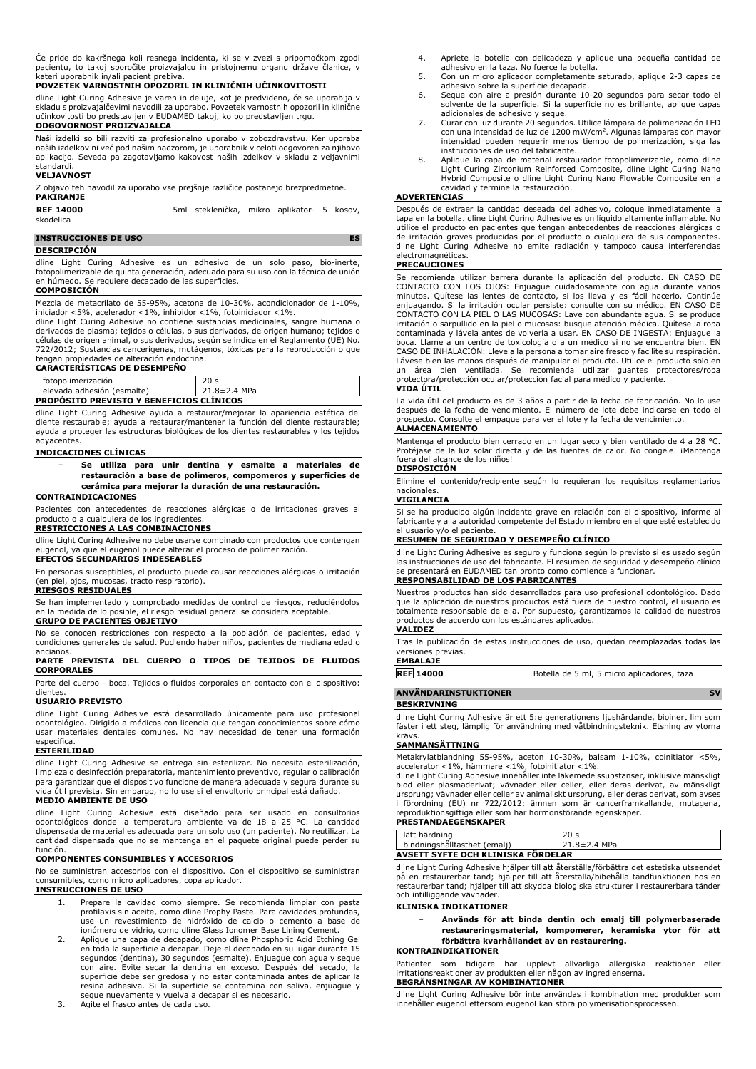Če pride do kakršnega koli resnega incidenta, ki se v zvezi s pripomočkom zgodi pacientu, to takoj sporočite proizvajalcu in pristojnemu organu države članice, v kateri uporabnik in/ali pacient prebiva.

#### **POVZETEK VARNOSTNIH OPOZORIL IN KLINIČNIH UČINKOVITOSTI**

dline Light Curing Adhesive je varen in deluje, kot je predvideno, če se uporablja v skladu s proizvajalčevimi navodili za uporabo. Povzetek varnostnih opozoril in klinične učinkovitosti bo predstavljen v EUDAMED takoj, ko bo predstavljen trgu. **ODGOVORNOST PROIZVAJALCA**

Naši izdelki so bili razviti za profesionalno uporabo v zobozdravstvu. Ker uporaba naših izdelkov ni več pod našim nadzorom, je uporabnik v celoti odgovoren za njihovo aplikacijo. Seveda pa zagotavljamo kakovost naših izdelkov v skladu z veljavnimi standardi. **VELJAVNOST**

Z objavo teh navodil za uporabo vse prejšnje različice postanejo brezpredmetne. **PAKIRANJE**

| <b>REF</b> 14000 | 5ml steklenička, mikro aplikator- 5 kosov, |  |  |
|------------------|--------------------------------------------|--|--|
| skodelica        |                                            |  |  |

# **INSTRUCCIONES DE USO ES DESCRIPCIÓN**

dline Light Curing Adhesive es un adhesivo de un solo paso, bio-inerte, fotopolimerizable de quinta generación, adecuado para su uso con la técnica de unión Se requiere decapado de las superficies. en húmedo. Se re

Mezcla de metacrilato de 55-95%, acetona de 10-30%, acondicionador de 1-10%, iniciador <5%, acelerador <1%, inhibidor <1%, fotoiniciador <1%.

dline Light Curing Adhesive no contiene sustancias medicinales, sangre humana o derivados de plasma; tejidos o células, o sus derivados, de origen humano; tejidos o células de origen animal, o sus derivados, según se indica en el Reglamento (UE) No. 722/2012; Sustancias cancerígenas, mutágenos, tóxicas para la reproducción o que tengan propiedades de alteración endocrina.

#### **CARACTERÍSTICAS DE DESEMPEÑO**

| fotopolimerización         |                                                 |              |
|----------------------------|-------------------------------------------------|--------------|
| elevada adhesión (esmalte) |                                                 | 21.8±2.4 MPa |
|                            | <b>PROPOSITO PREVISTO Y BENEFICIOS CLÍNICOS</b> |              |

dline Light Curing Adhesive ayuda a restaurar/mejorar la apariencia estética del diente restaurable; ayuda a restaurar/mantener la función del diente restaurable; ayuda a proteger las estructuras biológicas de los dientes restaurables y los tejidos adyacentes.

### **INDICACIONES CLÍNICAS**

− **Se utiliza para unir dentina y esmalte a materiales de restauración a base de polímeros, compomeros y superficies de cerámica para mejorar la duración de una restauración.**

#### **CONTRAINDICACIONES**

Pacientes con antecedentes de reacciones alérgicas o de irritaciones graves al producto o a cualquiera de los ingredientes.

# **RESTRICCIONES A LAS COMBINACIONES**

dline Light Curing Adhesive no debe usarse combinado con productos que contengan eugenol, ya que el eugenol puede alterar el proceso de polimerización. **EFECTOS SECUNDARIOS INDESEABLES**

En personas susceptibles, el producto puede causar reacciones alérgicas o irritación (en piel, ojos, mucosas, tracto respiratorio).

### **RIESGOS RESIDUALES**

Se han implementado y comprobado medidas de control de riesgos, reduciéndolos en la medida de lo posible, el riesgo residual general se considera aceptable. **GRUPO DE PACIENTES OBJETIVO**

No se conocen restricciones con respecto a la población de pacientes, edad y condiciones generales de salud. Pudiendo haber niños, pacientes de mediana edad o ancianos.

### **PARTE PREVISTA DEL CUERPO O TIPOS DE TEJIDOS DE FLUIDOS CORPORALES**

Parte del cuerpo - boca. Tejidos o fluidos corporales en contacto con el dispositivo: dientes.

# **USUARIO PREVISTO**

dline Light Curing Adhesive está desarrollado únicamente para uso profesional odontológico. Dirigido a médicos con licencia que tengan conocimientos sobre cómo usar materiales dentales comunes. No hay necesidad de tener una formación específica.

#### **ESTERILIDAD**

dline Light Curing Adhesive se entrega sin esterilizar. No necesita esterilización, limpieza o desinfección preparatoria, mantenimiento preventivo, regular o calibración para garantizar que el dispositivo funcione de manera adecuada y segura durante su vida útil prevista. Sin embargo, no lo use si el envoltorio principal está dañado. **MEDIO AMBIENTE DE USO**

dline Light Curing Adhesive está diseñado para ser usado en consultorios odontológicos donde la temperatura ambiente va de 18 a 25 °C. La cantidad dispensada de material es adecuada para un solo uso (un paciente). No reutilizar. La cantidad dispensada que no se mantenga en el paquete original puede perder su función.

# **COMPONENTES CONSUMIBLES Y ACCESORIOS**

No se suministran accesorios con el dispositivo. Con el dispositivo se suministran consumibles, como micro aplicadores, copa aplicador. **INSTRUCCIONES DE USO**

- 1. Prepare la cavidad como siempre. Se recomienda limpiar con pasta profilaxis sin aceite, como dline Prophy Paste. Para cavidades profundas, use un revestimiento de hidróxido de calcio o cemento a base de ionómero de vidrio, como dline Glass Ionomer Base Lining Cement.
- 2. Aplique una capa de decapado, como dline Phosphoric Acid Etching Gel en toda la superficie a decapar. Deje el decapado en su lugar durante 15 segundos (dentina), 30 segundos (esmalte). Enjuague con agua y seque con aire. Evite secar la dentina en exceso. Después del secado, la superficie debe ser gredosa y no estar contaminada antes de aplicar la resina adhesiva. Si la superficie se contamina con saliva, enjuague y seque nuevamente y vuelva a decapar si es necesario.
- 3. Agite el frasco antes de cada uso.
- 4. Apriete la botella con delicadeza y aplique una pequeña cantidad de adhesivo en la taza. No fuerce la botella.
- 5. Con un micro aplicador completamente saturado, aplique 2-3 capas de adhesivo sobre la superficie decapada.
- 6. Seque con aire a presión durante 10-20 segundos para secar todo el solvente de la superficie. Si la superficie no es brillante, aplique capas adicionales de adhesivo y seque.
- 7. Curar con luz durante 20 segundos. Utilice lámpara de polimerización LED con una intensidad de luz de 1200 mW/cm<sup>2</sup> . Algunas lámparas con mayor intensidad pueden requerir menos tiempo de polimerización, siga las instrucciones de uso del fabricante.
- 8. Aplique la capa de material restaurador fotopolimerizable, como dline Light Curing Zirconium Reinforced Composite, dline Light Curing Nano Hybrid Composite o dline Light Curing Nano Flowable Composite en la cavidad y termine la restauración.

#### **ADVERTENCIAS**

Después de extraer la cantidad deseada del adhesivo, coloque inmediatamente la tapa en la botella. dline Light Curing Adhesive es un líquido altamente inflamable. No utilice el producto en pacientes que tengan antecedentes de reacciones alérgicas o de irritación graves producidas por el producto o cualquiera de sus componentes. dline Light Curing Adhesive no emite radiación y tampoco causa interferencias electromagnéticas.

### **PRECAUCIONES**

Se recomienda utilizar barrera durante la aplicación del producto. EN CASO DE CONTACTO CON LOS OJOS: Enjuague cuidadosamente con agua durante varios minutos. Quítese las lentes de contacto, si los lleva y es fácil hacerlo. Continúe enjuagando. Si la irritación ocular persiste: consulte con su médico. EN CASO DE CONTACTO CON LA PIEL O LAS MUCOSAS: Lave con abundante agua. Si se produce irritación o sarpullido en la piel o mucosas: busque atención médica. Quítese la ropa contaminada y lávela antes de volverla a usar. EN CASO DE INGESTA: Enjuague la boca. Llame a un centro de toxicología o a un médico si no se encuentra bien. EN CASO DE INHALACIÓN: Lleve a la persona a tomar aire fresco y facilite su respiración. Lávese bien las manos después de manipular el producto. Utilice el producto solo en un área bien ventilada. Se recomienda utilizar guantes protectores/ropa protectora/protección ocular/protección facial para médico y paciente.

#### **VIDA ÚTIL**

La vida útil del producto es de 3 años a partir de la fecha de fabricación. No lo use después de la fecha de vencimiento. El número de lote debe indicarse en todo el prospecto. Consulte el empaque para ver el lote y la fecha de vencimiento. **ALMACENAMIENTO**

Mantenga el producto bien cerrado en un lugar seco y bien ventilado de 4 a 28 °C. Protéjase de la luz solar directa y de las fuentes de calor. No congele. iMantenga fuera del alcance de los niños!

#### **DISPOSICIÓN**

Elimine el contenido/recipiente según lo requieran los requisitos reglamentarios nacionales.

# **VIGILANCIA**

Si se ha producido algún incidente grave en relación con el dispositivo, informe al fabricante y a la autoridad competente del Estado miembro en el que esté establecido el usuario y/o el paciente.

# **RESUMEN DE SEGURIDAD Y DESEMPEÑO CLÍNICO**

dline Light Curing Adhesive es seguro y funciona según lo previsto si es usado según las instrucciones de uso del fabricante. El resumen de seguridad y desempeño clínico se presentará en EUDAMED tan pronto como comience a funcionar.

## **RESPONSABILIDAD DE LOS FABRICANTES**

Nuestros productos han sido desarrollados para uso profesional odontológico. Dado que la aplicación de nuestros productos está fuera de nuestro control, el usuario es totalmente responsable de ella. Por supuesto, garantizamos la calidad de nuestros productos de acuerdo con los estándares aplicados.

# **VALIDEZ**

Tras la publicación de estas instrucciones de uso, quedan reemplazadas todas las versiones previas.

# **EMBALAJE**

**REF 14000** Botella de 5 ml, 5 micro aplicadores, taza

**ANVÄNDARINSTUKTIONER SV**

#### **BESKRIVNING**

dline Light Curing Adhesive är ett 5:e generationens ljushärdande, bioinert lim som fäster i ett steg, lämplig för användning med våtbindningsteknik. Etsning av ytorna krävs.

#### **SAMMANSÄTTNING**

Metakrylatblandning 55-95%, aceton 10-30%, balsam 1-10%, coinitiator <5%, accelerator <1%, hämmare <1%, fotoinitiator <1%.

dline Light Curing Adhesive innehåller inte läkemedelssubstanser, inklusive mänskligt blod eller plasmaderivat; vävnader eller celler, eller deras derivat, av mänskligt ursprung; vävnader eller celler av animaliskt ursprung, eller deras derivat, som avses i förordning (EU) nr 722/2012; ämnen som är cancerframkallande, mutagena, reproduktionsgiftiga eller som har hormonstörande egenskaper.

# **PRESTANDAEGENSKAPER**

| lätt härdning                            |            |
|------------------------------------------|------------|
| bindningshållfasthet (emali)             | .8±2.4 MPa |
| --<br>AVSETT SYFTE OCH KLINISKA FORDELAR |            |

dline Light Curing Adhesive hjälper till att återställa/förbättra det estetiska utseendet på en restaurerbar tand; hjälper till att återställa/bibehålla tandfunktionen hos en restaurerbar tand; hjälper till att skydda biologiska strukturer i restaurerbara tänder och intilliggande vävnader.

#### **KLINISKA INDIKATIONER**

− **Används för att binda dentin och emalj till polymerbaserade restaureringsmaterial, kompomerer, keramiska ytor för att förbättra kvarhållandet av en restaurering.**

#### **KONTRAINDIKATIONER**

Patienter som tidigare har upplevt allvarliga allergiska reaktioner eller irritationsreaktioner av produkten eller någon av ingredienserna.

#### **BEGRÄNSNINGAR AV KOMBINATIONER**

dline Light Curing Adhesive bör inte användas i kombination med produkter som innehåller eugenol eftersom eugenol kan störa polymerisationsprocessen.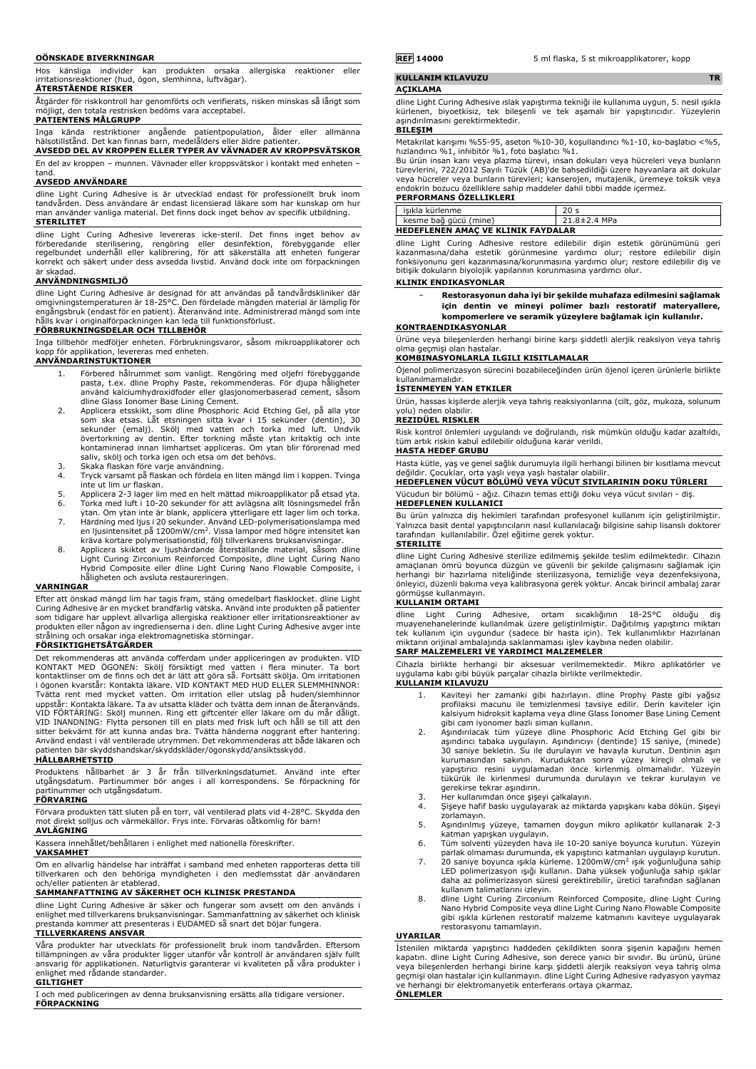#### **OÖNSKADE BIVERKNINGAR**

Hos känsliga individer kan produkten orsaka allergiska reaktioner eller irritationsreaktioner (hud, ögon, slemhinna, luftvägar).

**ÅTERSTÅENDE RISKER**

Åtgärder för riskkontroll har genomförts och verifierats, risken minskas så långt som möjligt, den totala restrisken bedöms vara acceptabel.

# **PATIENTENS MÅLGRUPP**

Inga kända restriktioner angående patientpopulation, ålder eller allmänna hälsotillstånd. Det kan finnas barn, medelålders eller äldre patienter.

**AVSEDD DEL AV KROPPEN ELLER TYPER AV VÄVNADER AV KROPPSVÄTSKOR** En del av kroppen – munnen. Vävnader eller kroppsvätskor i kontakt med enheten – tand.

# **AVSEDD ANVÄNDARE**

dline Light Curing Adhesive is är utvecklad endast för professionellt bruk inom tandvården. Dess användare är endast licensierad läkare som har kunskap om hur man använder vanliga material. Det finns dock inget behov av specifik utbildning. **STERILITET**

dline Light Curing Adhesive levereras icke-steril. Det finns inget behov av<br>förberedande sterilisering, rengöring eller desinfektion, förebyggande eller<br>regelbundet underhåll eller kalibrering, för att säkerställa att enhe korrekt och säkert under dess avsedda livstid. Använd dock inte om förpackningen är skadad.

## **ANVÄNDNINGSMILJÖ**

dline Light Curing Adhesive är designad för att användas på tandvårdskliniker där omgivningstemperaturen är 18-25°C. Den fördelade mängden material är lämplig för engångsbruk (endast för en patient). Återanvänd inte. Administrerad mängd som inte hålls kvar i originalförpackningen kan leda till funktionsförlust.

## **FÖRBRUKNINGSDELAR OCH TILLBEHÖR**

Inga tillbehör medföljer enheten. Förbrukningsvaror, såsom mikroapplikatorer och kopp för applikation, levereras med enheten.

# **ANVÄNDARINSTUKTIONER**

- 1. Förbered hålrummet som vanligt. Rengöring med oljefri förebyggande pasta, t.ex. dline Prophy Paste, rekommenderas. För djupa håligheter använd kalciumhydroxidfoder eller glasjonomerbaserad cement, såsom
- dline Glass Ionomer Base Lining Cement. 2. Applicera etsskikt, som dline Phosphoric Acid Etching Gel, på alla ytor som ska etsas. Lät etsningen sitta kvar i 15 sekunder (dentin), 30<br>sekunder (emalj). Skölj med vatten och torka med luft. Undvik<br>övertorkning av dentin. Efter torkning måste ytan kritaktig och inte<br>kontaminerad innan limha
- 3. Skaka flaskan före varje användning.<br>4. Tryck varsamt på flaskan och fördela
- 4. Tryck varsamt på flaskan och fördela en liten mängd lim i koppen. Tvinga inte ut lim ur flaskan.
- 5. Applicera 2-3 lager lim med en helt mättad mikroapplikator på etsad yta.
- 6. Torka med luft i 10-20 sekunder för att avlägsna allt lösningsmedel från ytan. Om ytan inte är blank, applicera ytterligare ett lager lim och torka. 7. Härdning med ljus i 20 sekunder. Använd LED-polymerisationslampa med en ljusintensitet på 1200mW/cm<sup>2</sup> . Vissa lampor med högre intensitet kan
- kräva kortare polymerisationstid, följ tillverkarens bruksanvisningar.<br>8. Applicera skiktet av ljushärdande återställande material, såsom dline<br>Light Curing Zirconium Reinforced Composite, dline Light Curing Nano<br>Hybri håligheten och avsluta restaureringen.

### **VARNINGAR**

Efter att önskad mängd lim har tagis fram, stäng omedelbart flasklocket. dline Light Curing Adhesive är en mycket brandfarlig vätska. Använd inte produkten på patienter som tidigare har upplevt allvarliga allergiska reaktioner eller irritationsreaktioner av produkten eller någon av ingredienserna i den. dline Light Curing Adhesive avger inte strålning och orsakar inga elektromagnetiska störningar.

# **FÖRSIKTIGHETSÅTGÄRDER**

Det rekommenderas att använda cofferdam under appliceringen av produkten. VID KONTAKT MED OGONEN: Skölj försiktigt med vatten i flera minuter. Ta bort<br>kontaktlinser om de finns och det är lätt att göra så. Fortsätt skölja. Om irritationen<br>i ögonen kvarstår: Kontakta läkare. VID KONTAKT MED HUD ELLER Tvätta rent med mycket vatten. Om irritation eller utslag på huden/slemhinnor uppstår: Kontakta läkare. Ta av utsatta kläder och tvätta dem innan de återanvänds. VID FÖRTÄRING: Skölj munnen. Ring ett giftcenter eller läkare om du mår dåligt. VID INANDNING: Flytta personen till en plats med frisk luft och håll se till att den sitter bekvämt för att kunna andas bra. Tvätta händerna noggrant efter hantering. Använd endast i väl ventilerade utrymmen. Det rekommenderas att både läkaren och patienten bär skyddshandskar/skyddskläder/ögonskydd/ansiktsskydd. **HÅLLBARHETSTID**

Produktens hållbarhet är 3 år från tillverkningsdatumet. Använd inte efter utgångsdatum. Partinummer bör anges i all korrespondens. Se förpackning för rtinummer och utgångsdatum.

# **FÖRVARING**

Förvara produkten tätt sluten på en torr, väl ventilerad plats vid 4-28°C. Skydda den mot direkt solljus och värmekällor. Frys inte. Förvaras oåtkomlig för barn! **AVLÄGNING**

# Kassera innehållet/behållaren i enlighet med nationella föreskrifter.

### **VAKSAMHET**

Om en allvarlig händelse har inträffat i samband med enheten rapporteras detta till tillverkaren och den behöriga myndigheten i den medlemsstat där användaren och/eller patienten är etablerad.

# **SAMMANFATTNING AV SÄKERHET OCH KLINISK PRESTANDA**

dline Light Curing Adhesive är säker och fungerar som avsett om den används i enlighet med tillverkarens bruksanvisningar. Sammanfattning av säkerhet och klinisk prestanda kommer att presenteras i EUDAMED så snart det böjar fungera. **TILLVERKARENS ANSVAR**

# Våra produkter har utvecklats för professionellt bruk inom tandvården. Eftersom tillämpningen av våra produkter ligger utanför vår kontroll är användaren själv fullt ansvarig för applikationen. Naturligtvis garanterar vi kvaliteten på våra produkter i enlighet med rådande standarder.

**GILTIGHET**

I och med publiceringen av denna bruksanvisning ersätts alla tidigare versioner. **FÖRPACKNING**

# **KULLANIM KILAVUZU**

# **AÇIKLAMA**

dline Light Curing Adhesive ıslak yapıştırma tekniği ile kullanıma uygun, 5. nesil ışıkla kürlenen, biyoetkisiz, tek bileşenli ve tek aşamalı bir yapıştırıcıdır. Yüzeylerin aşındırılmasını gerektirmektedir.

## **BILEŞIM**

Metakrilat karışımı %55-95, aseton %10-30, koşullandırıcı %1-10, ko-başlatıcı <%5, hızlandırıcı %1, inhibitör %1, foto başlatıcı %1. Bu ürün insan kanı veya plazma türevi, insan dokuları veya hücreleri veya bunların

türevlerini, 722/2012 Sayılı Tüzük (AB)'de bahsedildiği üzere hayvanlara ait dokular veya hücreler veya bunların türevleri; kanserojen, mutajenik, üremeye toksik veya endokrin bozucu özelliklere sahip maddeler dahil tıbbi madde içermez. **PERFORMANS ÖZELLIKLERI**

| HEDEFLENEN AMAC VE KLINIK FAYDALAR |              |
|------------------------------------|--------------|
| kesme bağ gücü (mine)              | 21.8±2.4 MPa |
| isıkla kürlenme                    | 20 s         |

dline Light Curing Adhesive restore edilebilir dişin estetik görünümünü geri kazanmasına/daha estetik görünmesine yardımcı olur; restore edilebilir dişin fonksiyonunu geri kazanmasına/korunmasına yardımcı olur; restore edilebilir diş ve bitişik dokuların biyolojik yapılarının korunmasına yardımcı olur.

# **KLINIK ENDIKASYONLAR**

− **Restorasyonun daha iyi bir şekilde muhafaza edilmesini sağlamak için dentin ve mineyi polimer bazlı restoratif materyallere, kompomerlere ve seramik yüzeylere bağlamak için kullanılır.**

#### **KONTRAENDIKASYONLAR**

Ürüne veya bileşenlerden herhangi birine karşı şiddetli alerjik reaksiyon veya tahriş geçmişi olan hastalar

# **KOMBINASYONLARLA ILGILI KISITLAMALAR**

Öjenol polimerizasyon sürecini bozabileceğinden ürün öjenol içeren ürünlerle birlikte kullanılmamalıdır.

# **İSTENMEYEN YAN ETKILER**

Ürün, hassas kişilerde alerjik veya tahriş reaksiyonlarına (cilt, göz, mukoza, solunum yolu) neden olabilir.

# **REZIDÜEL RISKLER**

Risk kontrol önlemleri uygulandı ve doğrulandı, risk mümkün olduğu kadar azaltıldı, tüm artık riskin kabul edilebilir olduğuna karar verildi.

# **HASTA HEDEF GRUBU**

Hasta kütle, yaş ve genel sağlık durumuyla ilgili herhangi bilinen bir kısıtlama mevcut değildir. Çocuklar, orta yaşlı veya yaşlı hastalar olabilir. **HEDEFLENEN VÜCUT BÖLÜMÜ VEYA VÜCUT SIVILARININ DOKU TÜRLERI**

Vücudun bir bölümü - ağız. Cihazın temas ettiği doku veya vücut sıvıları - diş. **HEDEFLENEN KULLANICI**

Bu ürün yalnızca diş hekimleri tarafından profesyonel kullanım için geliştirilmiştir. Yalnızca basit dental yapıştırıcıların nasıl kullanılacağı bilgisine sahip lisanslı doktorer tarafından kullanılabilir. Özel eğitime gerek yoktur. **STERILITE**

#### dline Light Curing Adhesive sterilize edilmemiş şekilde teslim edilmektedir. Cihazın amaçlanan ömrü boyunca düzgün ve güvenli bir şekilde çalışmasını sağlamak için herhangi bir hazırlama niteliğinde sterilizasyona, temizliğe veya dezenfeksiyona, önleyici, düzenli bakıma veya kalibrasyona gerek yoktur. Ancak birincil ambalaj zarar görmüşse kullanmayın.

## **KULLANIM ORTAMI**

dline Light Curing Adhesive, ortam sıcaklığının 18-25°C olduğu diş<br>muayenehanelerinde kullanılmak üzere geliştirilmiştir. Dağıtılmış yapıştırıcı miktarı<br>tek kullanım için uygundur (sadece bir hasta için). Tek kullanımlıktı

# **SARF MALZEMELERI VE YARDIMCI MALZEMELER**

Cihazla birlikte herhangi bir aksesuar verilmemektedir. Mikro aplikatörler ve uygulama kabı gibi büyük parçalar cihazla birlikte verilmektedir.

# **KULLANIM KILAVUZU**

- 1. Kaviteyi her zamanki gibi hazırlayın. dline Prophy Paste gibi yağsız profilaksi macunu ile temizlenmesi tavsiye edilir. Derin kaviteler için kalsiyum hidroksit kaplama veya dline Glass Ionomer Base Lining Cement gibi cam iyonomer bazlı siman kullanın.
- 2. Aşındırılacak tüm yüzeye dline Phosphoric Acid Etching Gel gibi bir aşındırıcı tabaka uygulayın. Aşındırıcıyı (dentinde) 15 saniye, (minede) 30 saniye bekletin. Su ile durulayın ve havayla kurutun. Dentinin aşırı kurumasından sakının. Kuruduktan sonra yüzey kireçli olmalı ve<br>yapıştırıcı resini uygulamadan önce kirlenmiş olmamalıdır. Yüzeyin<br>tükürük ile kirlenmesi durumunda durulayın ve tekrar kurulayın ve gerekirse tekrar aşındırın.
- 
- 3. Her kullanımdan önce şişeyi çalkalayın. 4. Şişeye hafif baskı uygulayarak az miktarda yapışkanı kaba dökün. Şişeyi zorlamayın.
- 5. Aşındırılmış yüzeye, tamamen doygun mikro aplikatör kullanarak 2-3 katman yapışkan uygulayın.
- 6. Tüm solventi yüzeyden hava ile 10-20 saniye boyunca kurutun. Yüzeyin
- parlak olmaması durumunda, ek yapıştırıcı katmanları uygulayıp kurutun.<br>7. 20 saniye boyunca ışıkla kürleme. 1200mW/cm<sup>2</sup> ışık yoğunluğuna sahip:<br>LED polimerizasyon ışığı kullanın. Daha yüksek yoğunluğa sahip ışıklar<br> kullanım talimatlarını izleyin. 8. dline Light Curing Zirconium Reinforced Composite, dline Light Curing
- Nano Hybrid Composite veya dline Light Curing Nano Flowable Composite gibi ışıkla kürlenen restoratif malzeme katmanını kaviteye uygulayarak restorasyonu tamamlayın.

# **UYARILAR**

İstenilen miktarda yapıştırıcı haddeden çekildikten sonra şişenin kapağını hemen kapatın. dline Light Curing Adhesive, son derece yanıcı bir sıvıdır. Bu ürünü, ürüne<br>veya bileşenlerden herhangi birine karşı şiddetli alerjik reaksiyon veya tahriş olma<br>geçmişi olan hastalar için kullanmayın. dline Light ve herhangi bir elektromanyetik enterferans ortaya çıkarmaz. **ÖNLEMLER**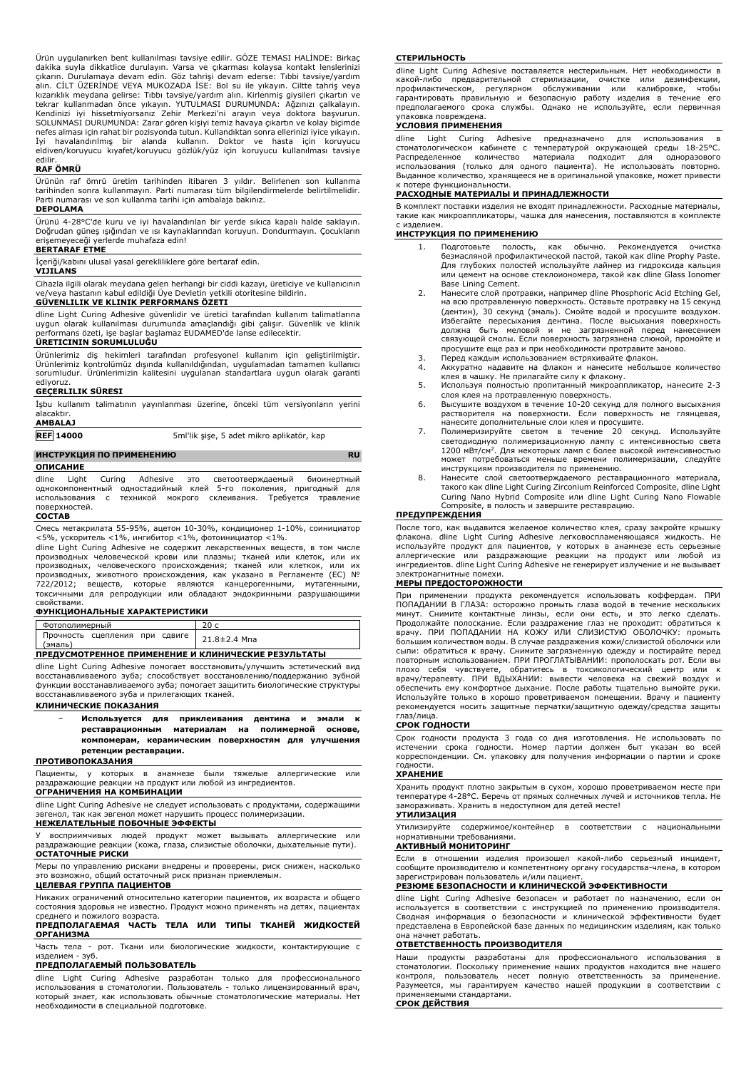Ürün uygulanırken bent kullanılması tavsiye edilir. GÖZE TEMASI HALİNDE: Birkaç dakika suyla dikkatlice durulayın. Varsa ve çıkarması kolaysa kontakt lenslerinizi<br>çıkarın. Durulamaya devam edin. Göz tahrişi devam ederse: Tıbbi tavsiye/yardım<br>alın. CİLT ÜZERİNDE VEYA MUKOZADA İSE: Bol su ile yıkayın. C kızarıklık meydana gelirse: Tıbbı tavsiye/yardım alın. Kirlenmiş giysileri çıkartın ve<br>tekrar kullanmadan önce yıkayın. YUTULMASI DURUMUNDA: Ağzınızı çalkalayın.<br>Kendinizi iyi hissetmiyorsanız Zehir Merkezi'ni arayın SOLUNMASI DURUMUNDA: Zarar gören kişiyi temiz havaya çıkartın ve kolay biçimde nefes alması için rahat bir pozisyonda tutun. Kullandıktan sonra ellerinizi iyice yıkayın. İyi havalandırılmış bir alanda kullanın. Doktor ve hasta için koruyucu eldiven/koruyucu kıyafet/koruyucu gözlük/yüz için koruyucu kullanılması tavsiye edilir.

#### **RAF ÖMRÜ**

Ürünün raf ömrü üretim tarihinden itibaren 3 yıldır. Belirlenen son kullanma tarihinden sonra kullanmayın. Parti numarası tüm bilgilendirmelerde belirtilmelidir. Parti numarası ve son kullanma tarihi için ambalaja bakınız.

#### **DEPOLAMA**

Ürünü 4-28°C'de kuru ve iyi havalandırılan bir yerde sıkıca kapalı halde saklayın. Doğrudan güneş ışığından ve ısı kaynaklarından koruyun. Dondurmayın. Çocukların erişemeyeceği yerlerde muhafaza edin!

## **BERTARAF ETME**

İçeriği/kabını ulusal yasal gerekliliklere göre bertaraf edin.

# **VIJILANS**

Cihazla ilgili olarak meydana gelen herhangi bir ciddi kazayı, üreticiye ve kullanıcının ve/veya hastanın kabul edildiği Üye Devletin yetkili otoritesine bildirin. **GÜVENLILIK VE KLINIK PERFORMANS ÖZETI**

dline Light Curing Adhesive güvenlidir ve üretici tarafından kullanım talimatlarına uygun olarak kullanılması durumunda amaçlandığı gibi çalışır. Güvenlik ve klinik performans özeti, işe başlar başlamaz EUDAMED'de lanse edilecektir. **ÜRETICININ SORUMLULUĞU**

Ürünlerimiz diş hekimleri tarafından profesyonel kullanım için geliştirilmiştir. Ürünlerimiz kontrolümüz dışında kullanıldığından, uygulamadan tamamen kullanıcı sorumludur. Ürünlerimizin kalitesini uygulanan standartlara uygun olarak garanti ediyoruz.

#### **GEÇERLILIK SÜRESI**

İşbu kullanım talimatının yayınlanması üzerine, önceki tüm versiyonların yerini alacaktır. **AMBALAJ**

**REF 14000** 5ml'lik şişe, 5 adet mikro aplikatör, kap

# **ИНСТРУКЦИЯ ПО ПРИМЕНЕНИЮ RU**

**ОПИСАНИЕ**

dline Light Curing Adhesive это светоотверждаемый биоинертный однокомпонентный одностадийный клей 5-го поколения, пригодный для использования с техникой мокрого склеивания. Требуется травление поверхностей. **СОСТАВ**

Смесь метакрилата 55-95%, ацетон 10-30%, кондиционер 1-10%, соинициатор <5%, ускоритель <1%, ингибитор <1%, фотоинициатор <1%.

dline Light Curing Adhesive не содержит лекарственных веществ, в том числе производных человеческой крови или плазмы; тканей или клеток, или их производных, человеческого происхождения; тканей или клеткок, или их производных, животного происхождения, как указано в Регламенте (ЕС) №<br>722/2012: вешеств, которые являются канцерогенными, мутагенными, 722/2012; веществ, которые являются канцерогенными, мутагенными, токсичными для репродукции или обладают эндокринными разрушающими свойствами.

#### **ФУНКЦИОНАЛЬНЫЕ ХАРАКТЕРИСТИКИ**

| Фотополимерный                                      | 20c          |  |
|-----------------------------------------------------|--------------|--|
| Прочность сцепления при сдвиге<br>(эмаль)           | 21.8±2.4 Мпа |  |
| ПРЕДУСМОТРЕННОЕ ПРИМЕНЕНИЕ И КЛИНИЧЕСКИЕ РЕЗУЛЬТАТЫ |              |  |

dline Light Curing Adhesive помогает восстановить/улучшить эстетический вид восстанавливаемого зуба; способствует восстановлению/поддержанию зубной функции восстанавливаемого зуба; помогает защитить биологические структуры восстанавливаемого зуба и прилегающих тканей.

## **КЛИНИЧЕСКИЕ ПОКАЗАНИЯ**

− **Используется для приклеивания дентина и эмали к реставрационным материалам на полимерной основе, компомерам, керамическим поверхностям для улучшения ретенции реставрации.**

#### **ПРОТИВОПОКАЗАНИЯ**

Пациенты, у которых в анамнезе были тяжелые аллергические или раздражающие реакции на продукт или любой из ингредиентов. **ОГРАНИЧЕНИЯ НА КОМБИНАЦИИ**

dline Light Curing Adhesive не следует использовать с продуктами, содержащими эвгенол, так как эвгенол может нарушить процесс полимеризации.

## **НЕЖЕЛАТЕЛЬНЫЕ ПОБОЧНЫЕ ЭФФЕКТЫ**

У восприимчивых людей продукт может вызывать аллергические или раздражающие реакции (кожа, глаза, слизистые оболочки, дыхательные пути). **ОСТАТОЧНЫЕ РИСКИ**

Меры по управлению рисками внедрены и проверены, риск снижен, насколько это возможно, общий остаточный риск признан приемлемым.

### **ЦЕЛЕВАЯ ГРУППА ПАЦИЕНТОВ**

Никаких ограничений относительно категории пациентов, их возраста и общего состояния здоровья не известно. Продукт можно применять на детях, пациентах среднего и пожилого возраста. **ПРЕДПОЛАГАЕМАЯ ЧАСТЬ ТЕЛА ИЛИ ТИПЫ ТКАНЕЙ ЖИДКОСТЕЙ**

# **ОРГАНИЗМА**

Часть тела - рот. Ткани или биологические жидкости, контактирующие с изделием - зуб.

# **ПРЕДПОЛАГАЕМЫЙ ПОЛЬЗОВАТЕЛЬ**

dline Light Curing Adhesive разработан только для профессионального использования в стоматологии. Пользователь - только лицензированный врач, который знает, как использовать обычные стоматологические материалы. Нет необходимости в специальной подготовке.

#### **СТЕРИЛЬНОСТЬ**

dline Light Curing Adhesive поставляется нестерильным. Нет необходимости в какой-либо предварительной стерилизации, очистке или дезинфекции, профилактическом, регулярном обслуживании или калибровке, чтобы гарантировать правильную и безопасную работу изделия в течение его предполагаемого срока службы. Однако не используйте, если первичная

# упаковка повреждена. **УСЛОВИЯ ПРИМЕНЕНИЯ**

dline Light Curing Adhesive предназначено для использования в<br>стоматологическом кабинете с температурой окружающей среды 18-25°C.<br>Распределенное количество материала подходит для одноразового использования (только для одного пациента). Не использовать повторно. Выданное количество, хранящееся не в оригинальной упаковке, может привести к потере функциональности.

#### **РАСХОДНЫЕ МАТЕРИАЛЫ И ПРИНАДЛЕЖНОСТИ**

В комплект поставки изделия не входят принадлежности. Расходные материалы, такие как микроаппликаторы, чашка для нанесения, поставляются в комплекте с изделием.

#### **ИНСТРУКЦИЯ ПО ПРИМЕНЕНИЮ**

- 1. Подготовьте полость, как обычно. Рекомендуется очистка безмасляной профилактической пастой, такой как dline Prophy Paste. Для глубоких полостей используйте лайнер из гидроксида кальция или цемент на основе стеклоиономера, такой как dline Glass Ionomer Base Lining Cement.
- 2. Нанесите слой протравки, например dline Phosphoric Acid Etching Gel, на всю протравленную поверхность. Оставьте протравку на 15 секунд (дентин), 30 секунд (эмаль). Смойте водой и просушите воздухом. Избегайте пересыхания дентина. После высыхания поверхность должна быть меловой и не загрязненной перед нанесением связующей смолы. Если поверхность загрязнена слюной, промойте и просушите еще раз и при необходимости протравите заново.
- 3. Перед каждым использованием встряхивайте флакон.
- 4. Аккуратно надавите на флакон и нанесите небольшое количество клея в чашку. Не прилагайте силу к флакону. 5. Используя полностью пропитанный микроаппликатор, нанесите 2-3
- слоя клея на протравленную поверхность.
- 6. Высушите воздухом в течение 10-20 секунд для полного высыхания растворителя на поверхности. Если поверхность не глянцевая,
- нанесите дополнительные слои клея и просушите. 7. Полимеризируйте светом в течение 20 секунд. Используйте светодиодную полимеризационную лампу с интенсивностью света 1200 мВт/см<sup>2</sup>. Для некоторых ламп с более высокой интенсивностью может потребоваться меньше времени полимеризации, следуйте
- инструкциям производителя по применению. 8. Нанесите слой светоотверждаемого реставрационного материала, такого как dline Light Curing Zirconium Reinforced Composite, dline Light Curing Nano Hybrid Composite или dline Light Curing Nano Flowable Composite, в полость и завершите реставрацию.

#### **ПРЕДУПРЕЖДЕНИЯ**

После того, как выдавится желаемое количество клея, сразу закройте крышку флакона. dline Light Curing Adhesive легковоспламеняющаяся жидкость. Не используйте продукт для пациентов, у которых в анамнезе есть серьезные аллергические или раздражающие реакции на продукт или любой из ингредиентов. dline Light Curing Adhesive не генерирует излучение и не вызывает электромагнитные помехи.

#### **МЕРЫ ПРЕДОСТОРОЖНОСТИ**

При применении продукта рекомендуется использовать коффердам. ПРИ ПОПАДАНИИ В ГЛАЗА: осторожно промыть глаза водой в течение нескольких минут. Снимите контактные линзы, если они есть, и это легко сделать. Продолжайте полоскание. Если раздражение глаз не проходит: обратиться к врачу. ПРИ ПОПАДАНИИ НА КОЖУ ИЛИ СЛИЗИСТУЮ ОБОЛОЧКУ: промыть большим количеством воды. В случае раздражения кожи/слизистой оболочки или сыпи: обратиться к врачу. Снимите загрязненную одежду и постирайте перед повторным использованием. ПРИ ПРОГЛАТЫВАНИИ: прополоскать рот. Если вы плохо себя чувствуете, обратитесь в токсикологический центр или к<br>врачу/терапевту. ПРИ ВДЫХАНИИ: вывести человека на свежий воздух и<br>обеспечитьему-комфортное-дыхание.После-работы-тщательно-вымойте-руки. Используйте только в хорошо проветриваемом помещении. Врачу и пациенту рекомендуется носить защитные перчатки/защитную одежду/средства защиты глаз/лица.

#### **СРОК ГОДНОСТИ**

Срок годности продукта 3 года со дня изготовления. Не использовать по истечении срока годности. Номер партии должен быт указан во всей корреспонденции. См. упаковку для получения информации о партии и сроке годности.

#### **ХРАНЕНИЕ**

Хранить продукт плотно закрытым в сухом, хорошо проветриваемом месте при температуре 4-28°C. Беречь от прямых солнечных лучей и источников тепла. Не замораживать. Хранить в недоступном для детей месте! **УТИЛИЗАЦИЯ**

Утилизируйте содержимое/контейнер в соответствии с национальными нормативными требованиями.

# **АКТИВНЫЙ МОНИТОРИНГ**

Если в отношении изделия произошел какой-либо серьезный инцидент, сообщите производителю и компетентному органу государства-члена, в котором зарегистрирован пользователь и/или пациент.

#### **РЕЗЮМЕ БЕЗОПАСНОСТИ И КЛИНИЧЕСКОЙ ЭФФЕКТИВНОСТИ**

dline Light Curing Adhesive безопасен и работает по назначению, если он используется в соответствии с инструкцией по применению производителя. Сводная информация о безопасности и клинической эффективности будет представлена в Европейской базе данных по медицинским изделиям, как только она начнет работать.

#### **ОТВЕТСТВЕННОСТЬ ПРОИЗВОДИТЕЛЯ**

Наши продукты разработаны для профессионального использования в стоматологии. Поскольку применение наших продуктов находится вне нашего контроля, пользователь несет полную ответственность за применение. Разумеется, мы гарантируем качество нашей продукции в соответствии с применяемыми стандартами. **СРОК ДЕЙСТВИЯ**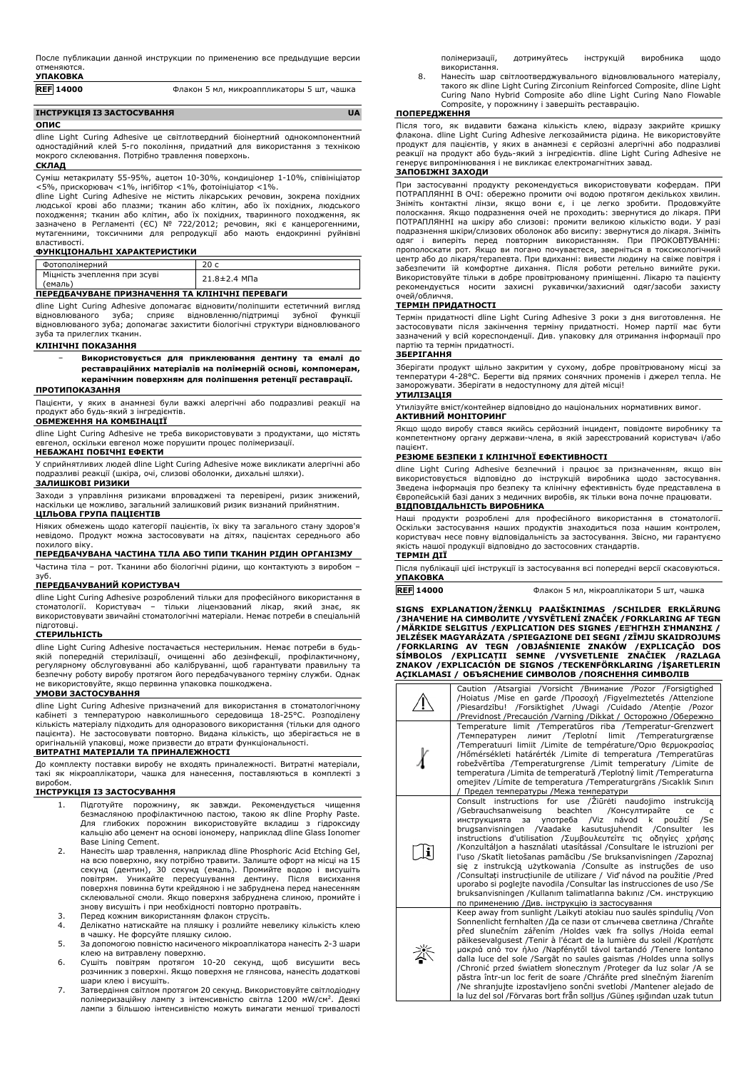| ------------     |                                           |
|------------------|-------------------------------------------|
| <b>REF 14000</b> | Флакон 5 мл, микроаппликаторы 5 шт, чашка |
|                  |                                           |

#### **ІНСТРУКЦІЯ ІЗ ЗАСТОСУВАННЯ UA ОПИС**

dline Light Curing Adhesive це світлотвердний біоінертний однокомпонентний одностадійний клей 5-го покоління, придатний для використання з технікою мокрого склеювання. Потрібно травлення поверхонь. **СКЛАД**

Суміш метакрилату 55-95%, ацетон 10-30%, кондиціонер 1-10%, співініціатор<br><5%, прискорювач <1%, інгібітор <1%, фотоініціатор <1%.<br>dline Light Curing Adhesive не містить лікарських речовин, зокрема похідних

людської крові або плазми; тканин або клітин, або їх похідних, людського походження; тканин або клітин, або їх похідних, тваринного походження, як<br>зазначено в Регламенті (ЄС) № 722/2012; речовин, які є канцерогенними,<br>мутагенними, токсичними для репродукції або мають ендокринні руйнівні

# властивості. **ФУНКЦІОНАЛЬНІ ХАРАКТЕРИСТИКИ**

| Фотополімерний                                 | 20 с         |
|------------------------------------------------|--------------|
| Міцність зчеплення при зсуві<br>(емаль)        | 21.8±2.4 M∏a |
| ПЕРЕДБАЧУВАНЕ ПРИЗНАЧЕННЯ ТА КЛІНІЧНІ ПЕРЕВАГИ |              |

dline Light Curing Adhesive допомагає відновити/поліпшити естетичний вигляд відновлюваного зуба; сприяє відновленню/підтримці зубної функції відновлюваного зуба; допомагає захистити біологічні структури відновлюваного зуба та прилеглих тканин.

### **КЛІНІЧНІ ПОКАЗАННЯ**

− **Використовується для приклеювання дентину та емалі до реставраційних матеріалів на полімерній основі, компомерам, керамічним поверхням для поліпшення ретенції реставрації.**

## **ПРОТИПОКАЗАННЯ**

Пацієнти, у яких в анамнезі були важкі алергічні або подразливі реакції на продукт або будь-який з інгредієнтів.

# **ОБМЕЖЕННЯ НА КОМБІНАЦІЇ**

dline Light Curing Adhesive не треба використовувати з продуктами, що містять евгенол, оскільки евгенол може порушити процес полімеризації.

# **НЕБАЖАНІ ПОБІЧНІ ЕФЕКТИ**

У сприйнятливих людей dline Light Curing Adhesive може викликати алергічні або подразливі реакції (шкіра, очі, слизові оболонки, дихальні шляхи). **ЗАЛИШКОВІ РИЗИКИ**

Заходи з управління ризиками впроваджені та перевірені, ризик знижений, наскільки це можливо, загальний залишковий ризик визнаний прийнятним. **ЦІЛЬОВА ГРУПА ПАЦІЄНТІВ**

Ніяких обмежень щодо категорії пацієнтів, їх віку та загального стану здоров'я невідомо. Продукт можна застосовувати на дітях, пацієнтах середнього або похилого віку.

# **ПЕРЕДБАЧУВАНА ЧАСТИНА ТІЛА АБО ТИПИ ТКАНИН РІДИН ОРГАНІЗМУ**

Частина тіла – рот. Тканини або біологічні рідини, що контактують з виробом – зуб.

#### **ПЕРЕДБАЧУВАНИЙ КОРИСТУВАЧ**

dline Light Curing Adhesive розроблений тільки для професійного використання в стоматології. Користувач – тільки ліцензований лікар, який знає, як використовувати звичайні стоматологічні матеріали. Немає потреби в спеціальній підготовці.

#### **СТЕРИЛЬНІСТЬ**

dline Light Curing Adhesive постачається нестерильним. Немає потреби в будьякій попередній стерилізації, очищенні або дезінфекції, профілактичному, регулярному обслуговуванні або калібруванні, щоб гарантувати правильну та безпечну роботу виробу протягом його передбачуваного терміну служби. Однак використовуйте, якщо первинна упаковка пошкоджена.

#### **УМОВИ ЗАСТОСУВАННЯ**

dline Light Curing Adhesive призначений для використання в стоматологічному кабінеті з температурою навколишнього середовища 18-25°C. Розподілену кількість матеріалу підходить для одноразового використання (тільки для одного пацієнта). Не застосовувати повторно. Видана кількість, що зберігається не в оригінальній упаковці, може призвести до втрати функціональності.

#### **ВИТРАТНІ МАТЕРІАЛИ ТА ПРИНАЛЕЖНОСТІ**

До комплекту поставки виробу не входять приналежності. Витратні матеріали, такі як мікроаплікатори, чашка для нанесення, поставляються в комплекті з виробом.

#### **ІНСТРУКЦІЯ ІЗ ЗАСТОСУВАННЯ**

- 1. Підготуйте порожнину, як завжди. Рекомендується чищення безмасляною профілактичною пастою, такою як dline Prophy Paste. Для глибоких порожнин використовуйте вкладиш з гідроксиду кальцію або цемент на основі іономеру, наприклад dline Glass Ionomer Base Lining Cement.
- 2. Нанесіть шар травлення, наприклад dline Phosphoric Acid Etching Gel, на всю поверхню, яку потрібно травити. Залиште офорт на місці на 15<br>секунд (дентин), 30 секунд (емаль). Промийте водою і висушіть<br>повітрям. Уникайте пересушування дентину. Після висихання<br>поверхня повинна склеювальної смоли. Якщо поверхня забруднена слиною, промийте і знову висушіть і при необхідності повторно протравіть.
- 3. Перед кожним використанням флакон струсіть.
- 4. Делікатно натискайте на пляшку і розлийте невелику кількість клею в чашку. Не форсуйте пляшку силою. 5. За допомогою повністю насиченого мікроаплікатора нанесіть 2-3 шари
- клею на витравлену поверхню.
- 6. Сушіть повітрям протягом 10-20 секунд, щоб висушити весь розчинник з поверхні. Якщо поверхня не глянсова, нанесіть додаткові шари клею і висушіть.
- 7. Затвердіння світлом протягом 20 секунд. Використовуйте світлодіодну полімеризаційну лампу з інтенсивністю світла 1200 мW/см². Деякі<br>лампи з більшою інтенсивністю можуть вимагати меншої тривалості

полімеризації, дотримуйтесь інструкцій виробника щодо використання.

8. Нанесіть шар світлоотверджувального відновлювального матеріалу, такого як dline Light Curing Zirconium Reinforced Composite, dline Light Curing Nano Hybrid Composite або dline Light Curing Nano Flowable Composite, у порожнину і завершіть реставрацію.

#### **ПОПЕРЕДЖЕННЯ**

Після того, як видавити бажана кількість клею, відразу закрийте кришку флакона. dline Light Curing Adhesive легкозаймиста рідина. Не використовуйте продукт для пацієнтів, у яких в анамнезі є серйозні алергічні або подразливі реакції на продукт або будь-який з інгредієнтів. dline Light Curing Adhesive не генерує випромінювання і не викликає електромагнітних завад.

# **ЗАПОБІЖНІ ЗАХОДИ**

При застосуванні продукту рекомендується використовувати кофердам. ПРИ ПОТРАПЛЯННІ В ОЧІ: обережно промити очі водою протягом декількох хвилин. Зніміть контактні лінзи, якщо вони є, і це легко зробити. Продовжуйте полоскання. Якщо подразнення очей не проходить: звернутися до лікаря. ПРИ ПОТРАПЛЯННІ на шкіру або слизові: промити великою кількістю води. У разі подразнення шкіри/слизових оболонок або висипу: звернутися до лікаря. Зніміть одяг і виперіть перед повторним використанням. При ПРОКОВТУВАННі: прополоскати рот. Якщо ви погано почуваєтеся, зверніться в токсикологічний центр або до лікаря/терапевта. При вдиханні: вивести людину на свіже повітря і забезпечити їй комфортне дихання. Після роботи ретельно вимийте руки. Використовуйте тільки в добре провітрюваному приміщенні. Лікарю та пацієнту рекомендується носити захисні рукавички/захисний одяг/засоби захисту очей/обличчя.

#### **ТЕРМІН ПРИДАТНОСТІ**

Термін придатності dline Light Curing Adhesive 3 роки з дня виготовлення. Не<br>застосовувати після закінчення терміну придатності. Номер партії має бути<br>зазначений у всій кореспонденції. Див. упаковку для отримання інформац партію та термін придатності. **ЗБЕРІГАННЯ**

Зберігати продукт щільно закритим у сухому, добре провітрюваному місці за температури 4-28°C. Берегти від прямих сонячних променів і джерел тепла. Не заморожувати. Зберігати в недоступному для дітей місці!

# **УТИЛІЗАЦІЯ**

Утилізуйте вміст/контейнер відповідно до національних нормативних вимог.

# **АКТИВНИЙ МОНІТОРИНГ**

Якщо щодо виробу стався якийсь серйозний інцидент, повідомте виробнику та компетентному органу держави-члена, в якій зареєстрований користувач і/або пацієнт.

#### **РЕЗЮМЕ БЕЗПЕКИ І КЛІНІЧНОЇ ЕФЕКТИВНОСТІ**

dline Light Curing Adhesive безпечний і працює за призначенням, якщо він використовується відповідно до інструкцій виробника щодо застосування. Зведена інформація про безпеку та клінічну ефективність буде представлена в Європейській базі даних з медичних виробів, як тільки вона почне працювати. **ВІДПОВІДАЛЬНІСТЬ ВИРОБНИКА**

# Наші продукти розроблені для професійного використання в стоматології. Оскільки застосування наших продуктів знаходиться поза нашим контролем, користувач несе повну відповідальність за застосування. Звісно, ми гарантуємо якість нашої продукції відповідно до застосовних стандартів.

**ТЕРМІН ДІЇ**

Після публікації цієї інструкції із застосування всі попередні версії скасовуються. **УПАКОВКА**

**REF 14000** Флакон 5 мл, мікроаплікатори 5 шт, чашка

**SIGNS EXPLANATION/ŽENKLŲ PAAIŠKINIMAS /SCHILDER ERKLÄRUNG** /ЗНАЧЕНИЕ НА СИМВОЛИТЕ /VYSVETLENI ZNACEK /FORKLARING AF TEGN<br>/МÄRKIDE SELGITUS /EXPLICATION DES SIGNES /ЕΞΉΓΗΣΗ ΣΉΜΑΝΣΗΣ / JELZESEK MAGYARAZATA /SPIEGAZIONE DEI SEGNI /ZIMJU SKAIDROJUMS<br>/FORKLARING AV TEGN /OBJAŚNIENIE ZNAKÓW /EXPLICAÇÃO DOS<br>SÍMBOLOS /EXPLICAȚII SEMNE /VYSVETLENIE ZNAČIEK /RAZLAGA<br>ZNAKOV /EXPLICACIÓN DE

| Caution /Atsargiai /Vorsicht /Внимание /Pozor /Forsigtighed<br>/Hoiatus /Mise en garde /Προσοχή /Figyelmeztetés /Attenzione<br>/Piesardzību! /Forsiktighet /Uwagi /Cuidado /Atentie /Pozor<br>Previdnost /Precaución /Varning /Dikkat / Осторожно /Обережно                                                                                                                                                                                                                                                                                                                                                                                                                                                                                                                                                                        |
|------------------------------------------------------------------------------------------------------------------------------------------------------------------------------------------------------------------------------------------------------------------------------------------------------------------------------------------------------------------------------------------------------------------------------------------------------------------------------------------------------------------------------------------------------------------------------------------------------------------------------------------------------------------------------------------------------------------------------------------------------------------------------------------------------------------------------------|
| Temperature limit /Temperatūros riba /Temperatur-Grenzwert<br>лимит /Teplotní<br>limit /Temperaturgrænse<br>/Температурен<br>Temperatuuri limiit /Limite de température/Όριο θερμοκρασίας<br>/Hőmérsékleti határérték /Limite di temperatura /Temperatūras<br>robežvērtība /Temperaturgrense /Limit temperatury /Limite de<br>temperatura / Limita de temperatură / Teplotný limit / Temperaturna<br>omejitev / Límite de temperatura / Temperaturgräns / Sıcaklık Sınırı<br>/ Предел температуры /Межа температури                                                                                                                                                                                                                                                                                                                |
| Consult instructions for use / Žiūrėti naudojimo instrukciją<br>/Gebrauchsanweisung<br>beachten<br>/Консултирайте<br>ce<br>C.<br>употреба /Viz<br>použití<br>návod<br>k<br>инструкцията<br>/Se<br>за<br>/Vaadake<br>kasutusjuhendit / Consulter<br>brugsanvisningen<br>les<br>instructions d'utilisation / Συμβουλευτείτε τις οδηγίες χρήσης<br>/Konzultáljon a használati utasítással /Consultare le istruzioni per<br>l'uso /Skatīt lietošanas pamācību /Se bruksanvisningen /Zapoznaj<br>sie z instrukcją użytkowania /Consulte as instruções de uso<br>/Consultati instructiunile de utilizare / Viď návod na použitie /Pred<br>uporabo si poglejte navodila / Consultar las instrucciones de uso / Se<br>bruksanvisningen / Kullanım talimatlarına bakınız / См. инструкцию<br>по применению /Див. інструкцію із застосування |
| Keep away from sunlight /Laikyti atokiau nuo saulės spindulių /Von<br>Sonnenlicht fernhalten /Да се пази от слънчева светлина /Chraňte<br>před slunečním zářením /Holdes væk fra sollys /Hoida eemal<br>päikesevalgusest /Tenir à l'écart de la lumière du soleil /Κρατήστε<br>μακριά από τον ήλιο /Napfénytől távol tartandó /Tenere lontano<br>dalla luce del sole /Sargāt no saules gaismas /Holdes unna sollys<br>/Chronić przed światłem słonecznym /Proteger da luz solar /A se<br>păstra într-un loc ferit de soare /Chráňte pred slnečným žiarením<br>/Ne shranjujte izpostavljeno sončni svetlobi /Mantener alejado de<br>la luz del sol /Förvaras bort från solljus /Güneş ışığından uzak tutun                                                                                                                          |